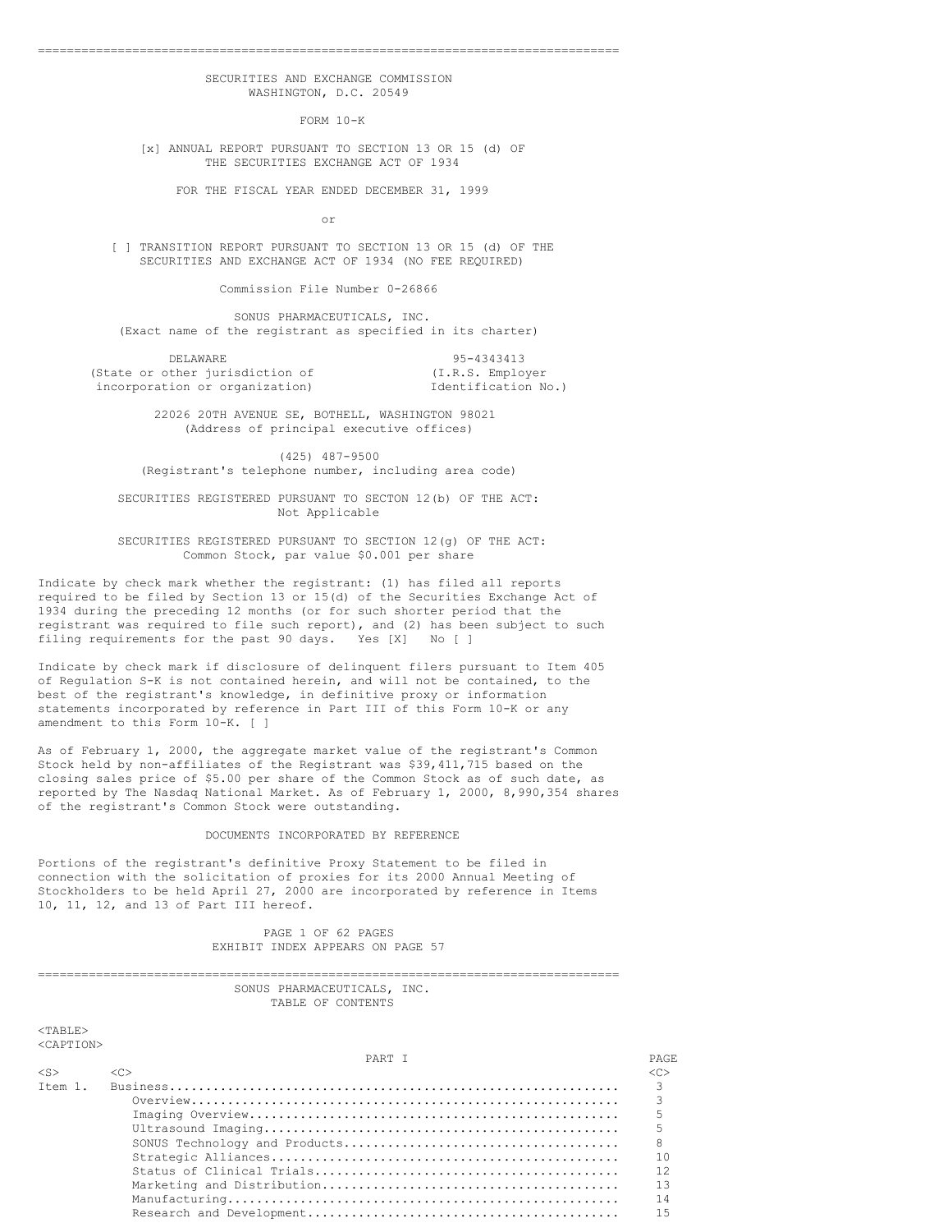## SECURITIES AND EXCHANGE COMMISSION WASHINGTON, D.C. 20549

================================================================================

FORM 10-K

[x] ANNUAL REPORT PURSUANT TO SECTION 13 OR 15 (d) OF THE SECURITIES EXCHANGE ACT OF 1934

FOR THE FISCAL YEAR ENDED DECEMBER 31, 1999

or

[ ] TRANSITION REPORT PURSUANT TO SECTION 13 OR 15 (d) OF THE SECURITIES AND EXCHANGE ACT OF 1934 (NO FEE REQUIRED)

Commission File Number 0-26866

SONUS PHARMACEUTICALS, INC. (Exact name of the registrant as specified in its charter)

DELAWARE 95-4343413 (State or other jurisdiction of  $(1,R.S.$  Employer incorporation or organization) Identification No.) incorporation or organization)

> 22026 20TH AVENUE SE, BOTHELL, WASHINGTON 98021 (Address of principal executive offices)

(425) 487-9500 (Registrant's telephone number, including area code)

SECURITIES REGISTERED PURSUANT TO SECTON 12(b) OF THE ACT: Not Applicable

SECURITIES REGISTERED PURSUANT TO SECTION 12(g) OF THE ACT: Common Stock, par value \$0.001 per share

Indicate by check mark whether the registrant: (1) has filed all reports required to be filed by Section 13 or 15(d) of the Securities Exchange Act of 1934 during the preceding 12 months (or for such shorter period that the registrant was required to file such report), and (2) has been subject to such filing requirements for the past 90 days. Yes [X] No [ ]

Indicate by check mark if disclosure of delinquent filers pursuant to Item 405 of Regulation S-K is not contained herein, and will not be contained, to the best of the registrant's knowledge, in definitive proxy or information statements incorporated by reference in Part III of this Form 10-K or any amendment to this Form 10-K. [ ]

As of February 1, 2000, the aggregate market value of the registrant's Common Stock held by non-affiliates of the Registrant was \$39,411,715 based on the closing sales price of \$5.00 per share of the Common Stock as of such date, as reported by The Nasdaq National Market. As of February 1, 2000, 8,990,354 shares of the registrant's Common Stock were outstanding.

### DOCUMENTS INCORPORATED BY REFERENCE

Portions of the registrant's definitive Proxy Statement to be filed in connection with the solicitation of proxies for its 2000 Annual Meeting of Stockholders to be held April 27, 2000 are incorporated by reference in Items 10, 11, 12, and 13 of Part III hereof.

> PAGE 1 OF 62 PAGES EXHIBIT INDEX APPEARS ON PAGE 57

#### ================================================================================ SONUS PHARMACEUTICALS, INC. TABLE OF CONTENTS

<TABLE> <CAPTION>

|                     | PART T              | PAGE.         |
|---------------------|---------------------|---------------|
| $\langle S \rangle$ | $\langle C \rangle$ | < <sub></sub> |
| Ttem 1.             |                     |               |
|                     |                     |               |
|                     |                     |               |
|                     |                     |               |
|                     |                     |               |
|                     |                     | 10            |
|                     |                     | 12            |
|                     |                     |               |
|                     |                     | 14            |
|                     |                     | 15            |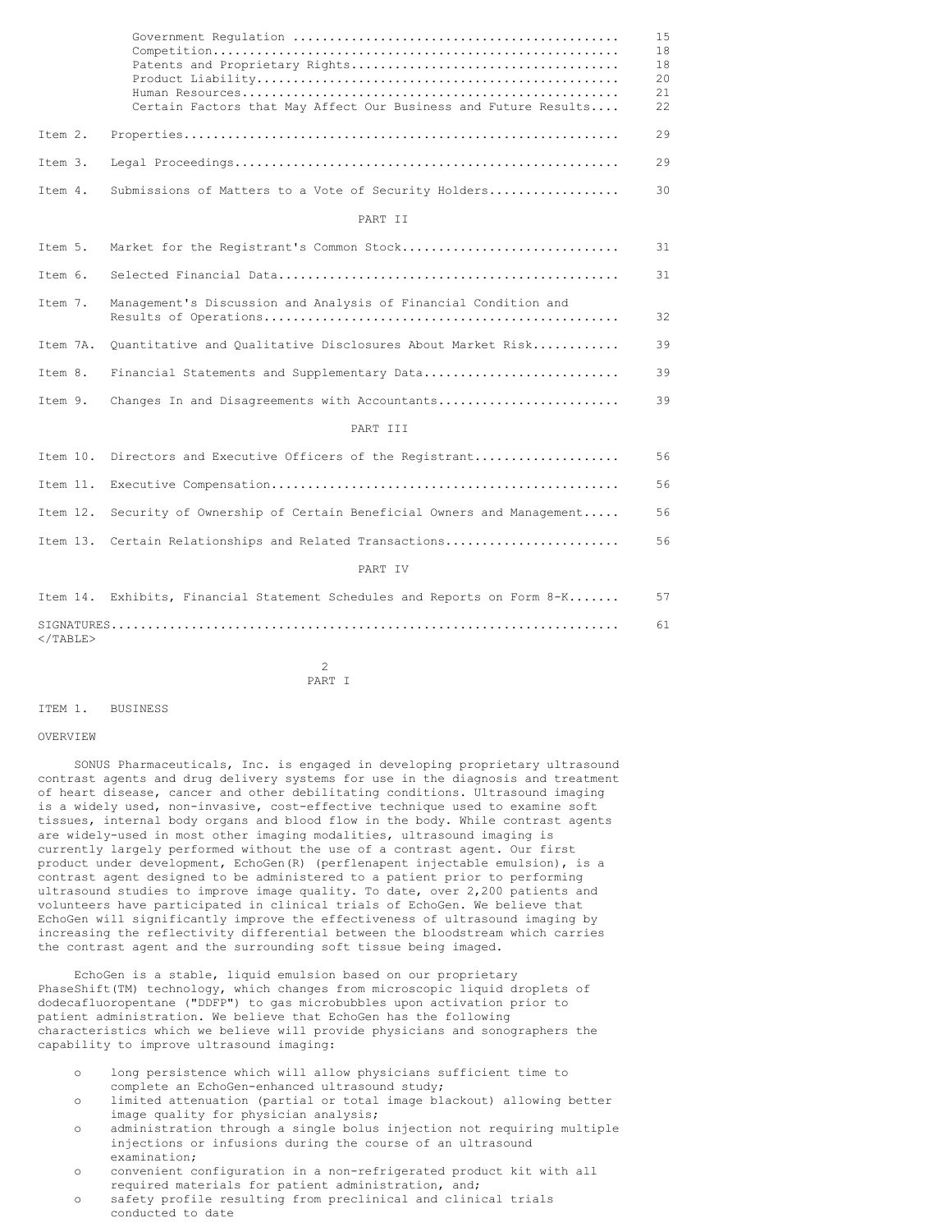|                   | Certain Factors that May Affect Our Business and Future Results   | 15<br>18<br>18<br>20<br>21<br>22 |
|-------------------|-------------------------------------------------------------------|----------------------------------|
| Item 2.           |                                                                   | 29                               |
| Item 3.           |                                                                   | 29                               |
| Item 4.           | Submissions of Matters to a Vote of Security Holders              | 30                               |
|                   | PART TT                                                           |                                  |
| Item 5.           | Market for the Registrant's Common Stock                          | 31                               |
| Item 6.           |                                                                   | 31                               |
| Item 7.           | Management's Discussion and Analysis of Financial Condition and   | 32                               |
| Item 7A.          | Quantitative and Qualitative Disclosures About Market Risk        | 39                               |
| Item 8.           | Financial Statements and Supplementary Data                       | 39                               |
| Item 9.           | Changes In and Disagreements with Accountants                     | 39                               |
|                   | PART III                                                          |                                  |
| Item 10.          | Directors and Executive Officers of the Registrant                | 56                               |
| Item 11.          |                                                                   | 56                               |
| Item 12.          | Security of Ownership of Certain Beneficial Owners and Management | 56                               |
|                   | Item 13. Certain Relationships and Related Transactions           | 56                               |
|                   | PART IV                                                           |                                  |
| Item 14.          | Exhibits, Financial Statement Schedules and Reports on Form 8-K   | 57                               |
| $\langle$ /TABLE> |                                                                   | 61                               |

 $\mathcal{D}$ PART I

#### ITEM 1. BUSINESS

#### **OVERVIEW**

SONUS Pharmaceuticals, Inc. is engaged in developing proprietary ultrasound contrast agents and drug delivery systems for use in the diagnosis and treatment of heart disease, cancer and other debilitating conditions. Ultrasound imaging is a widely used, non-invasive, cost-effective technique used to examine soft tissues, internal body organs and blood flow in the body. While contrast agents are widely-used in most other imaging modalities, ultrasound imaging is currently largely performed without the use of a contrast agent. Our first product under development, EchoGen(R) (perflenapent injectable emulsion), is a contrast agent designed to be administered to a patient prior to performing ultrasound studies to improve image quality. To date, over 2,200 patients and volunteers have participated in clinical trials of EchoGen. We believe that EchoGen will significantly improve the effectiveness of ultrasound imaging by increasing the reflectivity differential between the bloodstream which carries the contrast agent and the surrounding soft tissue being imaged.

EchoGen is a stable, liquid emulsion based on our proprietary PhaseShift(TM) technology, which changes from microscopic liquid droplets of dodecafluoropentane ("DDFP") to gas microbubbles upon activation prior to patient administration. We believe that EchoGen has the following characteristics which we believe will provide physicians and sonographers the capability to improve ultrasound imaging:

- o long persistence which will allow physicians sufficient time to complete an EchoGen-enhanced ultrasound study;
- o limited attenuation (partial or total image blackout) allowing better image quality for physician analysis;
- administration through a single bolus injection not requiring multiple injections or infusions during the course of an ultrasound examination;
- o convenient configuration in a non-refrigerated product kit with all required materials for patient administration, and;
- o safety profile resulting from preclinical and clinical trials conducted to date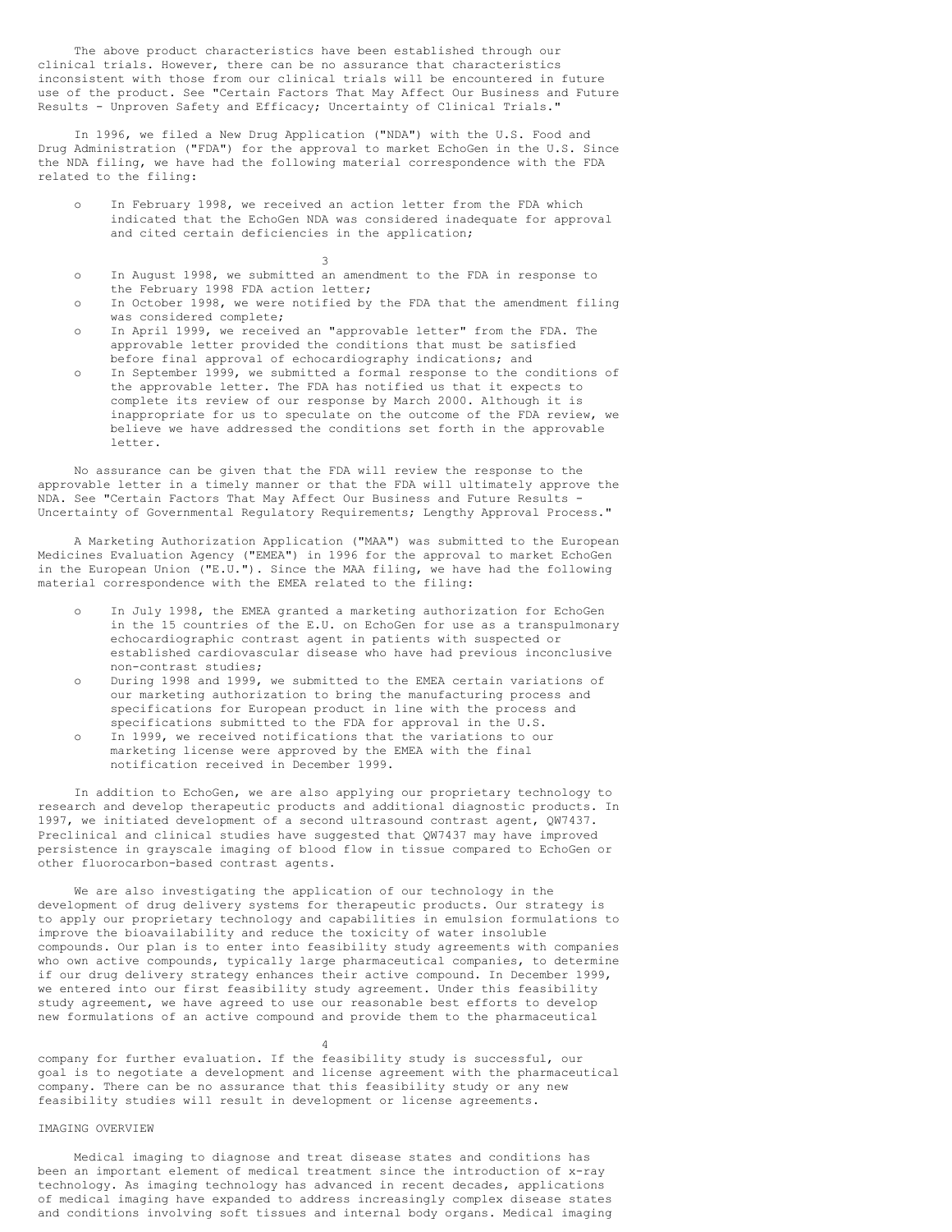The above product characteristics have been established through our clinical trials. However, there can be no assurance that characteristics inconsistent with those from our clinical trials will be encountered in future use of the product. See "Certain Factors That May Affect Our Business and Future Results - Unproven Safety and Efficacy; Uncertainty of Clinical Trials."

In 1996, we filed a New Drug Application ("NDA") with the U.S. Food and Drug Administration ("FDA") for the approval to market EchoGen in the U.S. Since the NDA filing, we have had the following material correspondence with the FDA related to the filing:

In February 1998, we received an action letter from the FDA which indicated that the EchoGen NDA was considered inadequate for approval and cited certain deficiencies in the application;

3

- o In August 1998, we submitted an amendment to the FDA in response to the February 1998 FDA action letter;
- o In October 1998, we were notified by the FDA that the amendment filing was considered complete;
- o In April 1999, we received an "approvable letter" from the FDA. The approvable letter provided the conditions that must be satisfied before final approval of echocardiography indications; and
- o In September 1999, we submitted a formal response to the conditions of the approvable letter. The FDA has notified us that it expects to complete its review of our response by March 2000. Although it is inappropriate for us to speculate on the outcome of the FDA review, we believe we have addressed the conditions set forth in the approvable letter.

No assurance can be given that the FDA will review the response to the approvable letter in a timely manner or that the FDA will ultimately approve the NDA. See "Certain Factors That May Affect Our Business and Future Results - Uncertainty of Governmental Regulatory Requirements; Lengthy Approval Process."

A Marketing Authorization Application ("MAA") was submitted to the European Medicines Evaluation Agency ("EMEA") in 1996 for the approval to market EchoGen in the European Union ("E.U."). Since the MAA filing, we have had the following material correspondence with the EMEA related to the filing:

- In July 1998, the EMEA granted a marketing authorization for EchoGen in the 15 countries of the E.U. on EchoGen for use as a transpulmonary echocardiographic contrast agent in patients with suspected or established cardiovascular disease who have had previous inconclusive non-contrast studies;
- During 1998 and 1999, we submitted to the EMEA certain variations of our marketing authorization to bring the manufacturing process and specifications for European product in line with the process and specifications submitted to the FDA for approval in the U.S.
- o In 1999, we received notifications that the variations to our marketing license were approved by the EMEA with the final notification received in December 1999.

In addition to EchoGen, we are also applying our proprietary technology to research and develop therapeutic products and additional diagnostic products. In 1997, we initiated development of a second ultrasound contrast agent, QW7437. Preclinical and clinical studies have suggested that QW7437 may have improved persistence in grayscale imaging of blood flow in tissue compared to EchoGen or other fluorocarbon-based contrast agents.

We are also investigating the application of our technology in the development of drug delivery systems for therapeutic products. Our strategy is to apply our proprietary technology and capabilities in emulsion formulations to improve the bioavailability and reduce the toxicity of water insoluble compounds. Our plan is to enter into feasibility study agreements with companies who own active compounds, typically large pharmaceutical companies, to determine if our drug delivery strategy enhances their active compound. In December 1999, we entered into our first feasibility study agreement. Under this feasibility study agreement, we have agreed to use our reasonable best efforts to develop new formulations of an active compound and provide them to the pharmaceutical

#### 4

company for further evaluation. If the feasibility study is successful, our goal is to negotiate a development and license agreement with the pharmaceutical company. There can be no assurance that this feasibility study or any new feasibility studies will result in development or license agreements.

## IMAGING OVERVIEW

Medical imaging to diagnose and treat disease states and conditions has been an important element of medical treatment since the introduction of x-ray technology. As imaging technology has advanced in recent decades, applications of medical imaging have expanded to address increasingly complex disease states and conditions involving soft tissues and internal body organs. Medical imaging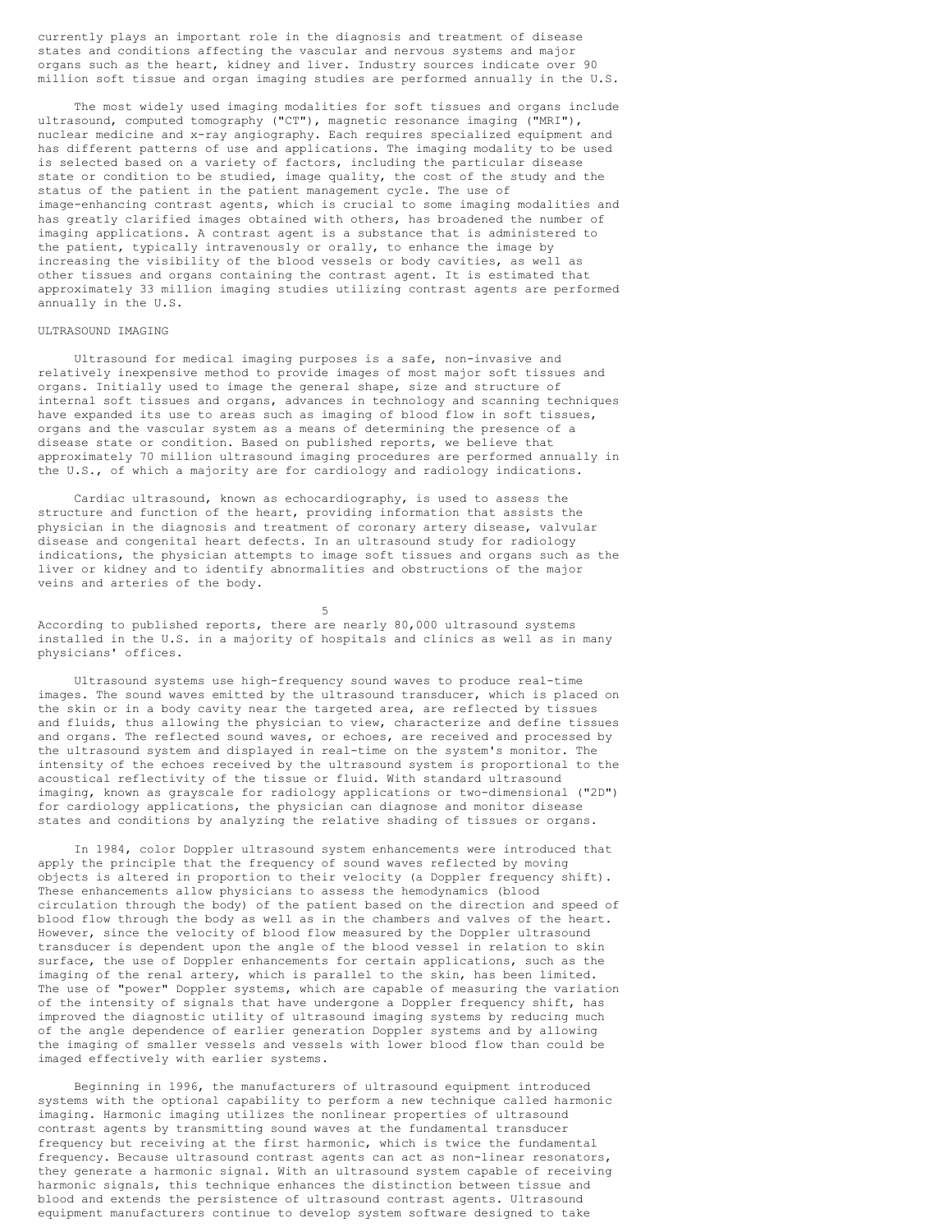currently plays an important role in the diagnosis and treatment of disease states and conditions affecting the vascular and nervous systems and major organs such as the heart, kidney and liver. Industry sources indicate over 90 million soft tissue and organ imaging studies are performed annually in the U.S.

The most widely used imaging modalities for soft tissues and organs include ultrasound, computed tomography ("CT"), magnetic resonance imaging ("MRI"), nuclear medicine and x-ray angiography. Each requires specialized equipment and has different patterns of use and applications. The imaging modality to be used is selected based on a variety of factors, including the particular disease state or condition to be studied, image quality, the cost of the study and the status of the patient in the patient management cycle. The use of image-enhancing contrast agents, which is crucial to some imaging modalities and has greatly clarified images obtained with others, has broadened the number of imaging applications. A contrast agent is a substance that is administered to the patient, typically intravenously or orally, to enhance the image by increasing the visibility of the blood vessels or body cavities, as well as other tissues and organs containing the contrast agent. It is estimated that approximately 33 million imaging studies utilizing contrast agents are performed annually in the U.S.

#### ULTRASOUND IMAGING

Ultrasound for medical imaging purposes is a safe, non-invasive and relatively inexpensive method to provide images of most major soft tissues and organs. Initially used to image the general shape, size and structure of internal soft tissues and organs, advances in technology and scanning techniques have expanded its use to areas such as imaging of blood flow in soft tissues, organs and the vascular system as a means of determining the presence of a disease state or condition. Based on published reports, we believe that approximately 70 million ultrasound imaging procedures are performed annually in the U.S., of which a majority are for cardiology and radiology indications.

Cardiac ultrasound, known as echocardiography, is used to assess the structure and function of the heart, providing information that assists the physician in the diagnosis and treatment of coronary artery disease, valvular disease and congenital heart defects. In an ultrasound study for radiology indications, the physician attempts to image soft tissues and organs such as the liver or kidney and to identify abnormalities and obstructions of the major veins and arteries of the body.

5 According to published reports, there are nearly 80,000 ultrasound systems installed in the U.S. in a majority of hospitals and clinics as well as in many physicians' offices.

Ultrasound systems use high-frequency sound waves to produce real-time images. The sound waves emitted by the ultrasound transducer, which is placed on the skin or in a body cavity near the targeted area, are reflected by tissues and fluids, thus allowing the physician to view, characterize and define tissues and organs. The reflected sound waves, or echoes, are received and processed by the ultrasound system and displayed in real-time on the system's monitor. The intensity of the echoes received by the ultrasound system is proportional to the acoustical reflectivity of the tissue or fluid. With standard ultrasound imaging, known as grayscale for radiology applications or two-dimensional ("2D") for cardiology applications, the physician can diagnose and monitor disease states and conditions by analyzing the relative shading of tissues or organs.

In 1984, color Doppler ultrasound system enhancements were introduced that apply the principle that the frequency of sound waves reflected by moving objects is altered in proportion to their velocity (a Doppler frequency shift). These enhancements allow physicians to assess the hemodynamics (blood circulation through the body) of the patient based on the direction and speed of blood flow through the body as well as in the chambers and valves of the heart. However, since the velocity of blood flow measured by the Doppler ultrasound transducer is dependent upon the angle of the blood vessel in relation to skin surface, the use of Doppler enhancements for certain applications, such as the imaging of the renal artery, which is parallel to the skin, has been limited. The use of "power" Doppler systems, which are capable of measuring the variation of the intensity of signals that have undergone a Doppler frequency shift, has improved the diagnostic utility of ultrasound imaging systems by reducing much of the angle dependence of earlier generation Doppler systems and by allowing the imaging of smaller vessels and vessels with lower blood flow than could be imaged effectively with earlier systems.

Beginning in 1996, the manufacturers of ultrasound equipment introduced systems with the optional capability to perform a new technique called harmonic imaging. Harmonic imaging utilizes the nonlinear properties of ultrasound contrast agents by transmitting sound waves at the fundamental transducer frequency but receiving at the first harmonic, which is twice the fundamental frequency. Because ultrasound contrast agents can act as non-linear resonators, they generate a harmonic signal. With an ultrasound system capable of receiving harmonic signals, this technique enhances the distinction between tissue and blood and extends the persistence of ultrasound contrast agents. Ultrasound equipment manufacturers continue to develop system software designed to take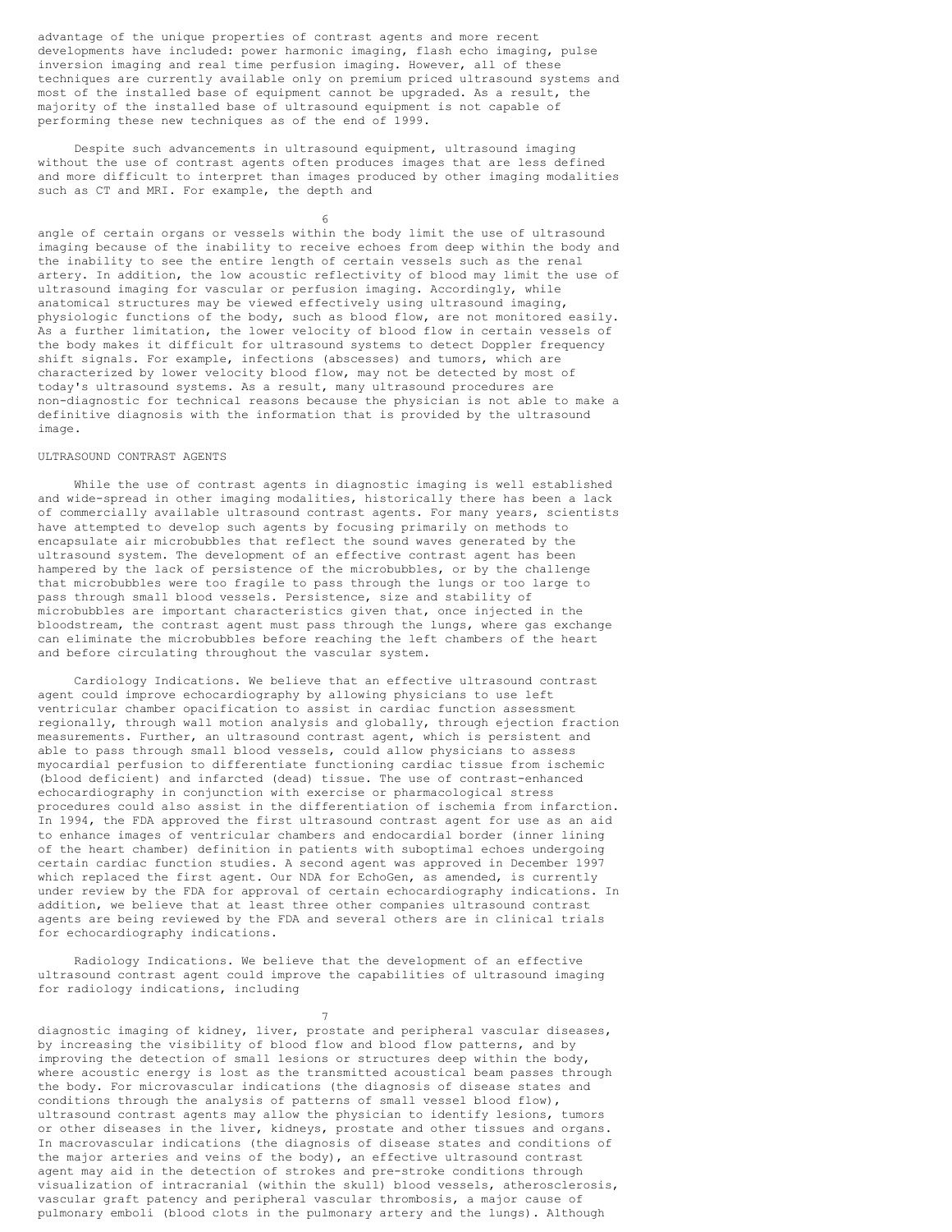advantage of the unique properties of contrast agents and more recent developments have included: power harmonic imaging, flash echo imaging, pulse inversion imaging and real time perfusion imaging. However, all of these techniques are currently available only on premium priced ultrasound systems and most of the installed base of equipment cannot be upgraded. As a result, the majority of the installed base of ultrasound equipment is not capable of performing these new techniques as of the end of 1999.

Despite such advancements in ultrasound equipment, ultrasound imaging without the use of contrast agents often produces images that are less defined and more difficult to interpret than images produced by other imaging modalities such as CT and MRI. For example, the depth and

6 angle of certain organs or vessels within the body limit the use of ultrasound imaging because of the inability to receive echoes from deep within the body and the inability to see the entire length of certain vessels such as the renal artery. In addition, the low acoustic reflectivity of blood may limit the use of ultrasound imaging for vascular or perfusion imaging. Accordingly, while anatomical structures may be viewed effectively using ultrasound imaging, physiologic functions of the body, such as blood flow, are not monitored easily. As a further limitation, the lower velocity of blood flow in certain vessels of the body makes it difficult for ultrasound systems to detect Doppler frequency shift signals. For example, infections (abscesses) and tumors, which are characterized by lower velocity blood flow, may not be detected by most of today's ultrasound systems. As a result, many ultrasound procedures are non-diagnostic for technical reasons because the physician is not able to make a definitive diagnosis with the information that is provided by the ultrasound image.

## ULTRASOUND CONTRAST AGENTS

While the use of contrast agents in diagnostic imaging is well established and wide-spread in other imaging modalities, historically there has been a lack of commercially available ultrasound contrast agents. For many years, scientists have attempted to develop such agents by focusing primarily on methods to encapsulate air microbubbles that reflect the sound waves generated by the ultrasound system. The development of an effective contrast agent has been hampered by the lack of persistence of the microbubbles, or by the challenge that microbubbles were too fragile to pass through the lungs or too large to pass through small blood vessels. Persistence, size and stability of microbubbles are important characteristics given that, once injected in the bloodstream, the contrast agent must pass through the lungs, where gas exchange can eliminate the microbubbles before reaching the left chambers of the heart and before circulating throughout the vascular system.

Cardiology Indications. We believe that an effective ultrasound contrast agent could improve echocardiography by allowing physicians to use left ventricular chamber opacification to assist in cardiac function assessment regionally, through wall motion analysis and globally, through ejection fraction measurements. Further, an ultrasound contrast agent, which is persistent and able to pass through small blood vessels, could allow physicians to assess myocardial perfusion to differentiate functioning cardiac tissue from ischemic (blood deficient) and infarcted (dead) tissue. The use of contrast-enhanced echocardiography in conjunction with exercise or pharmacological stress procedures could also assist in the differentiation of ischemia from infarction. In 1994, the FDA approved the first ultrasound contrast agent for use as an aid to enhance images of ventricular chambers and endocardial border (inner lining of the heart chamber) definition in patients with suboptimal echoes undergoing certain cardiac function studies. A second agent was approved in December 1997 which replaced the first agent. Our NDA for EchoGen, as amended, is currently under review by the FDA for approval of certain echocardiography indications. In addition, we believe that at least three other companies ultrasound contrast agents are being reviewed by the FDA and several others are in clinical trials for echocardiography indications.

Radiology Indications. We believe that the development of an effective ultrasound contrast agent could improve the capabilities of ultrasound imaging for radiology indications, including

 $\mathcal{L}$ 

diagnostic imaging of kidney, liver, prostate and peripheral vascular diseases, by increasing the visibility of blood flow and blood flow patterns, and by improving the detection of small lesions or structures deep within the body, where acoustic energy is lost as the transmitted acoustical beam passes through the body. For microvascular indications (the diagnosis of disease states and conditions through the analysis of patterns of small vessel blood flow), ultrasound contrast agents may allow the physician to identify lesions, tumors or other diseases in the liver, kidneys, prostate and other tissues and organs. In macrovascular indications (the diagnosis of disease states and conditions of the major arteries and veins of the body), an effective ultrasound contrast agent may aid in the detection of strokes and pre-stroke conditions through visualization of intracranial (within the skull) blood vessels, atherosclerosis, vascular graft patency and peripheral vascular thrombosis, a major cause of pulmonary emboli (blood clots in the pulmonary artery and the lungs). Although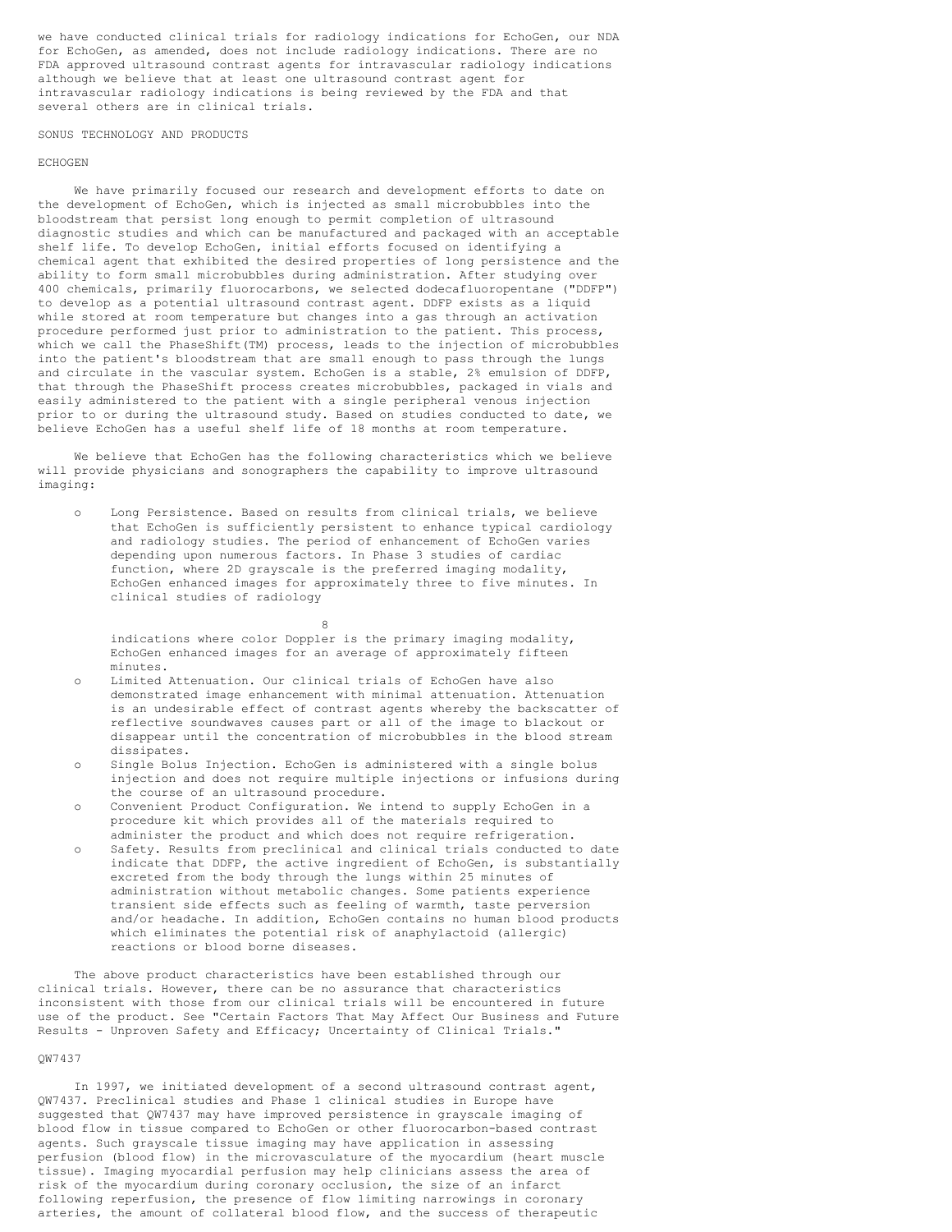we have conducted clinical trials for radiology indications for EchoGen, our NDA for EchoGen, as amended, does not include radiology indications. There are no FDA approved ultrasound contrast agents for intravascular radiology indications although we believe that at least one ultrasound contrast agent for intravascular radiology indications is being reviewed by the FDA and that several others are in clinical trials.

SONUS TECHNOLOGY AND PRODUCTS

#### ECHOGEN

We have primarily focused our research and development efforts to date on the development of EchoGen, which is injected as small microbubbles into the bloodstream that persist long enough to permit completion of ultrasound diagnostic studies and which can be manufactured and packaged with an acceptable shelf life. To develop EchoGen, initial efforts focused on identifying a chemical agent that exhibited the desired properties of long persistence and the ability to form small microbubbles during administration. After studying over 400 chemicals, primarily fluorocarbons, we selected dodecafluoropentane ("DDFP") to develop as a potential ultrasound contrast agent. DDFP exists as a liquid while stored at room temperature but changes into a gas through an activation procedure performed just prior to administration to the patient. This process, which we call the PhaseShift(TM) process, leads to the injection of microbubbles into the patient's bloodstream that are small enough to pass through the lungs and circulate in the vascular system. EchoGen is a stable, 2% emulsion of DDFP, that through the PhaseShift process creates microbubbles, packaged in vials and easily administered to the patient with a single peripheral venous injection prior to or during the ultrasound study. Based on studies conducted to date, we believe EchoGen has a useful shelf life of 18 months at room temperature.

We believe that EchoGen has the following characteristics which we believe will provide physicians and sonographers the capability to improve ultrasound imaging:

Long Persistence. Based on results from clinical trials, we believe that EchoGen is sufficiently persistent to enhance typical cardiology and radiology studies. The period of enhancement of EchoGen varies depending upon numerous factors. In Phase 3 studies of cardiac function, where 2D grayscale is the preferred imaging modality, EchoGen enhanced images for approximately three to five minutes. In clinical studies of radiology

8 indications where color Doppler is the primary imaging modality, EchoGen enhanced images for an average of approximately fifteen minutes.

- Limited Attenuation. Our clinical trials of EchoGen have also demonstrated image enhancement with minimal attenuation. Attenuation is an undesirable effect of contrast agents whereby the backscatter of reflective soundwaves causes part or all of the image to blackout or disappear until the concentration of microbubbles in the blood stream dissipates.
- o Single Bolus Injection. EchoGen is administered with a single bolus injection and does not require multiple injections or infusions during the course of an ultrasound procedure.
- o Convenient Product Configuration. We intend to supply EchoGen in a procedure kit which provides all of the materials required to administer the product and which does not require refrigeration.
- o Safety. Results from preclinical and clinical trials conducted to date indicate that DDFP, the active ingredient of EchoGen, is substantially excreted from the body through the lungs within 25 minutes of administration without metabolic changes. Some patients experience transient side effects such as feeling of warmth, taste perversion and/or headache. In addition, EchoGen contains no human blood products which eliminates the potential risk of anaphylactoid (allergic) reactions or blood borne diseases.

The above product characteristics have been established through our clinical trials. However, there can be no assurance that characteristics inconsistent with those from our clinical trials will be encountered in future use of the product. See "Certain Factors That May Affect Our Business and Future Results - Unproven Safety and Efficacy; Uncertainty of Clinical Trials."

## QW7437

In 1997, we initiated development of a second ultrasound contrast agent, QW7437. Preclinical studies and Phase 1 clinical studies in Europe have suggested that QW7437 may have improved persistence in grayscale imaging of blood flow in tissue compared to EchoGen or other fluorocarbon-based contrast agents. Such grayscale tissue imaging may have application in assessing perfusion (blood flow) in the microvasculature of the myocardium (heart muscle tissue). Imaging myocardial perfusion may help clinicians assess the area of risk of the myocardium during coronary occlusion, the size of an infarct following reperfusion, the presence of flow limiting narrowings in coronary arteries, the amount of collateral blood flow, and the success of therapeutic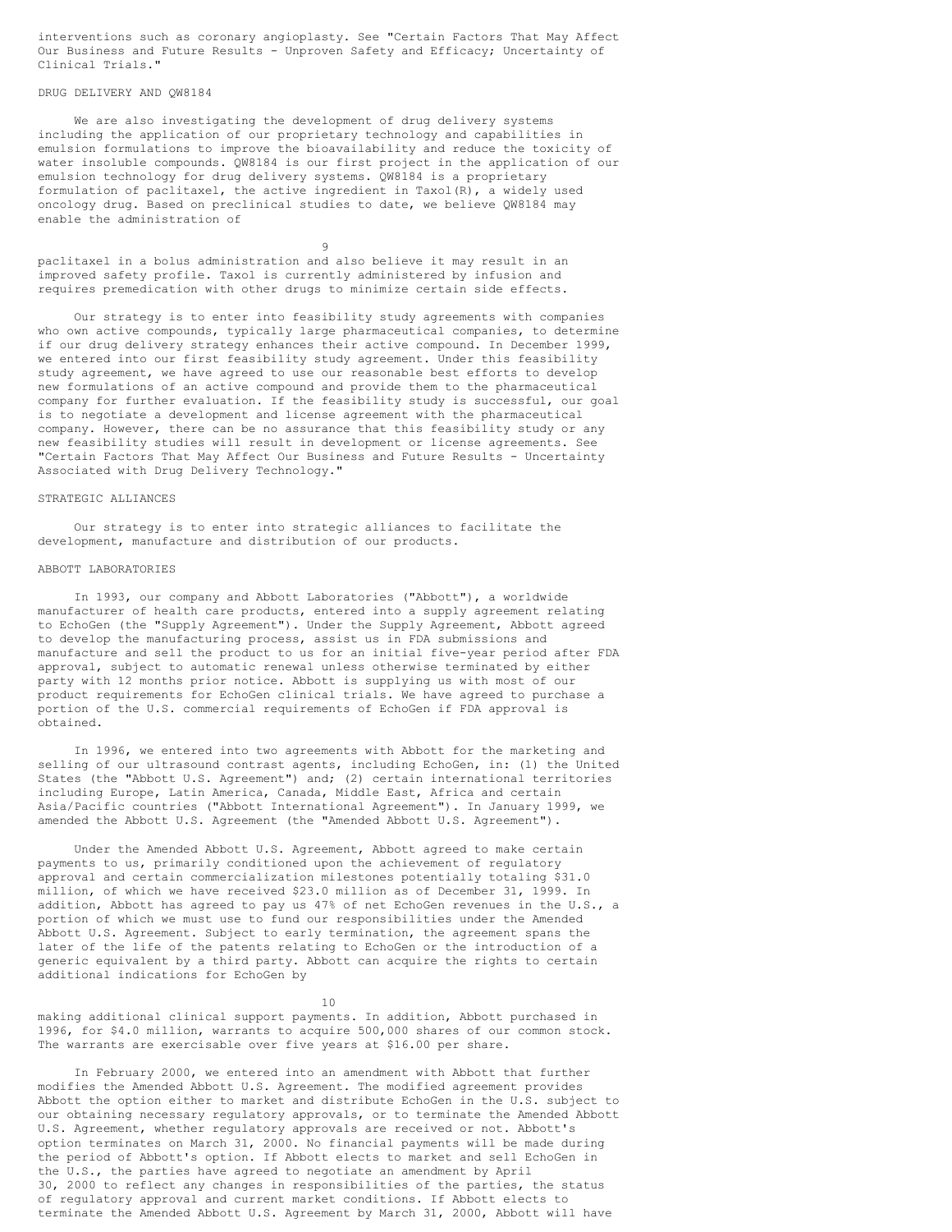interventions such as coronary angioplasty. See "Certain Factors That May Affect Our Business and Future Results - Unproven Safety and Efficacy; Uncertainty of Clinical Trials."

## DRUG DELIVERY AND QW8184

We are also investigating the development of drug delivery systems including the application of our proprietary technology and capabilities in emulsion formulations to improve the bioavailability and reduce the toxicity of water insoluble compounds. QW8184 is our first project in the application of our emulsion technology for drug delivery systems. QW8184 is a proprietary formulation of paclitaxel, the active ingredient in Taxol(R), a widely used oncology drug. Based on preclinical studies to date, we believe QW8184 may enable the administration of

9 paclitaxel in a bolus administration and also believe it may result in an improved safety profile. Taxol is currently administered by infusion and requires premedication with other drugs to minimize certain side effects.

Our strategy is to enter into feasibility study agreements with companies who own active compounds, typically large pharmaceutical companies, to determine if our drug delivery strategy enhances their active compound. In December 1999, we entered into our first feasibility study agreement. Under this feasibility study agreement, we have agreed to use our reasonable best efforts to develop new formulations of an active compound and provide them to the pharmaceutical company for further evaluation. If the feasibility study is successful, our goal is to negotiate a development and license agreement with the pharmaceutical company. However, there can be no assurance that this feasibility study or any new feasibility studies will result in development or license agreements. See "Certain Factors That May Affect Our Business and Future Results - Uncertainty Associated with Drug Delivery Technology."

#### STRATEGIC ALLIANCES

Our strategy is to enter into strategic alliances to facilitate the development, manufacture and distribution of our products.

#### ABBOTT LABORATORIES

In 1993, our company and Abbott Laboratories ("Abbott"), a worldwide manufacturer of health care products, entered into a supply agreement relating to EchoGen (the "Supply Agreement"). Under the Supply Agreement, Abbott agreed to develop the manufacturing process, assist us in FDA submissions and manufacture and sell the product to us for an initial five-year period after FDA approval, subject to automatic renewal unless otherwise terminated by either party with 12 months prior notice. Abbott is supplying us with most of our product requirements for EchoGen clinical trials. We have agreed to purchase a portion of the U.S. commercial requirements of EchoGen if FDA approval is obtained.

In 1996, we entered into two agreements with Abbott for the marketing and selling of our ultrasound contrast agents, including EchoGen, in: (1) the United States (the "Abbott U.S. Agreement") and; (2) certain international territories including Europe, Latin America, Canada, Middle East, Africa and certain Asia/Pacific countries ("Abbott International Agreement"). In January 1999, we amended the Abbott U.S. Agreement (the "Amended Abbott U.S. Agreement").

Under the Amended Abbott U.S. Agreement, Abbott agreed to make certain payments to us, primarily conditioned upon the achievement of regulatory approval and certain commercialization milestones potentially totaling \$31.0 million, of which we have received \$23.0 million as of December 31, 1999. In addition, Abbott has agreed to pay us 47% of net EchoGen revenues in the U.S., a portion of which we must use to fund our responsibilities under the Amended Abbott U.S. Agreement. Subject to early termination, the agreement spans the later of the life of the patents relating to EchoGen or the introduction of a generic equivalent by a third party. Abbott can acquire the rights to certain additional indications for EchoGen by

#### $10$

making additional clinical support payments. In addition, Abbott purchased in 1996, for \$4.0 million, warrants to acquire 500,000 shares of our common stock. The warrants are exercisable over five years at \$16.00 per share.

In February 2000, we entered into an amendment with Abbott that further modifies the Amended Abbott U.S. Agreement. The modified agreement provides Abbott the option either to market and distribute EchoGen in the U.S. subject to our obtaining necessary regulatory approvals, or to terminate the Amended Abbott U.S. Agreement, whether regulatory approvals are received or not. Abbott's option terminates on March 31, 2000. No financial payments will be made during the period of Abbott's option. If Abbott elects to market and sell EchoGen in the U.S., the parties have agreed to negotiate an amendment by April 30, 2000 to reflect any changes in responsibilities of the parties, the status of regulatory approval and current market conditions. If Abbott elects to terminate the Amended Abbott U.S. Agreement by March 31, 2000, Abbott will have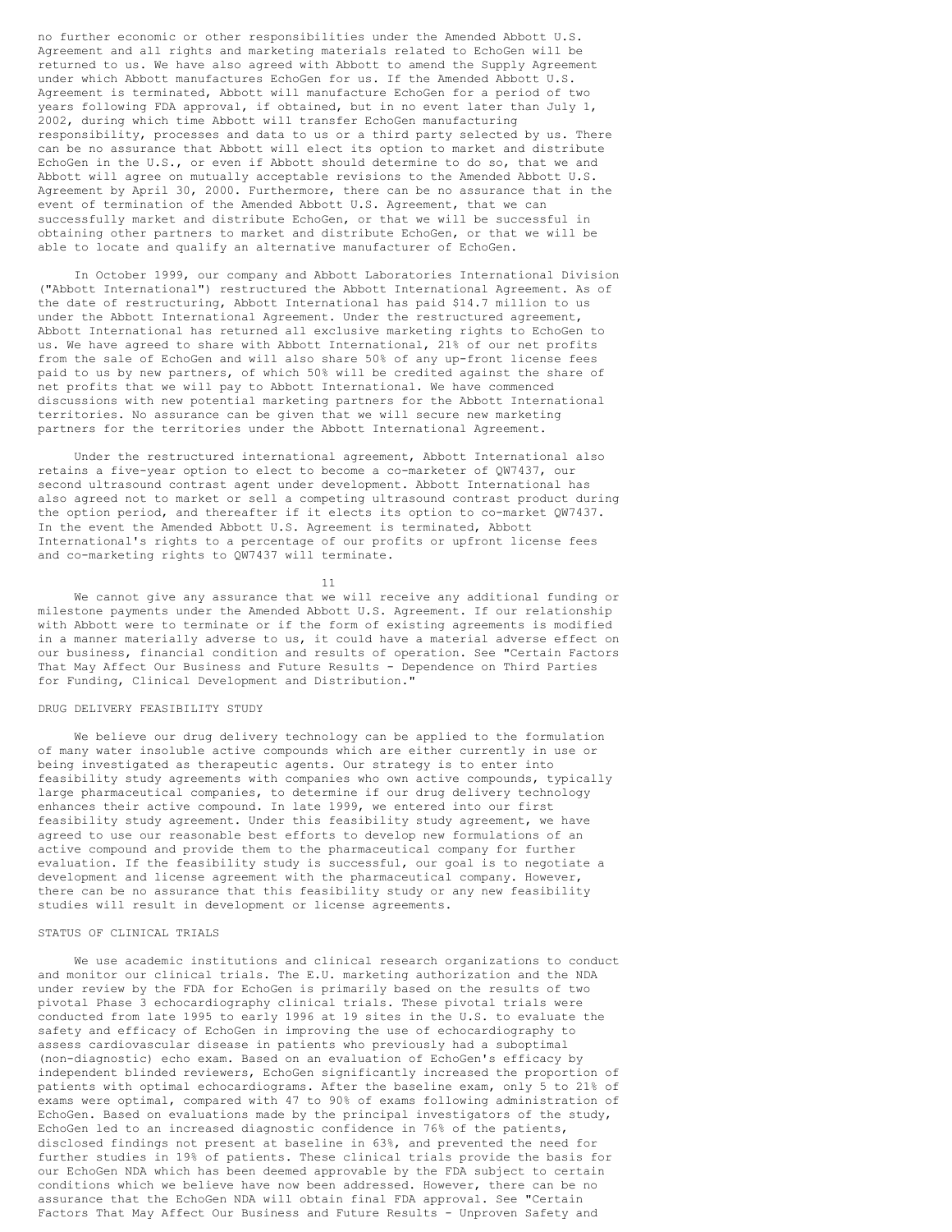no further economic or other responsibilities under the Amended Abbott U.S. Agreement and all rights and marketing materials related to EchoGen will be returned to us. We have also agreed with Abbott to amend the Supply Agreement under which Abbott manufactures EchoGen for us. If the Amended Abbott U.S. Agreement is terminated, Abbott will manufacture EchoGen for a period of two years following FDA approval, if obtained, but in no event later than July 1, 2002, during which time Abbott will transfer EchoGen manufacturing responsibility, processes and data to us or a third party selected by us. There can be no assurance that Abbott will elect its option to market and distribute EchoGen in the U.S., or even if Abbott should determine to do so, that we and Abbott will agree on mutually acceptable revisions to the Amended Abbott U.S. Agreement by April 30, 2000. Furthermore, there can be no assurance that in the event of termination of the Amended Abbott U.S. Agreement, that we can successfully market and distribute EchoGen, or that we will be successful in obtaining other partners to market and distribute EchoGen, or that we will be able to locate and qualify an alternative manufacturer of EchoGen.

In October 1999, our company and Abbott Laboratories International Division ("Abbott International") restructured the Abbott International Agreement. As of the date of restructuring, Abbott International has paid \$14.7 million to us under the Abbott International Agreement. Under the restructured agreement, Abbott International has returned all exclusive marketing rights to EchoGen to us. We have agreed to share with Abbott International, 21% of our net profits from the sale of EchoGen and will also share 50% of any up-front license fees paid to us by new partners, of which 50% will be credited against the share of net profits that we will pay to Abbott International. We have commenced discussions with new potential marketing partners for the Abbott International territories. No assurance can be given that we will secure new marketing partners for the territories under the Abbott International Agreement.

Under the restructured international agreement, Abbott International also retains a five-year option to elect to become a co-marketer of QW7437, our second ultrasound contrast agent under development. Abbott International has also agreed not to market or sell a competing ultrasound contrast product during the option period, and thereafter if it elects its option to co-market QW7437. In the event the Amended Abbott U.S. Agreement is terminated, Abbott International's rights to a percentage of our profits or upfront license fees and co-marketing rights to QW7437 will terminate.

11

We cannot give any assurance that we will receive any additional funding or milestone payments under the Amended Abbott U.S. Agreement. If our relationship with Abbott were to terminate or if the form of existing agreements is modified in a manner materially adverse to us, it could have a material adverse effect on our business, financial condition and results of operation. See "Certain Factors That May Affect Our Business and Future Results - Dependence on Third Parties for Funding, Clinical Development and Distribution."

## DRUG DELIVERY FEASIBILITY STUDY

We believe our drug delivery technology can be applied to the formulation of many water insoluble active compounds which are either currently in use or being investigated as therapeutic agents. Our strategy is to enter into feasibility study agreements with companies who own active compounds, typically large pharmaceutical companies, to determine if our drug delivery technology enhances their active compound. In late 1999, we entered into our first feasibility study agreement. Under this feasibility study agreement, we have agreed to use our reasonable best efforts to develop new formulations of an active compound and provide them to the pharmaceutical company for further evaluation. If the feasibility study is successful, our goal is to negotiate a development and license agreement with the pharmaceutical company. However, there can be no assurance that this feasibility study or any new feasibility studies will result in development or license agreements.

## STATUS OF CLINICAL TRIALS

We use academic institutions and clinical research organizations to conduct and monitor our clinical trials. The E.U. marketing authorization and the NDA under review by the FDA for EchoGen is primarily based on the results of two pivotal Phase 3 echocardiography clinical trials. These pivotal trials were conducted from late 1995 to early 1996 at 19 sites in the U.S. to evaluate the safety and efficacy of EchoGen in improving the use of echocardiography to assess cardiovascular disease in patients who previously had a suboptimal (non-diagnostic) echo exam. Based on an evaluation of EchoGen's efficacy by independent blinded reviewers, EchoGen significantly increased the proportion of patients with optimal echocardiograms. After the baseline exam, only 5 to 21% of exams were optimal, compared with 47 to 90% of exams following administration of EchoGen. Based on evaluations made by the principal investigators of the study, EchoGen led to an increased diagnostic confidence in 76% of the patients, disclosed findings not present at baseline in 63%, and prevented the need for further studies in 19% of patients. These clinical trials provide the basis for our EchoGen NDA which has been deemed approvable by the FDA subject to certain conditions which we believe have now been addressed. However, there can be no assurance that the EchoGen NDA will obtain final FDA approval. See "Certain Factors That May Affect Our Business and Future Results - Unproven Safety and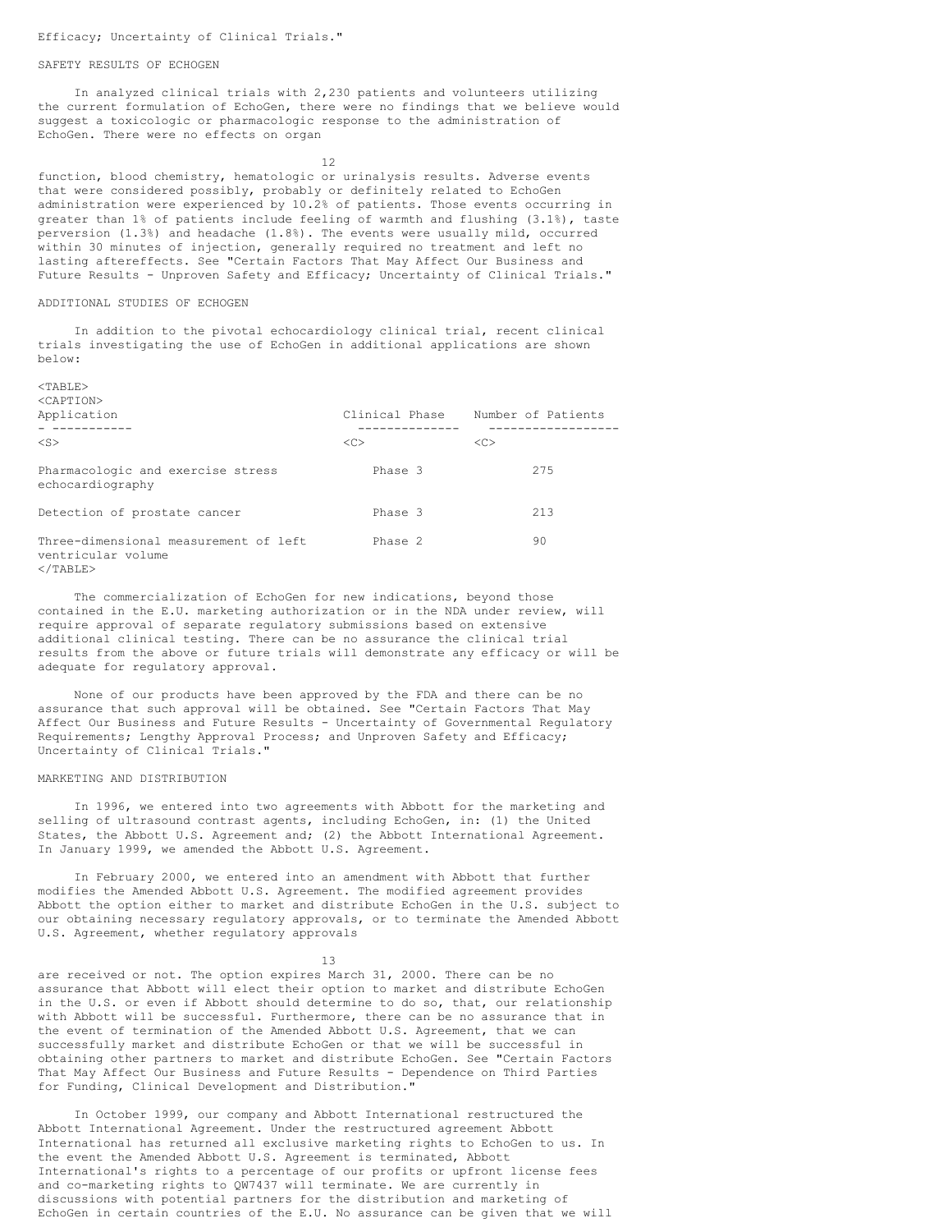#### SAFETY RESULTS OF ECHOGEN

In analyzed clinical trials with 2,230 patients and volunteers utilizing the current formulation of EchoGen, there were no findings that we believe would suggest a toxicologic or pharmacologic response to the administration of EchoGen. There were no effects on organ

12

function, blood chemistry, hematologic or urinalysis results. Adverse events that were considered possibly, probably or definitely related to EchoGen administration were experienced by 10.2% of patients. Those events occurring in greater than 1% of patients include feeling of warmth and flushing (3.1%), taste perversion (1.3%) and headache (1.8%). The events were usually mild, occurred within 30 minutes of injection, generally required no treatment and left no lasting aftereffects. See "Certain Factors That May Affect Our Business and Future Results - Unproven Safety and Efficacy; Uncertainty of Clinical Trials."

#### ADDITIONAL STUDIES OF ECHOGEN

In addition to the pivotal echocardiology clinical trial, recent clinical trials investigating the use of EchoGen in additional applications are shown below:

| Application                                                 | Clinical Phase | Number of Patients |
|-------------------------------------------------------------|----------------|--------------------|
| $<$ S $>$                                                   | <<             | < <sub></sub>      |
| Pharmacologic and exercise stress<br>echocardiography       | Phase 3        | 275                |
| Detection of prostate cancer                                | Phase 3        | 213                |
| Three-dimensional measurement of left<br>ventricular volume | Phase 2        | 90                 |

 $\langle$ /TABLE>

The commercialization of EchoGen for new indications, beyond those contained in the E.U. marketing authorization or in the NDA under review, will require approval of separate regulatory submissions based on extensive additional clinical testing. There can be no assurance the clinical trial results from the above or future trials will demonstrate any efficacy or will be adequate for regulatory approval.

None of our products have been approved by the FDA and there can be no assurance that such approval will be obtained. See "Certain Factors That May Affect Our Business and Future Results - Uncertainty of Governmental Regulatory Requirements; Lengthy Approval Process; and Unproven Safety and Efficacy; Uncertainty of Clinical Trials."

#### MARKETING AND DISTRIBUTION

In 1996, we entered into two agreements with Abbott for the marketing and selling of ultrasound contrast agents, including EchoGen, in: (1) the United States, the Abbott U.S. Agreement and; (2) the Abbott International Agreement. In January 1999, we amended the Abbott U.S. Agreement.

In February 2000, we entered into an amendment with Abbott that further modifies the Amended Abbott U.S. Agreement. The modified agreement provides Abbott the option either to market and distribute EchoGen in the U.S. subject to our obtaining necessary regulatory approvals, or to terminate the Amended Abbott U.S. Agreement, whether regulatory approvals

13

are received or not. The option expires March 31, 2000. There can be no assurance that Abbott will elect their option to market and distribute EchoGen in the U.S. or even if Abbott should determine to do so, that, our relationship with Abbott will be successful. Furthermore, there can be no assurance that in the event of termination of the Amended Abbott U.S. Agreement, that we can successfully market and distribute EchoGen or that we will be successful in obtaining other partners to market and distribute EchoGen. See "Certain Factors That May Affect Our Business and Future Results - Dependence on Third Parties for Funding, Clinical Development and Distribution."

In October 1999, our company and Abbott International restructured the Abbott International Agreement. Under the restructured agreement Abbott International has returned all exclusive marketing rights to EchoGen to us. In the event the Amended Abbott U.S. Agreement is terminated, Abbott International's rights to a percentage of our profits or upfront license fees and co-marketing rights to QW7437 will terminate. We are currently in discussions with potential partners for the distribution and marketing of EchoGen in certain countries of the E.U. No assurance can be given that we will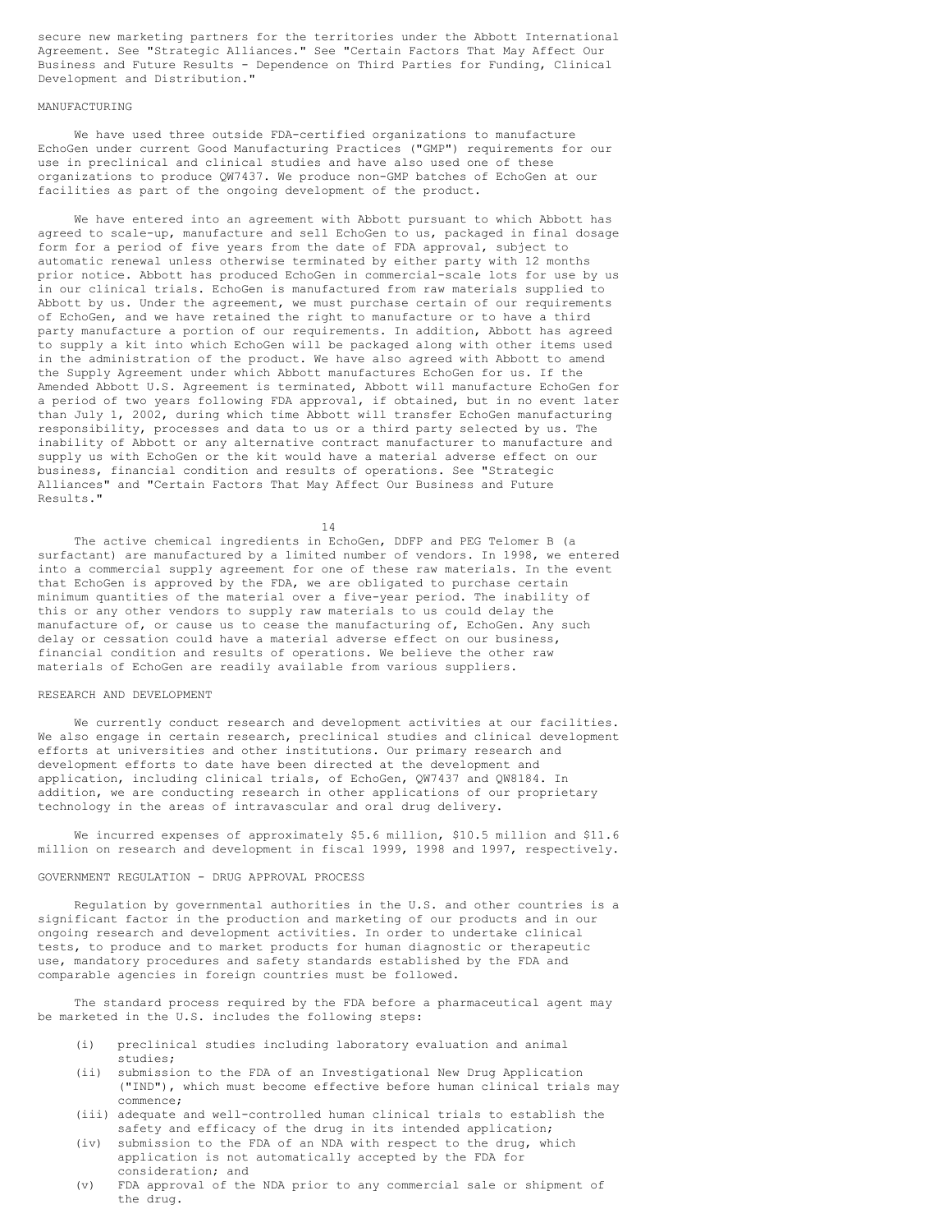secure new marketing partners for the territories under the Abbott International Agreement. See "Strategic Alliances." See "Certain Factors That May Affect Our Business and Future Results - Dependence on Third Parties for Funding, Clinical Development and Distribution."

## MANUFACTURING

We have used three outside FDA-certified organizations to manufacture EchoGen under current Good Manufacturing Practices ("GMP") requirements for our use in preclinical and clinical studies and have also used one of these organizations to produce QW7437. We produce non-GMP batches of EchoGen at our facilities as part of the ongoing development of the product.

We have entered into an agreement with Abbott pursuant to which Abbott has agreed to scale-up, manufacture and sell EchoGen to us, packaged in final dosage form for a period of five years from the date of FDA approval, subject to automatic renewal unless otherwise terminated by either party with 12 months prior notice. Abbott has produced EchoGen in commercial-scale lots for use by us in our clinical trials. EchoGen is manufactured from raw materials supplied to Abbott by us. Under the agreement, we must purchase certain of our requirements of EchoGen, and we have retained the right to manufacture or to have a third party manufacture a portion of our requirements. In addition, Abbott has agreed to supply a kit into which EchoGen will be packaged along with other items used in the administration of the product. We have also agreed with Abbott to amend the Supply Agreement under which Abbott manufactures EchoGen for us. If the Amended Abbott U.S. Agreement is terminated, Abbott will manufacture EchoGen for a period of two years following FDA approval, if obtained, but in no event later than July 1, 2002, during which time Abbott will transfer EchoGen manufacturing responsibility, processes and data to us or a third party selected by us. The inability of Abbott or any alternative contract manufacturer to manufacture and supply us with EchoGen or the kit would have a material adverse effect on our business, financial condition and results of operations. See "Strategic Alliances" and "Certain Factors That May Affect Our Business and Future Results."

14

The active chemical ingredients in EchoGen, DDFP and PEG Telomer B (a surfactant) are manufactured by a limited number of vendors. In 1998, we entered into a commercial supply agreement for one of these raw materials. In the event that EchoGen is approved by the FDA, we are obligated to purchase certain minimum quantities of the material over a five-year period. The inability of this or any other vendors to supply raw materials to us could delay the manufacture of, or cause us to cease the manufacturing of, EchoGen. Any such delay or cessation could have a material adverse effect on our business, financial condition and results of operations. We believe the other raw materials of EchoGen are readily available from various suppliers.

## RESEARCH AND DEVELOPMENT

We currently conduct research and development activities at our facilities. We also engage in certain research, preclinical studies and clinical development efforts at universities and other institutions. Our primary research and development efforts to date have been directed at the development and application, including clinical trials, of EchoGen, QW7437 and QW8184. In addition, we are conducting research in other applications of our proprietary technology in the areas of intravascular and oral drug delivery.

We incurred expenses of approximately \$5.6 million, \$10.5 million and \$11.6 million on research and development in fiscal 1999, 1998 and 1997, respectively.

## GOVERNMENT REGULATION - DRUG APPROVAL PROCESS

Regulation by governmental authorities in the U.S. and other countries is a significant factor in the production and marketing of our products and in our ongoing research and development activities. In order to undertake clinical tests, to produce and to market products for human diagnostic or therapeutic use, mandatory procedures and safety standards established by the FDA and comparable agencies in foreign countries must be followed.

The standard process required by the FDA before a pharmaceutical agent may be marketed in the U.S. includes the following steps:

- (i) preclinical studies including laboratory evaluation and animal studies;
- (ii) submission to the FDA of an Investigational New Drug Application ("IND"), which must become effective before human clinical trials may commence;
- (iii) adequate and well-controlled human clinical trials to establish the safety and efficacy of the drug in its intended application;
- (iv) submission to the FDA of an NDA with respect to the drug, which application is not automatically accepted by the FDA for consideration; and
- (v) FDA approval of the NDA prior to any commercial sale or shipment of the drug.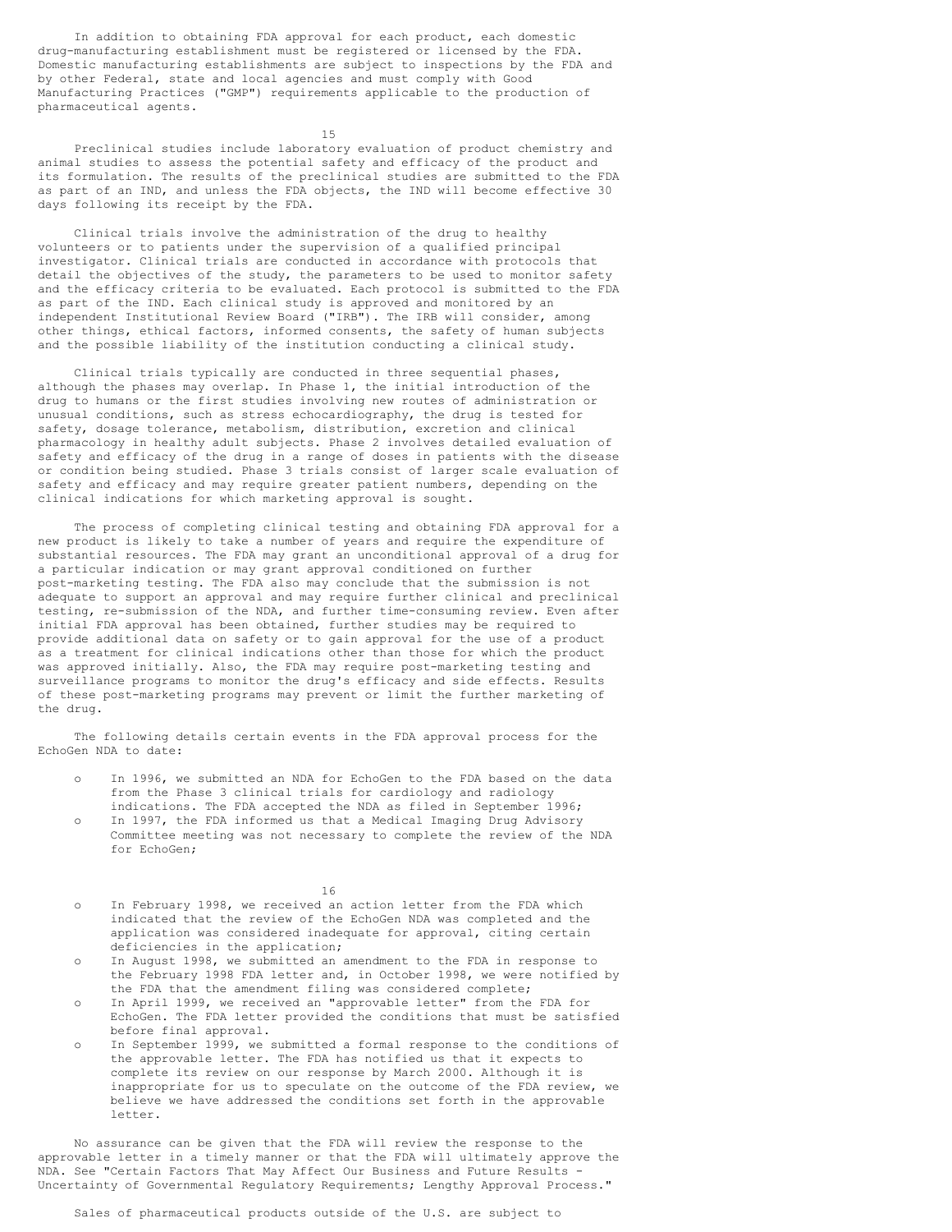In addition to obtaining FDA approval for each product, each domestic drug-manufacturing establishment must be registered or licensed by the FDA. Domestic manufacturing establishments are subject to inspections by the FDA and by other Federal, state and local agencies and must comply with Good Manufacturing Practices ("GMP") requirements applicable to the production of pharmaceutical agents.

15

Preclinical studies include laboratory evaluation of product chemistry and animal studies to assess the potential safety and efficacy of the product and its formulation. The results of the preclinical studies are submitted to the FDA as part of an IND, and unless the FDA objects, the IND will become effective 30 days following its receipt by the FDA.

Clinical trials involve the administration of the drug to healthy volunteers or to patients under the supervision of a qualified principal investigator. Clinical trials are conducted in accordance with protocols that detail the objectives of the study, the parameters to be used to monitor safety and the efficacy criteria to be evaluated. Each protocol is submitted to the FDA as part of the IND. Each clinical study is approved and monitored by an independent Institutional Review Board ("IRB"). The IRB will consider, among other things, ethical factors, informed consents, the safety of human subjects and the possible liability of the institution conducting a clinical study.

Clinical trials typically are conducted in three sequential phases, although the phases may overlap. In Phase 1, the initial introduction of the drug to humans or the first studies involving new routes of administration or unusual conditions, such as stress echocardiography, the drug is tested for safety, dosage tolerance, metabolism, distribution, excretion and clinical pharmacology in healthy adult subjects. Phase 2 involves detailed evaluation of safety and efficacy of the drug in a range of doses in patients with the disease or condition being studied. Phase 3 trials consist of larger scale evaluation of safety and efficacy and may require greater patient numbers, depending on the clinical indications for which marketing approval is sought.

The process of completing clinical testing and obtaining FDA approval for a new product is likely to take a number of years and require the expenditure of substantial resources. The FDA may grant an unconditional approval of a drug for a particular indication or may grant approval conditioned on further post-marketing testing. The FDA also may conclude that the submission is not adequate to support an approval and may require further clinical and preclinical testing, re-submission of the NDA, and further time-consuming review. Even after initial FDA approval has been obtained, further studies may be required to provide additional data on safety or to gain approval for the use of a product as a treatment for clinical indications other than those for which the product was approved initially. Also, the FDA may require post-marketing testing and surveillance programs to monitor the drug's efficacy and side effects. Results of these post-marketing programs may prevent or limit the further marketing of the drug.

The following details certain events in the FDA approval process for the EchoGen NDA to date:

- In 1996, we submitted an NDA for EchoGen to the FDA based on the data from the Phase 3 clinical trials for cardiology and radiology indications. The FDA accepted the NDA as filed in September 1996;
- In 1997, the FDA informed us that a Medical Imaging Drug Advisory Committee meeting was not necessary to complete the review of the NDA for EchoGen;

16

- o In February 1998, we received an action letter from the FDA which indicated that the review of the EchoGen NDA was completed and the application was considered inadequate for approval, citing certain deficiencies in the application;
- o In August 1998, we submitted an amendment to the FDA in response to the February 1998 FDA letter and, in October 1998, we were notified by the FDA that the amendment filing was considered complete;
- o In April 1999, we received an "approvable letter" from the FDA for EchoGen. The FDA letter provided the conditions that must be satisfied before final approval.
- o In September 1999, we submitted a formal response to the conditions of the approvable letter. The FDA has notified us that it expects to complete its review on our response by March 2000. Although it is inappropriate for us to speculate on the outcome of the FDA review, we believe we have addressed the conditions set forth in the approvable letter.

No assurance can be given that the FDA will review the response to the approvable letter in a timely manner or that the FDA will ultimately approve the NDA. See "Certain Factors That May Affect Our Business and Future Results - Uncertainty of Governmental Regulatory Requirements; Lengthy Approval Process."

Sales of pharmaceutical products outside of the U.S. are subject to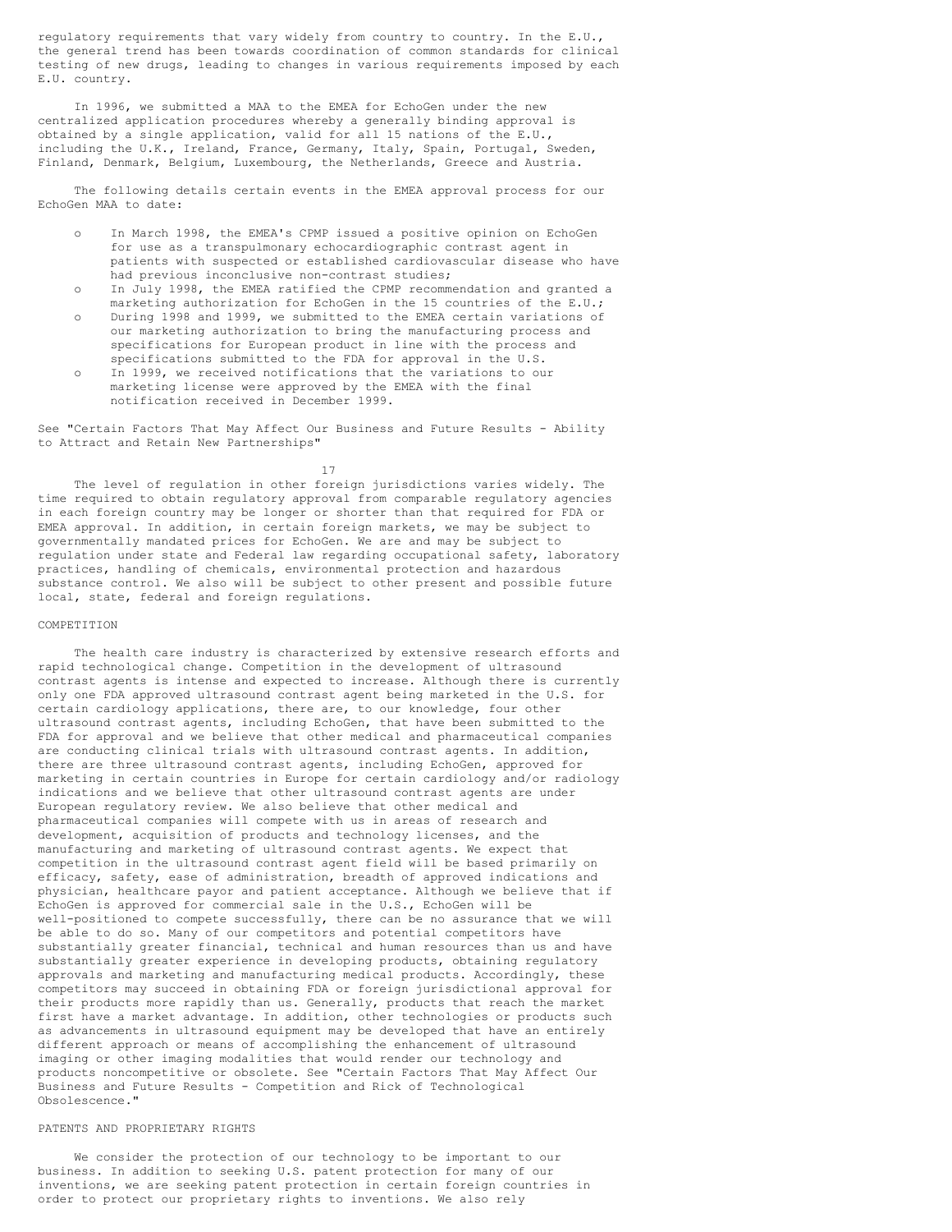regulatory requirements that vary widely from country to country. In the E.U., the general trend has been towards coordination of common standards for clinical testing of new drugs, leading to changes in various requirements imposed by each E.U. country.

In 1996, we submitted a MAA to the EMEA for EchoGen under the new centralized application procedures whereby a generally binding approval is obtained by a single application, valid for all 15 nations of the E.U., including the U.K., Ireland, France, Germany, Italy, Spain, Portugal, Sweden, Finland, Denmark, Belgium, Luxembourg, the Netherlands, Greece and Austria.

The following details certain events in the EMEA approval process for our EchoGen MAA to date:

- In March 1998, the EMEA's CPMP issued a positive opinion on EchoGen for use as a transpulmonary echocardiographic contrast agent in patients with suspected or established cardiovascular disease who have had previous inconclusive non-contrast studies;
- o In July 1998, the EMEA ratified the CPMP recommendation and granted a marketing authorization for EchoGen in the 15 countries of the E.U.;
- o During 1998 and 1999, we submitted to the EMEA certain variations of our marketing authorization to bring the manufacturing process and specifications for European product in line with the process and specifications submitted to the FDA for approval in the U.S.
- In 1999, we received notifications that the variations to our marketing license were approved by the EMEA with the final notification received in December 1999.

See "Certain Factors That May Affect Our Business and Future Results - Ability to Attract and Retain New Partnerships"

17

The level of regulation in other foreign jurisdictions varies widely. The time required to obtain regulatory approval from comparable regulatory agencies in each foreign country may be longer or shorter than that required for FDA or EMEA approval. In addition, in certain foreign markets, we may be subject to governmentally mandated prices for EchoGen. We are and may be subject to regulation under state and Federal law regarding occupational safety, laboratory practices, handling of chemicals, environmental protection and hazardous substance control. We also will be subject to other present and possible future local, state, federal and foreign regulations.

## COMPETITION

The health care industry is characterized by extensive research efforts and rapid technological change. Competition in the development of ultrasound contrast agents is intense and expected to increase. Although there is currently only one FDA approved ultrasound contrast agent being marketed in the U.S. for certain cardiology applications, there are, to our knowledge, four other ultrasound contrast agents, including EchoGen, that have been submitted to the FDA for approval and we believe that other medical and pharmaceutical companies are conducting clinical trials with ultrasound contrast agents. In addition, there are three ultrasound contrast agents, including EchoGen, approved for marketing in certain countries in Europe for certain cardiology and/or radiology indications and we believe that other ultrasound contrast agents are under European regulatory review. We also believe that other medical and pharmaceutical companies will compete with us in areas of research and development, acquisition of products and technology licenses, and the manufacturing and marketing of ultrasound contrast agents. We expect that competition in the ultrasound contrast agent field will be based primarily on efficacy, safety, ease of administration, breadth of approved indications and physician, healthcare payor and patient acceptance. Although we believe that if EchoGen is approved for commercial sale in the U.S., EchoGen will be well-positioned to compete successfully, there can be no assurance that we will be able to do so. Many of our competitors and potential competitors have substantially greater financial, technical and human resources than us and have substantially greater experience in developing products, obtaining regulatory approvals and marketing and manufacturing medical products. Accordingly, these competitors may succeed in obtaining FDA or foreign jurisdictional approval for their products more rapidly than us. Generally, products that reach the market first have a market advantage. In addition, other technologies or products such as advancements in ultrasound equipment may be developed that have an entirely different approach or means of accomplishing the enhancement of ultrasound imaging or other imaging modalities that would render our technology and products noncompetitive or obsolete. See "Certain Factors That May Affect Our Business and Future Results - Competition and Rick of Technological Obsolescence."

## PATENTS AND PROPRIETARY RIGHTS

We consider the protection of our technology to be important to our business. In addition to seeking U.S. patent protection for many of our inventions, we are seeking patent protection in certain foreign countries in order to protect our proprietary rights to inventions. We also rely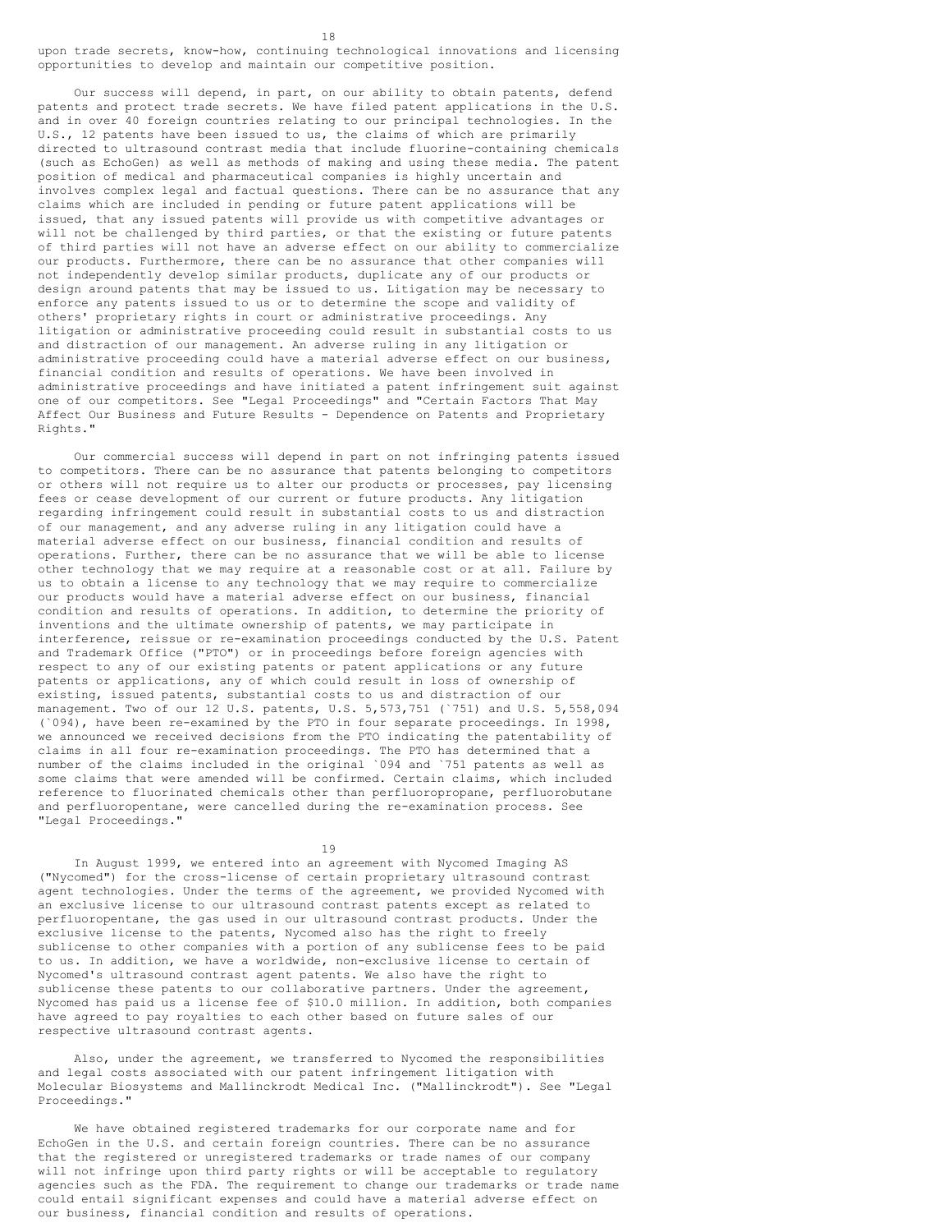18 upon trade secrets, know-how, continuing technological innovations and licensing opportunities to develop and maintain our competitive position.

Our success will depend, in part, on our ability to obtain patents, defend patents and protect trade secrets. We have filed patent applications in the U.S. and in over 40 foreign countries relating to our principal technologies. In the U.S., 12 patents have been issued to us, the claims of which are primarily directed to ultrasound contrast media that include fluorine-containing chemicals (such as EchoGen) as well as methods of making and using these media. The patent position of medical and pharmaceutical companies is highly uncertain and involves complex legal and factual questions. There can be no assurance that any claims which are included in pending or future patent applications will be issued, that any issued patents will provide us with competitive advantages or will not be challenged by third parties, or that the existing or future patents of third parties will not have an adverse effect on our ability to commercialize our products. Furthermore, there can be no assurance that other companies will not independently develop similar products, duplicate any of our products or design around patents that may be issued to us. Litigation may be necessary to enforce any patents issued to us or to determine the scope and validity of others' proprietary rights in court or administrative proceedings. Any litigation or administrative proceeding could result in substantial costs to us and distraction of our management. An adverse ruling in any litigation or administrative proceeding could have a material adverse effect on our business, financial condition and results of operations. We have been involved in administrative proceedings and have initiated a patent infringement suit against one of our competitors. See "Legal Proceedings" and "Certain Factors That May Affect Our Business and Future Results - Dependence on Patents and Proprietary Rights."

Our commercial success will depend in part on not infringing patents issued to competitors. There can be no assurance that patents belonging to competitors or others will not require us to alter our products or processes, pay licensing fees or cease development of our current or future products. Any litigation regarding infringement could result in substantial costs to us and distraction of our management, and any adverse ruling in any litigation could have a material adverse effect on our business, financial condition and results of operations. Further, there can be no assurance that we will be able to license other technology that we may require at a reasonable cost or at all. Failure by us to obtain a license to any technology that we may require to commercialize our products would have a material adverse effect on our business, financial condition and results of operations. In addition, to determine the priority of inventions and the ultimate ownership of patents, we may participate in interference, reissue or re-examination proceedings conducted by the U.S. Patent and Trademark Office ("PTO") or in proceedings before foreign agencies with respect to any of our existing patents or patent applications or any future patents or applications, any of which could result in loss of ownership of existing, issued patents, substantial costs to us and distraction of our management. Two of our 12 U.S. patents, U.S. 5,573,751 (`751) and U.S. 5,558,094 (`094), have been re-examined by the PTO in four separate proceedings. In 1998, we announced we received decisions from the PTO indicating the patentability of claims in all four re-examination proceedings. The PTO has determined that a number of the claims included in the original `094 and `751 patents as well as some claims that were amended will be confirmed. Certain claims, which included reference to fluorinated chemicals other than perfluoropropane, perfluorobutane and perfluoropentane, were cancelled during the re-examination process. See "Legal Proceedings."

19

In August 1999, we entered into an agreement with Nycomed Imaging AS ("Nycomed") for the cross-license of certain proprietary ultrasound contrast agent technologies. Under the terms of the agreement, we provided Nycomed with an exclusive license to our ultrasound contrast patents except as related to perfluoropentane, the gas used in our ultrasound contrast products. Under the exclusive license to the patents, Nycomed also has the right to freely sublicense to other companies with a portion of any sublicense fees to be paid to us. In addition, we have a worldwide, non-exclusive license to certain of Nycomed's ultrasound contrast agent patents. We also have the right to sublicense these patents to our collaborative partners. Under the agreement, Nycomed has paid us a license fee of \$10.0 million. In addition, both companies have agreed to pay royalties to each other based on future sales of our respective ultrasound contrast agents.

Also, under the agreement, we transferred to Nycomed the responsibilities and legal costs associated with our patent infringement litigation with Molecular Biosystems and Mallinckrodt Medical Inc. ("Mallinckrodt"). See "Legal Proceedings."

We have obtained registered trademarks for our corporate name and for EchoGen in the U.S. and certain foreign countries. There can be no assurance that the registered or unregistered trademarks or trade names of our company will not infringe upon third party rights or will be acceptable to regulatory agencies such as the FDA. The requirement to change our trademarks or trade name could entail significant expenses and could have a material adverse effect on our business, financial condition and results of operations.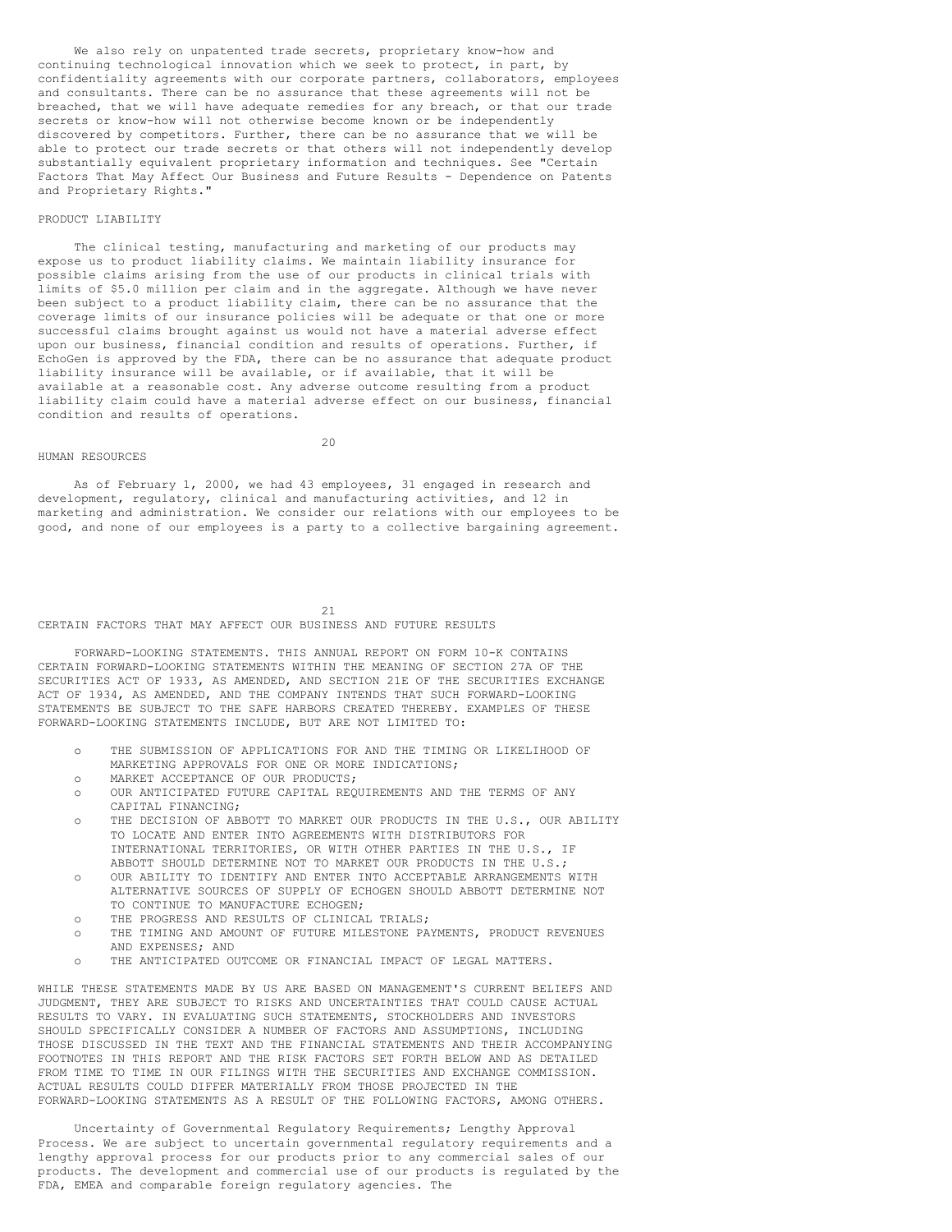We also rely on unpatented trade secrets, proprietary know-how and continuing technological innovation which we seek to protect, in part, by confidentiality agreements with our corporate partners, collaborators, employees and consultants. There can be no assurance that these agreements will not be breached, that we will have adequate remedies for any breach, or that our trade secrets or know-how will not otherwise become known or be independently discovered by competitors. Further, there can be no assurance that we will be able to protect our trade secrets or that others will not independently develop substantially equivalent proprietary information and techniques. See "Certain Factors That May Affect Our Business and Future Results - Dependence on Patents and Proprietary Rights."

## PRODUCT LIABILITY

The clinical testing, manufacturing and marketing of our products may expose us to product liability claims. We maintain liability insurance for possible claims arising from the use of our products in clinical trials with limits of \$5.0 million per claim and in the aggregate. Although we have never been subject to a product liability claim, there can be no assurance that the coverage limits of our insurance policies will be adequate or that one or more successful claims brought against us would not have a material adverse effect upon our business, financial condition and results of operations. Further, if EchoGen is approved by the FDA, there can be no assurance that adequate product liability insurance will be available, or if available, that it will be available at a reasonable cost. Any adverse outcome resulting from a product liability claim could have a material adverse effect on our business, financial condition and results of operations.

#### HUMAN RESOURCES

 $20$ 

As of February 1, 2000, we had 43 employees, 31 engaged in research and development, regulatory, clinical and manufacturing activities, and 12 in marketing and administration. We consider our relations with our employees to be good, and none of our employees is a party to a collective bargaining agreement.

21 CERTAIN FACTORS THAT MAY AFFECT OUR BUSINESS AND FUTURE RESULTS

FORWARD-LOOKING STATEMENTS. THIS ANNUAL REPORT ON FORM 10-K CONTAINS CERTAIN FORWARD-LOOKING STATEMENTS WITHIN THE MEANING OF SECTION 27A OF THE SECURITIES ACT OF 1933, AS AMENDED, AND SECTION 21E OF THE SECURITIES EXCHANGE ACT OF 1934, AS AMENDED, AND THE COMPANY INTENDS THAT SUCH FORWARD-LOOKING STATEMENTS BE SUBJECT TO THE SAFE HARBORS CREATED THEREBY. EXAMPLES OF THESE FORWARD-LOOKING STATEMENTS INCLUDE, BUT ARE NOT LIMITED TO:

- o THE SUBMISSION OF APPLICATIONS FOR AND THE TIMING OR LIKELIHOOD OF MARKETING APPROVALS FOR ONE OR MORE INDICATIONS;
- o MARKET ACCEPTANCE OF OUR PRODUCTS;
- o OUR ANTICIPATED FUTURE CAPITAL REQUIREMENTS AND THE TERMS OF ANY CAPITAL FINANCING;
- o THE DECISION OF ABBOTT TO MARKET OUR PRODUCTS IN THE U.S., OUR ABILITY TO LOCATE AND ENTER INTO AGREEMENTS WITH DISTRIBUTORS FOR INTERNATIONAL TERRITORIES, OR WITH OTHER PARTIES IN THE U.S., IF ABBOTT SHOULD DETERMINE NOT TO MARKET OUR PRODUCTS IN THE U.S.;
- o OUR ABILITY TO IDENTIFY AND ENTER INTO ACCEPTABLE ARRANGEMENTS WITH ALTERNATIVE SOURCES OF SUPPLY OF ECHOGEN SHOULD ABBOTT DETERMINE NOT TO CONTINUE TO MANUFACTURE ECHOGEN:
- o THE PROGRESS AND RESULTS OF CLINICAL TRIALS;
- o THE TIMING AND AMOUNT OF FUTURE MILESTONE PAYMENTS, PRODUCT REVENUES AND EXPENSES; AND
- THE ANTICIPATED OUTCOME OR FINANCIAL IMPACT OF LEGAL MATTERS.

WHILE THESE STATEMENTS MADE BY US ARE BASED ON MANAGEMENT'S CURRENT BELIEFS AND JUDGMENT, THEY ARE SUBJECT TO RISKS AND UNCERTAINTIES THAT COULD CAUSE ACTUAL RESULTS TO VARY. IN EVALUATING SUCH STATEMENTS, STOCKHOLDERS AND INVESTORS SHOULD SPECIFICALLY CONSIDER A NUMBER OF FACTORS AND ASSUMPTIONS, INCLUDING THOSE DISCUSSED IN THE TEXT AND THE FINANCIAL STATEMENTS AND THEIR ACCOMPANYING FOOTNOTES IN THIS REPORT AND THE RISK FACTORS SET FORTH BELOW AND AS DETAILED FROM TIME TO TIME IN OUR FILINGS WITH THE SECURITIES AND EXCHANGE COMMISSION. ACTUAL RESULTS COULD DIFFER MATERIALLY FROM THOSE PROJECTED IN THE FORWARD-LOOKING STATEMENTS AS A RESULT OF THE FOLLOWING FACTORS, AMONG OTHERS.

Uncertainty of Governmental Regulatory Requirements; Lengthy Approval Process. We are subject to uncertain governmental regulatory requirements and a lengthy approval process for our products prior to any commercial sales of our products. The development and commercial use of our products is regulated by the FDA, EMEA and comparable foreign regulatory agencies. The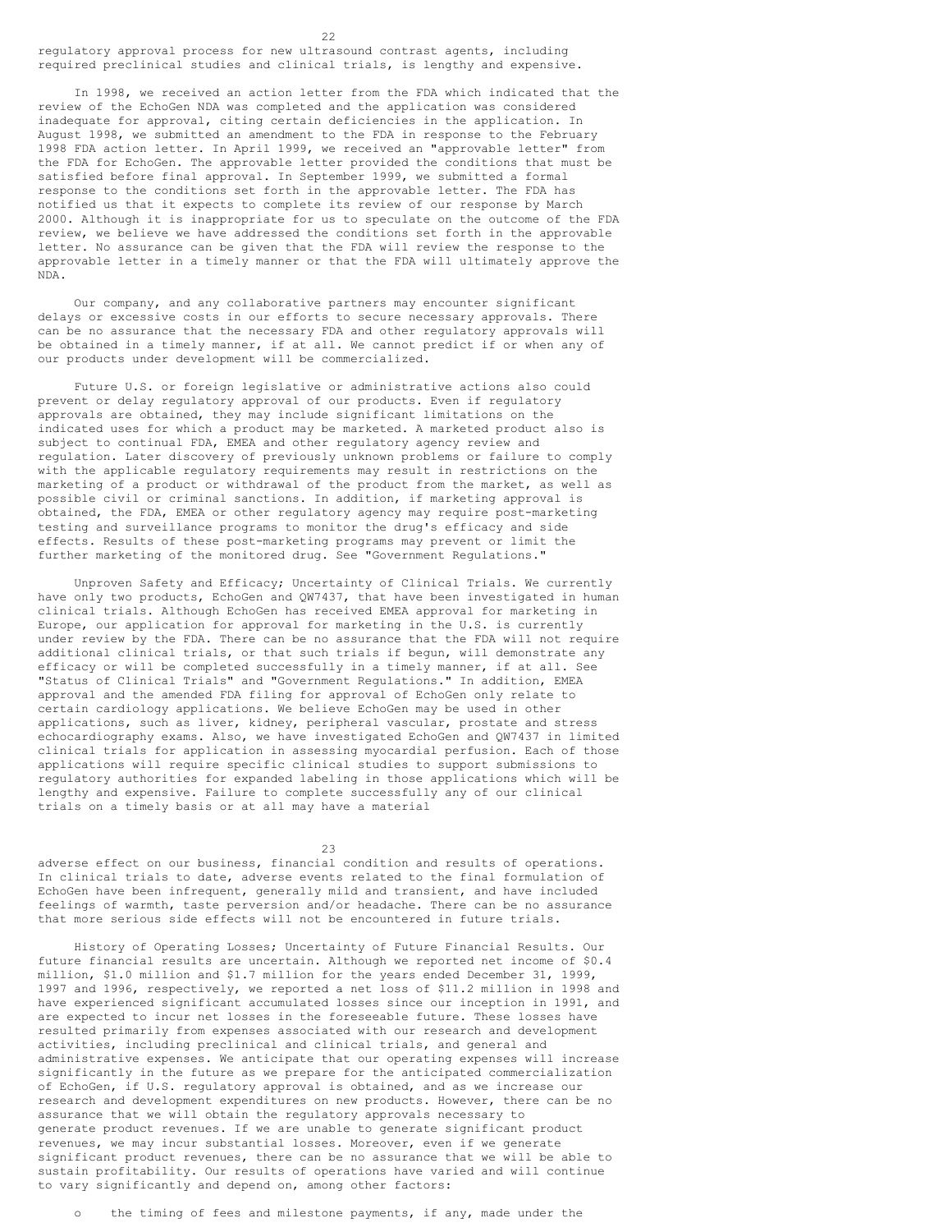regulatory approval process for new ultrasound contrast agents, including required preclinical studies and clinical trials, is lengthy and expensive.

In 1998, we received an action letter from the FDA which indicated that the review of the EchoGen NDA was completed and the application was considered inadequate for approval, citing certain deficiencies in the application. In August 1998, we submitted an amendment to the FDA in response to the February 1998 FDA action letter. In April 1999, we received an "approvable letter" from the FDA for EchoGen. The approvable letter provided the conditions that must be satisfied before final approval. In September 1999, we submitted a formal response to the conditions set forth in the approvable letter. The FDA has notified us that it expects to complete its review of our response by March 2000. Although it is inappropriate for us to speculate on the outcome of the FDA review, we believe we have addressed the conditions set forth in the approvable letter. No assurance can be given that the FDA will review the response to the approvable letter in a timely manner or that the FDA will ultimately approve the NDA.

Our company, and any collaborative partners may encounter significant delays or excessive costs in our efforts to secure necessary approvals. There can be no assurance that the necessary FDA and other regulatory approvals will be obtained in a timely manner, if at all. We cannot predict if or when any of our products under development will be commercialized.

Future U.S. or foreign legislative or administrative actions also could prevent or delay regulatory approval of our products. Even if regulatory approvals are obtained, they may include significant limitations on the indicated uses for which a product may be marketed. A marketed product also is subject to continual FDA, EMEA and other regulatory agency review and regulation. Later discovery of previously unknown problems or failure to comply with the applicable regulatory requirements may result in restrictions on the marketing of a product or withdrawal of the product from the market, as well as possible civil or criminal sanctions. In addition, if marketing approval is obtained, the FDA, EMEA or other regulatory agency may require post-marketing testing and surveillance programs to monitor the drug's efficacy and side effects. Results of these post-marketing programs may prevent or limit the further marketing of the monitored drug. See "Government Regulations."

Unproven Safety and Efficacy; Uncertainty of Clinical Trials. We currently have only two products, EchoGen and QW7437, that have been investigated in human clinical trials. Although EchoGen has received EMEA approval for marketing in Europe, our application for approval for marketing in the U.S. is currently under review by the FDA. There can be no assurance that the FDA will not require additional clinical trials, or that such trials if begun, will demonstrate any efficacy or will be completed successfully in a timely manner, if at all. See "Status of Clinical Trials" and "Government Regulations." In addition, EMEA approval and the amended FDA filing for approval of EchoGen only relate to certain cardiology applications. We believe EchoGen may be used in other applications, such as liver, kidney, peripheral vascular, prostate and stress echocardiography exams. Also, we have investigated EchoGen and QW7437 in limited clinical trials for application in assessing myocardial perfusion. Each of those applications will require specific clinical studies to support submissions to regulatory authorities for expanded labeling in those applications which will be lengthy and expensive. Failure to complete successfully any of our clinical trials on a timely basis or at all may have a material

23

adverse effect on our business, financial condition and results of operations. In clinical trials to date, adverse events related to the final formulation of EchoGen have been infrequent, generally mild and transient, and have included feelings of warmth, taste perversion and/or headache. There can be no assurance that more serious side effects will not be encountered in future trials.

History of Operating Losses; Uncertainty of Future Financial Results. Our future financial results are uncertain. Although we reported net income of \$0.4 million, \$1.0 million and \$1.7 million for the years ended December 31, 1999, 1997 and 1996, respectively, we reported a net loss of \$11.2 million in 1998 and have experienced significant accumulated losses since our inception in 1991, and are expected to incur net losses in the foreseeable future. These losses have resulted primarily from expenses associated with our research and development activities, including preclinical and clinical trials, and general and administrative expenses. We anticipate that our operating expenses will increase significantly in the future as we prepare for the anticipated commercialization of EchoGen, if U.S. regulatory approval is obtained, and as we increase our research and development expenditures on new products. However, there can be no assurance that we will obtain the regulatory approvals necessary to generate product revenues. If we are unable to generate significant product revenues, we may incur substantial losses. Moreover, even if we generate significant product revenues, there can be no assurance that we will be able to sustain profitability. Our results of operations have varied and will continue to vary significantly and depend on, among other factors:

the timing of fees and milestone payments, if any, made under the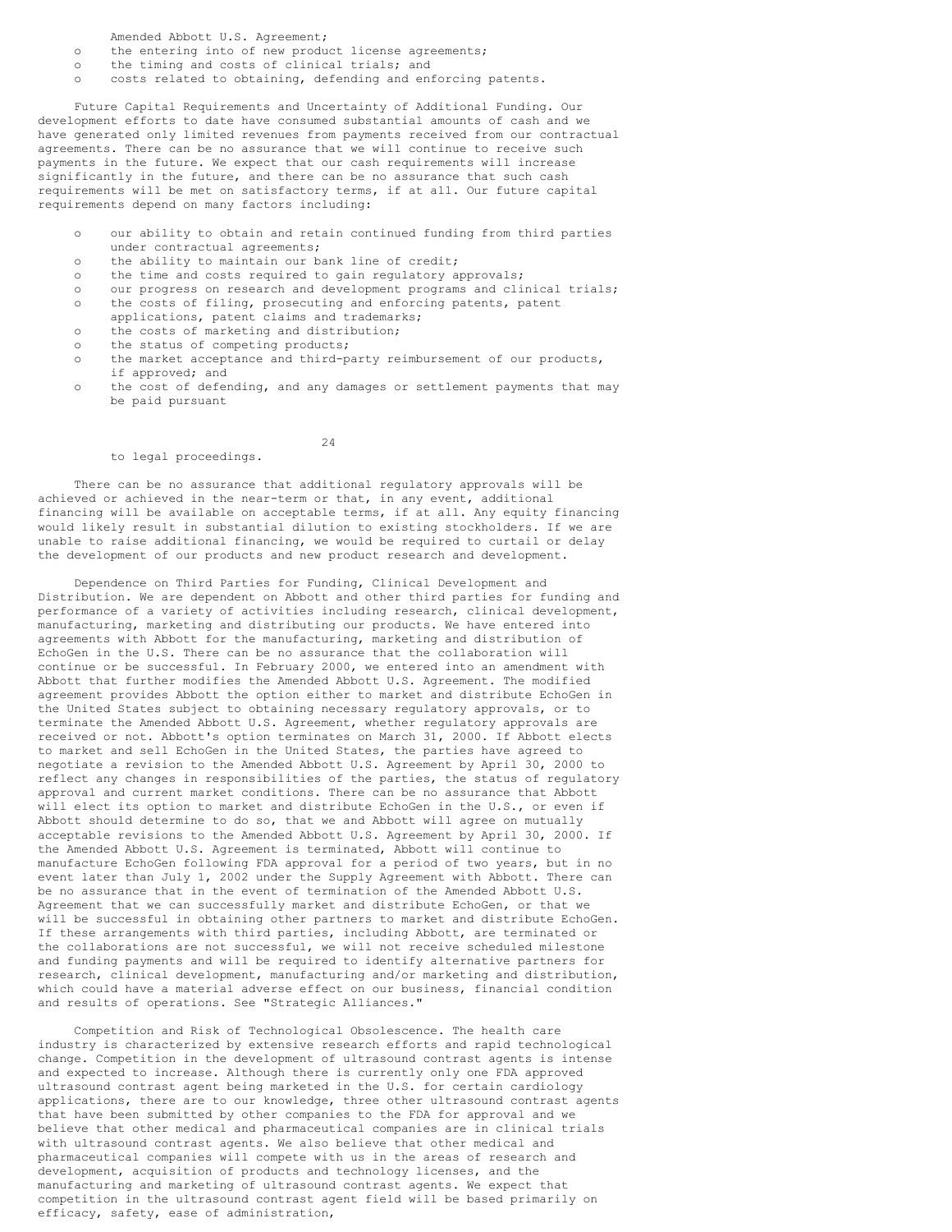Amended Abbott U.S. Agreement;

- o the entering into of new product license agreements;
- o the timing and costs of clinical trials; and
- o costs related to obtaining, defending and enforcing patents.

Future Capital Requirements and Uncertainty of Additional Funding. Our development efforts to date have consumed substantial amounts of cash and we have generated only limited revenues from payments received from our contractual agreements. There can be no assurance that we will continue to receive such payments in the future. We expect that our cash requirements will increase significantly in the future, and there can be no assurance that such cash requirements will be met on satisfactory terms, if at all. Our future capital requirements depend on many factors including:

- o our ability to obtain and retain continued funding from third parties under contractual agreements;
- o the ability to maintain our bank line of credit;
- o the time and costs required to gain regulatory approvals;
- o our progress on research and development programs and clinical trials;
- o the costs of filing, prosecuting and enforcing patents, patent applications, patent claims and trademarks;
- 
- o the costs of marketing and distribution;
- o the status of competing products;
- o the market acceptance and third-party reimbursement of our products, if approved; and
- o the cost of defending, and any damages or settlement payments that may be paid pursuant

#### to legal proceedings.

There can be no assurance that additional regulatory approvals will be achieved or achieved in the near-term or that, in any event, additional financing will be available on acceptable terms, if at all. Any equity financing would likely result in substantial dilution to existing stockholders. If we are unable to raise additional financing, we would be required to curtail or delay the development of our products and new product research and development.

24

Dependence on Third Parties for Funding, Clinical Development and Distribution. We are dependent on Abbott and other third parties for funding and performance of a variety of activities including research, clinical development, manufacturing, marketing and distributing our products. We have entered into agreements with Abbott for the manufacturing, marketing and distribution of EchoGen in the U.S. There can be no assurance that the collaboration will continue or be successful. In February 2000, we entered into an amendment with Abbott that further modifies the Amended Abbott U.S. Agreement. The modified agreement provides Abbott the option either to market and distribute EchoGen in the United States subject to obtaining necessary regulatory approvals, or to terminate the Amended Abbott U.S. Agreement, whether regulatory approvals are received or not. Abbott's option terminates on March 31, 2000. If Abbott elects to market and sell EchoGen in the United States, the parties have agreed to negotiate a revision to the Amended Abbott U.S. Agreement by April 30, 2000 to reflect any changes in responsibilities of the parties, the status of regulatory approval and current market conditions. There can be no assurance that Abbott will elect its option to market and distribute EchoGen in the U.S., or even if Abbott should determine to do so, that we and Abbott will agree on mutually acceptable revisions to the Amended Abbott U.S. Agreement by April 30, 2000. If the Amended Abbott U.S. Agreement is terminated, Abbott will continue to manufacture EchoGen following FDA approval for a period of two years, but in no event later than July 1, 2002 under the Supply Agreement with Abbott. There can be no assurance that in the event of termination of the Amended Abbott U.S. Agreement that we can successfully market and distribute EchoGen, or that we will be successful in obtaining other partners to market and distribute EchoGen. If these arrangements with third parties, including Abbott, are terminated or the collaborations are not successful, we will not receive scheduled milestone and funding payments and will be required to identify alternative partners for research, clinical development, manufacturing and/or marketing and distribution, which could have a material adverse effect on our business, financial condition and results of operations. See "Strategic Alliances."

Competition and Risk of Technological Obsolescence. The health care industry is characterized by extensive research efforts and rapid technological change. Competition in the development of ultrasound contrast agents is intense and expected to increase. Although there is currently only one FDA approved ultrasound contrast agent being marketed in the U.S. for certain cardiology applications, there are to our knowledge, three other ultrasound contrast agents that have been submitted by other companies to the FDA for approval and we believe that other medical and pharmaceutical companies are in clinical trials with ultrasound contrast agents. We also believe that other medical and pharmaceutical companies will compete with us in the areas of research and development, acquisition of products and technology licenses, and the manufacturing and marketing of ultrasound contrast agents. We expect that competition in the ultrasound contrast agent field will be based primarily on efficacy, safety, ease of administration,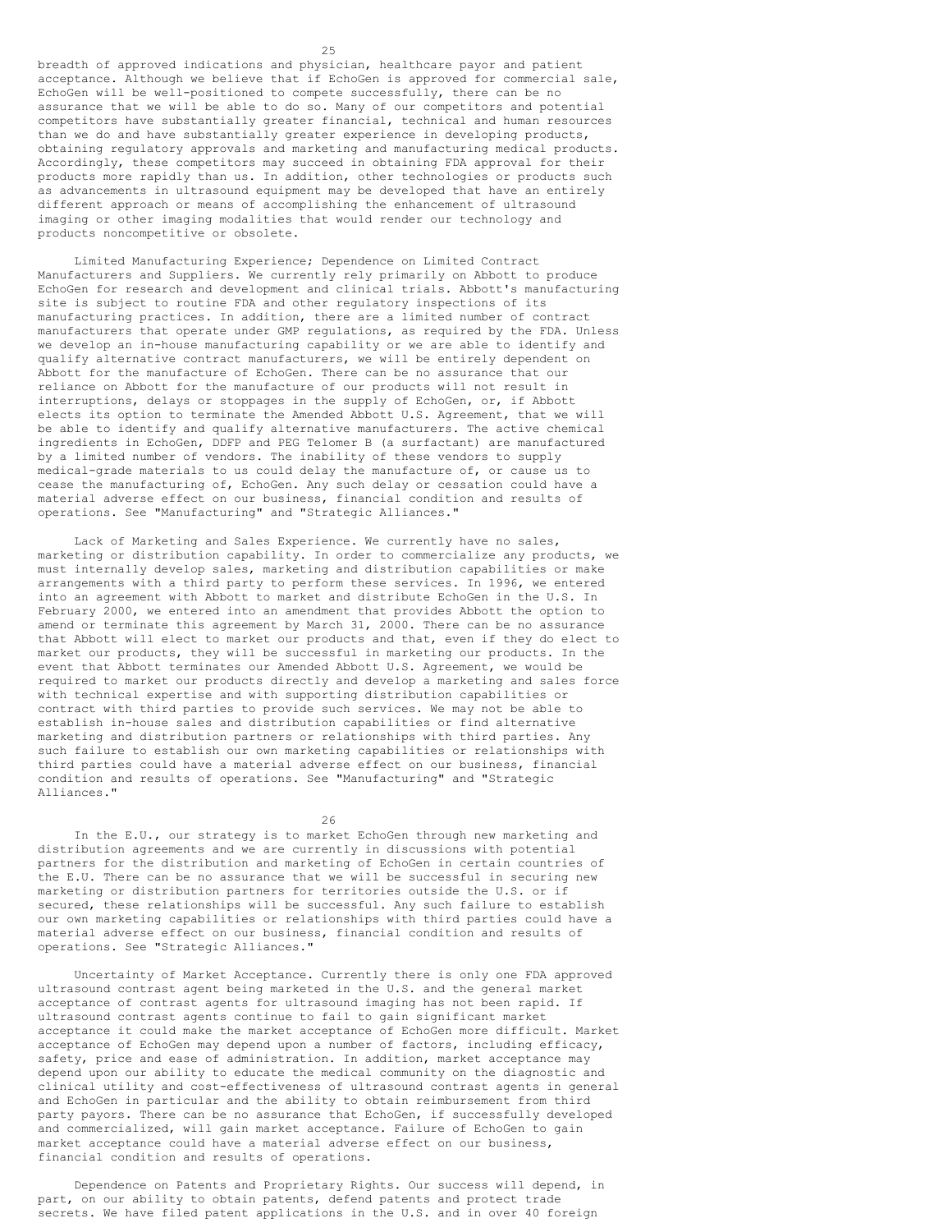breadth of approved indications and physician, healthcare payor and patient acceptance. Although we believe that if EchoGen is approved for commercial sale, EchoGen will be well-positioned to compete successfully, there can be no assurance that we will be able to do so. Many of our competitors and potential competitors have substantially greater financial, technical and human resources than we do and have substantially greater experience in developing products, obtaining regulatory approvals and marketing and manufacturing medical products. Accordingly, these competitors may succeed in obtaining FDA approval for their products more rapidly than us. In addition, other technologies or products such as advancements in ultrasound equipment may be developed that have an entirely different approach or means of accomplishing the enhancement of ultrasound imaging or other imaging modalities that would render our technology and products noncompetitive or obsolete.

Limited Manufacturing Experience; Dependence on Limited Contract Manufacturers and Suppliers. We currently rely primarily on Abbott to produce EchoGen for research and development and clinical trials. Abbott's manufacturing site is subject to routine FDA and other regulatory inspections of its manufacturing practices. In addition, there are a limited number of contract manufacturers that operate under GMP regulations, as required by the FDA. Unless we develop an in-house manufacturing capability or we are able to identify and qualify alternative contract manufacturers, we will be entirely dependent on Abbott for the manufacture of EchoGen. There can be no assurance that our reliance on Abbott for the manufacture of our products will not result in interruptions, delays or stoppages in the supply of EchoGen, or, if Abbott elects its option to terminate the Amended Abbott U.S. Agreement, that we will be able to identify and qualify alternative manufacturers. The active chemical ingredients in EchoGen, DDFP and PEG Telomer B (a surfactant) are manufactured by a limited number of vendors. The inability of these vendors to supply medical-grade materials to us could delay the manufacture of, or cause us to cease the manufacturing of, EchoGen. Any such delay or cessation could have a material adverse effect on our business, financial condition and results of operations. See "Manufacturing" and "Strategic Alliances."

Lack of Marketing and Sales Experience. We currently have no sales, marketing or distribution capability. In order to commercialize any products, we must internally develop sales, marketing and distribution capabilities or make arrangements with a third party to perform these services. In 1996, we entered into an agreement with Abbott to market and distribute EchoGen in the U.S. In February 2000, we entered into an amendment that provides Abbott the option to amend or terminate this agreement by March 31, 2000. There can be no assurance that Abbott will elect to market our products and that, even if they do elect to market our products, they will be successful in marketing our products. In the event that Abbott terminates our Amended Abbott U.S. Agreement, we would be required to market our products directly and develop a marketing and sales force with technical expertise and with supporting distribution capabilities or contract with third parties to provide such services. We may not be able to establish in-house sales and distribution capabilities or find alternative marketing and distribution partners or relationships with third parties. Any such failure to establish our own marketing capabilities or relationships with third parties could have a material adverse effect on our business, financial condition and results of operations. See "Manufacturing" and "Strategic Alliances."

26

In the E.U., our strategy is to market EchoGen through new marketing and distribution agreements and we are currently in discussions with potential partners for the distribution and marketing of EchoGen in certain countries of the E.U. There can be no assurance that we will be successful in securing new marketing or distribution partners for territories outside the U.S. or if secured, these relationships will be successful. Any such failure to establish our own marketing capabilities or relationships with third parties could have a material adverse effect on our business, financial condition and results of operations. See "Strategic Alliances."

Uncertainty of Market Acceptance. Currently there is only one FDA approved ultrasound contrast agent being marketed in the U.S. and the general market acceptance of contrast agents for ultrasound imaging has not been rapid. If ultrasound contrast agents continue to fail to gain significant market acceptance it could make the market acceptance of EchoGen more difficult. Market acceptance of EchoGen may depend upon a number of factors, including efficacy, safety, price and ease of administration. In addition, market acceptance may depend upon our ability to educate the medical community on the diagnostic and clinical utility and cost-effectiveness of ultrasound contrast agents in general and EchoGen in particular and the ability to obtain reimbursement from third party payors. There can be no assurance that EchoGen, if successfully developed and commercialized, will gain market acceptance. Failure of EchoGen to gain market acceptance could have a material adverse effect on our business, financial condition and results of operations.

Dependence on Patents and Proprietary Rights. Our success will depend, in part, on our ability to obtain patents, defend patents and protect trade secrets. We have filed patent applications in the U.S. and in over 40 foreign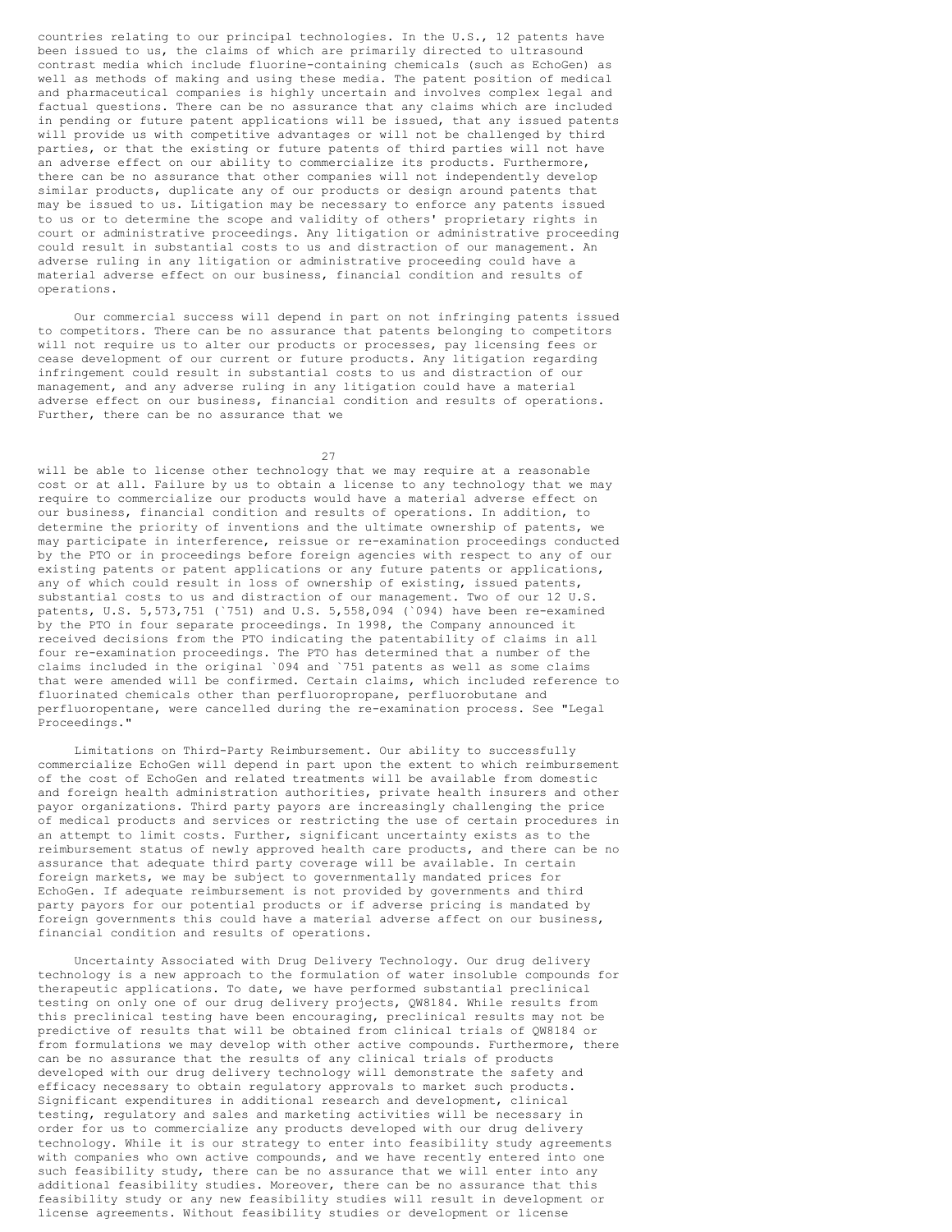countries relating to our principal technologies. In the U.S., 12 patents have been issued to us, the claims of which are primarily directed to ultrasound contrast media which include fluorine-containing chemicals (such as EchoGen) as well as methods of making and using these media. The patent position of medical and pharmaceutical companies is highly uncertain and involves complex legal and factual questions. There can be no assurance that any claims which are included in pending or future patent applications will be issued, that any issued patents will provide us with competitive advantages or will not be challenged by third parties, or that the existing or future patents of third parties will not have an adverse effect on our ability to commercialize its products. Furthermore, there can be no assurance that other companies will not independently develop similar products, duplicate any of our products or design around patents that may be issued to us. Litigation may be necessary to enforce any patents issued to us or to determine the scope and validity of others' proprietary rights in court or administrative proceedings. Any litigation or administrative proceeding could result in substantial costs to us and distraction of our management. An adverse ruling in any litigation or administrative proceeding could have a material adverse effect on our business, financial condition and results of operations.

Our commercial success will depend in part on not infringing patents issued to competitors. There can be no assurance that patents belonging to competitors will not require us to alter our products or processes, pay licensing fees or cease development of our current or future products. Any litigation regarding infringement could result in substantial costs to us and distraction of our management, and any adverse ruling in any litigation could have a material adverse effect on our business, financial condition and results of operations. Further, there can be no assurance that we

27

will be able to license other technology that we may require at a reasonable cost or at all. Failure by us to obtain a license to any technology that we may require to commercialize our products would have a material adverse effect on our business, financial condition and results of operations. In addition, to determine the priority of inventions and the ultimate ownership of patents, we may participate in interference, reissue or re-examination proceedings conducted by the PTO or in proceedings before foreign agencies with respect to any of our existing patents or patent applications or any future patents or applications, any of which could result in loss of ownership of existing, issued patents, substantial costs to us and distraction of our management. Two of our 12 U.S. patents, U.S. 5,573,751 (`751) and U.S. 5,558,094 (`094) have been re-examined by the PTO in four separate proceedings. In 1998, the Company announced it received decisions from the PTO indicating the patentability of claims in all four re-examination proceedings. The PTO has determined that a number of the claims included in the original `094 and `751 patents as well as some claims that were amended will be confirmed. Certain claims, which included reference to fluorinated chemicals other than perfluoropropane, perfluorobutane and perfluoropentane, were cancelled during the re-examination process. See "Legal Proceedings."

Limitations on Third-Party Reimbursement. Our ability to successfully commercialize EchoGen will depend in part upon the extent to which reimbursement of the cost of EchoGen and related treatments will be available from domestic and foreign health administration authorities, private health insurers and other payor organizations. Third party payors are increasingly challenging the price of medical products and services or restricting the use of certain procedures in an attempt to limit costs. Further, significant uncertainty exists as to the reimbursement status of newly approved health care products, and there can be no assurance that adequate third party coverage will be available. In certain foreign markets, we may be subject to governmentally mandated prices for EchoGen. If adequate reimbursement is not provided by governments and third party payors for our potential products or if adverse pricing is mandated by foreign governments this could have a material adverse affect on our business, financial condition and results of operations.

Uncertainty Associated with Drug Delivery Technology. Our drug delivery technology is a new approach to the formulation of water insoluble compounds for therapeutic applications. To date, we have performed substantial preclinical testing on only one of our drug delivery projects, QW8184. While results from this preclinical testing have been encouraging, preclinical results may not be predictive of results that will be obtained from clinical trials of QW8184 or from formulations we may develop with other active compounds. Furthermore, there can be no assurance that the results of any clinical trials of products developed with our drug delivery technology will demonstrate the safety and efficacy necessary to obtain regulatory approvals to market such products. Significant expenditures in additional research and development, clinical testing, regulatory and sales and marketing activities will be necessary in order for us to commercialize any products developed with our drug delivery technology. While it is our strategy to enter into feasibility study agreements with companies who own active compounds, and we have recently entered into one such feasibility study, there can be no assurance that we will enter into any additional feasibility studies. Moreover, there can be no assurance that this feasibility study or any new feasibility studies will result in development or license agreements. Without feasibility studies or development or license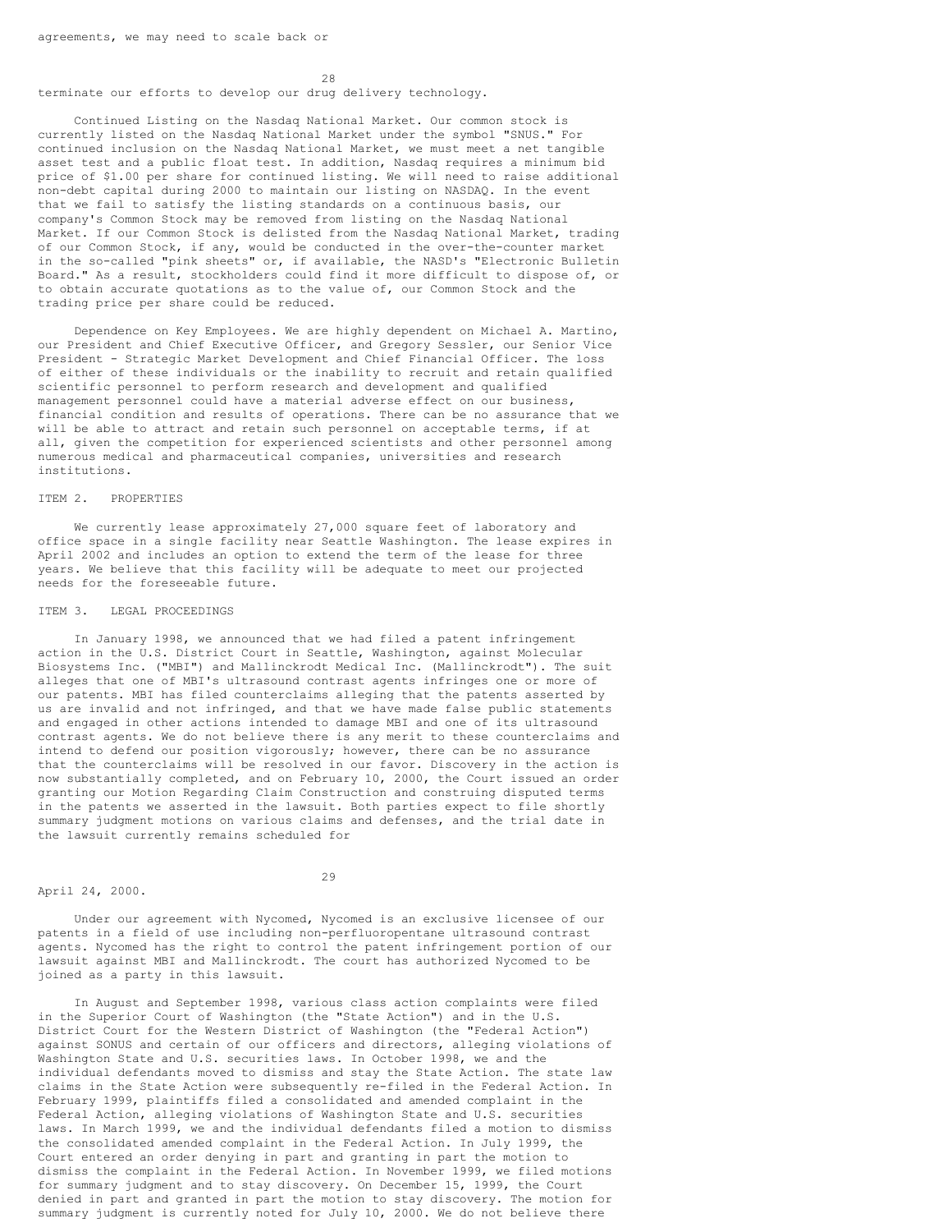28 terminate our efforts to develop our drug delivery technology.

Continued Listing on the Nasdaq National Market. Our common stock is currently listed on the Nasdaq National Market under the symbol "SNUS." For continued inclusion on the Nasdaq National Market, we must meet a net tangible asset test and a public float test. In addition, Nasdaq requires a minimum bid price of \$1.00 per share for continued listing. We will need to raise additional non-debt capital during 2000 to maintain our listing on NASDAQ. In the event that we fail to satisfy the listing standards on a continuous basis, our company's Common Stock may be removed from listing on the Nasdaq National Market. If our Common Stock is delisted from the Nasdaq National Market, trading of our Common Stock, if any, would be conducted in the over-the-counter market in the so-called "pink sheets" or, if available, the NASD's "Electronic Bulletin Board." As a result, stockholders could find it more difficult to dispose of, or to obtain accurate quotations as to the value of, our Common Stock and the trading price per share could be reduced.

Dependence on Key Employees. We are highly dependent on Michael A. Martino, our President and Chief Executive Officer, and Gregory Sessler, our Senior Vice President - Strategic Market Development and Chief Financial Officer. The loss of either of these individuals or the inability to recruit and retain qualified scientific personnel to perform research and development and qualified management personnel could have a material adverse effect on our business, financial condition and results of operations. There can be no assurance that we will be able to attract and retain such personnel on acceptable terms, if at all, given the competition for experienced scientists and other personnel among numerous medical and pharmaceutical companies, universities and research institutions.

## ITEM 2. PROPERTIES

We currently lease approximately 27,000 square feet of laboratory and office space in a single facility near Seattle Washington. The lease expires in April 2002 and includes an option to extend the term of the lease for three years. We believe that this facility will be adequate to meet our projected needs for the foreseeable future.

#### ITEM 3. LEGAL PROCEEDINGS

In January 1998, we announced that we had filed a patent infringement action in the U.S. District Court in Seattle, Washington, against Molecular Biosystems Inc. ("MBI") and Mallinckrodt Medical Inc. (Mallinckrodt"). The suit alleges that one of MBI's ultrasound contrast agents infringes one or more of our patents. MBI has filed counterclaims alleging that the patents asserted by us are invalid and not infringed, and that we have made false public statements and engaged in other actions intended to damage MBI and one of its ultrasound contrast agents. We do not believe there is any merit to these counterclaims and intend to defend our position vigorously; however, there can be no assurance that the counterclaims will be resolved in our favor. Discovery in the action is now substantially completed, and on February 10, 2000, the Court issued an order granting our Motion Regarding Claim Construction and construing disputed terms in the patents we asserted in the lawsuit. Both parties expect to file shortly summary judgment motions on various claims and defenses, and the trial date in the lawsuit currently remains scheduled for

April 24, 2000.

29

Under our agreement with Nycomed, Nycomed is an exclusive licensee of our patents in a field of use including non-perfluoropentane ultrasound contrast agents. Nycomed has the right to control the patent infringement portion of our lawsuit against MBI and Mallinckrodt. The court has authorized Nycomed to be joined as a party in this lawsuit.

In August and September 1998, various class action complaints were filed in the Superior Court of Washington (the "State Action") and in the U.S. District Court for the Western District of Washington (the "Federal Action") against SONUS and certain of our officers and directors, alleging violations of Washington State and U.S. securities laws. In October 1998, we and the individual defendants moved to dismiss and stay the State Action. The state law claims in the State Action were subsequently re-filed in the Federal Action. In February 1999, plaintiffs filed a consolidated and amended complaint in the Federal Action, alleging violations of Washington State and U.S. securities laws. In March 1999, we and the individual defendants filed a motion to dismiss the consolidated amended complaint in the Federal Action. In July 1999, the Court entered an order denying in part and granting in part the motion to dismiss the complaint in the Federal Action. In November 1999, we filed motions for summary judgment and to stay discovery. On December 15, 1999, the Court denied in part and granted in part the motion to stay discovery. The motion for summary judgment is currently noted for July 10, 2000. We do not believe there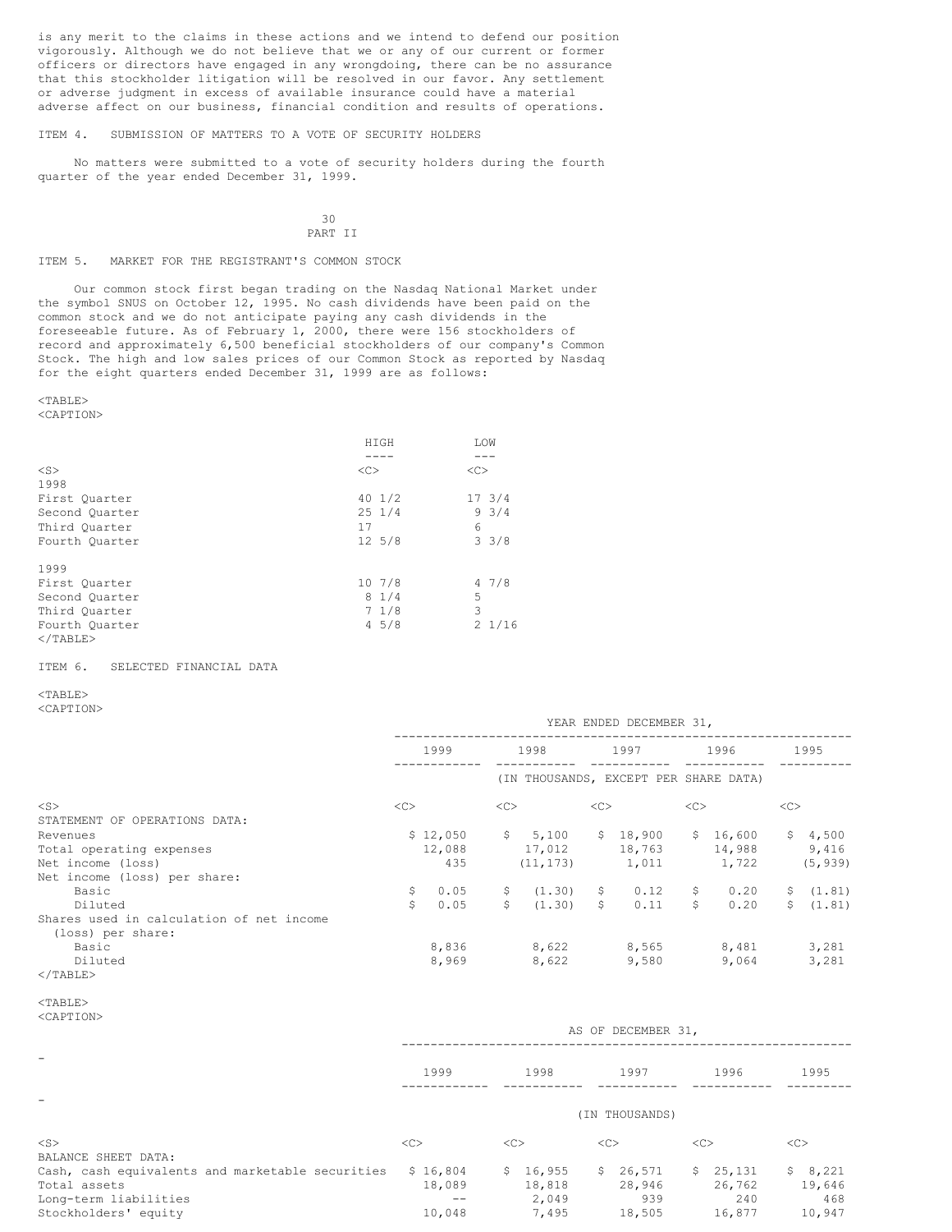is any merit to the claims in these actions and we intend to defend our position vigorously. Although we do not believe that we or any of our current or former officers or directors have engaged in any wrongdoing, there can be no assurance that this stockholder litigation will be resolved in our favor. Any settlement or adverse judgment in excess of available insurance could have a material adverse affect on our business, financial condition and results of operations.

ITEM 4. SUBMISSION OF MATTERS TO A VOTE OF SECURITY HOLDERS

No matters were submitted to a vote of security holders during the fourth quarter of the year ended December 31, 1999.

## 30 PART II

#### ITEM 5. MARKET FOR THE REGISTRANT'S COMMON STOCK

Our common stock first began trading on the Nasdaq National Market under the symbol SNUS on October 12, 1995. No cash dividends have been paid on the common stock and we do not anticipate paying any cash dividends in the foreseeable future. As of February 1, 2000, there were 156 stockholders of record and approximately 6,500 beneficial stockholders of our company's Common Stock. The high and low sales prices of our Common Stock as reported by Nasdaq for the eight quarters ended December 31, 1999 are as follows:

#### <TABLE>

## <CAPTION>

|                |    | HIGH             |    | LOW             |
|----------------|----|------------------|----|-----------------|
|                |    |                  |    |                 |
| $<$ S $>$      | << |                  | << |                 |
| 1998           |    |                  |    |                 |
| First Ouarter  |    | $40 \frac{1}{2}$ |    | 173/4           |
| Second Quarter |    | $25 \frac{1}{4}$ |    | 93/4            |
| Third Ouarter  | 17 |                  | 6  |                 |
| Fourth Quarter |    | $12 \frac{5}{8}$ |    | $3 \frac{3}{8}$ |
| 1999           |    |                  |    |                 |
| First Ouarter  |    | 107/8            |    | 47/8            |
| Second Quarter |    | 81/4             | 5  |                 |
| Third Ouarter  |    | 71/8             | 3  |                 |
| Fourth Quarter |    | 45/8             |    | $2\frac{1}{16}$ |
| $<$ /TABLE>    |    |                  |    |                 |

#### ITEM 6. SELECTED FINANCIAL DATA

## <TABLE>

<CAPTION>

|                                          | YEAR ENDED DECEMBER 31, |          |                |           |      |                                       |      |        |      |           |
|------------------------------------------|-------------------------|----------|----------------|-----------|------|---------------------------------------|------|--------|------|-----------|
|                                          | 1999                    |          | 1998           |           | 1997 |                                       | 1996 |        | 1995 |           |
|                                          |                         |          |                |           |      | (IN THOUSANDS, EXCEPT PER SHARE DATA) |      |        |      |           |
| $<$ S $>$                                | <<                      |          | <<             |           | <<   |                                       | <<   |        | <<   |           |
| STATEMENT OF OPERATIONS DATA:            |                         |          |                |           |      |                                       |      |        |      |           |
| Revenues                                 |                         | \$12,050 | $\mathsf{S}^-$ | 5,100     | S.   | 18,900                                | \$   | 16,600 | S.   | 4,500     |
| Total operating expenses                 |                         | 12,088   |                | 17,012    |      | 18,763                                |      | 14,988 |      | 9,416     |
| Net income (loss)                        |                         | 435      |                | (11, 173) |      | 1,011                                 |      | 1,722  |      | (5, 939)  |
| Net income (loss) per share:             |                         |          |                |           |      |                                       |      |        |      |           |
| Basic                                    | \$                      | 0.05     | S.             | (1, 30)   | S.   | 0.12                                  | \$   | 0.20   |      | \$ (1.81) |
| Diluted                                  | Ŝ.                      | 0.05     | Ŝ.             | (1, 30)   | \$   | 0.11                                  | \$   | 0.20   | S.   | (1.81)    |
| Shares used in calculation of net income |                         |          |                |           |      |                                       |      |        |      |           |
| (loss) per share:                        |                         |          |                |           |      |                                       |      |        |      |           |
| Basic                                    |                         | 8,836    |                | 8,622     |      | 8,565                                 |      | 8,481  |      | 3,281     |
| Diluted                                  |                         | 8,969    |                | 8,622     |      | 9,580                                 |      | 9,064  |      | 3,281     |
| $\langle$ /TABLE>                        |                         |          |                |           |      |                                       |      |        |      |           |

<sup>&</sup>lt;TABLE>

| <caption></caption>                                                                                               |                                      |                                      | AS OF DECEMBER 31,                  |                                     |                                    |
|-------------------------------------------------------------------------------------------------------------------|--------------------------------------|--------------------------------------|-------------------------------------|-------------------------------------|------------------------------------|
|                                                                                                                   | 1999                                 | 1998                                 | 1997                                | 1996                                | 1995                               |
|                                                                                                                   |                                      |                                      | (IN THOUSANDS)                      |                                     |                                    |
| $<$ S $>$<br>BALANCE SHEET DATA:                                                                                  | <<                                   | <<                                   | <<                                  | <<                                  | <<                                 |
| Cash, cash equivalents and marketable securities<br>Total assets<br>Long-term liabilities<br>Stockholders' equity | \$16,804<br>18,089<br>$ -$<br>10,048 | \$16,955<br>18,818<br>2,049<br>7,495 | \$26,571<br>28,946<br>939<br>18,505 | \$25,131<br>26,762<br>240<br>16,877 | \$8,221<br>19,646<br>468<br>10,947 |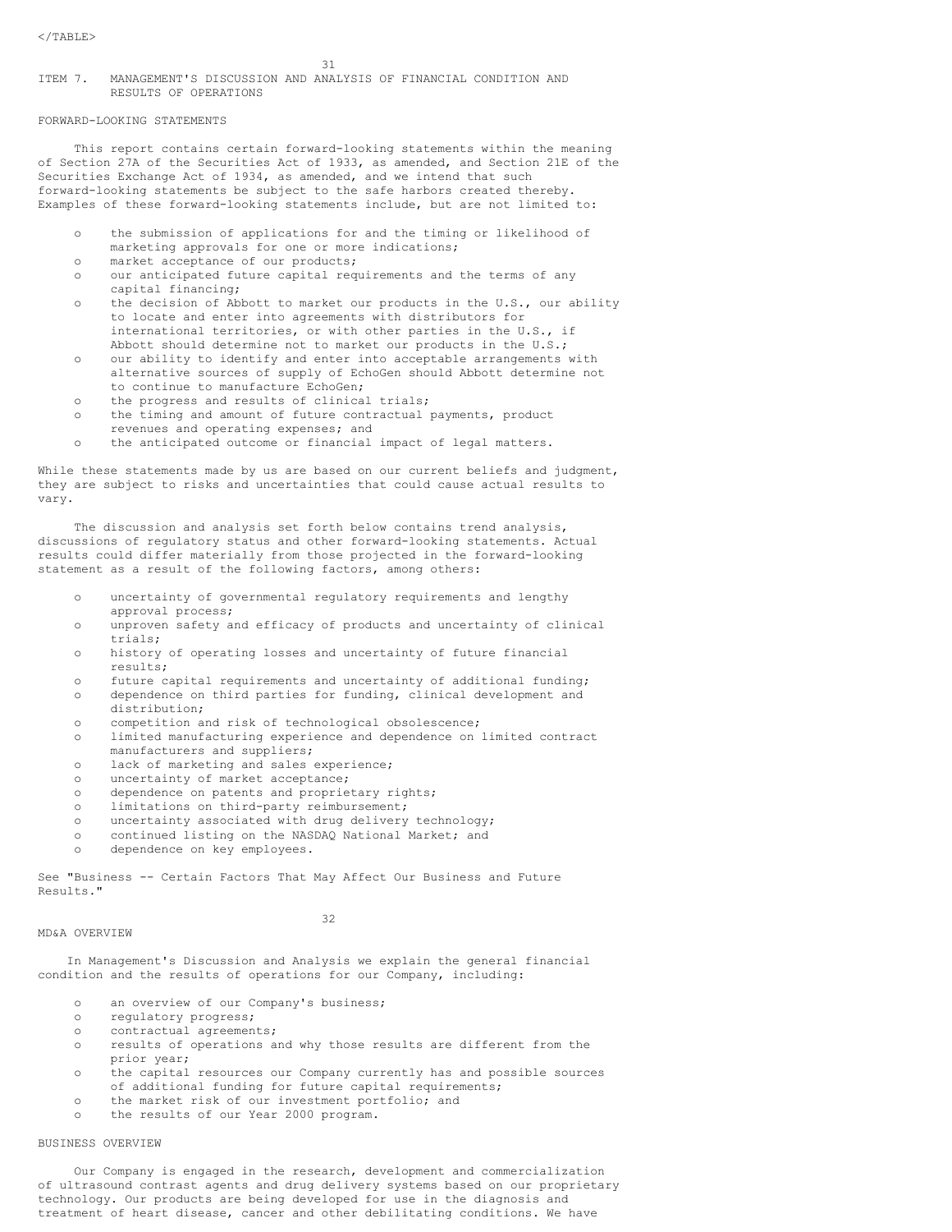## ITEM 7. MANAGEMENT'S DISCUSSION AND ANALYSIS OF FINANCIAL CONDITION AND RESULTS OF OPERATIONS

## FORWARD-LOOKING STATEMENTS

This report contains certain forward-looking statements within the meaning of Section 27A of the Securities Act of 1933, as amended, and Section 21E of the Securities Exchange Act of 1934, as amended, and we intend that such forward-looking statements be subject to the safe harbors created thereby. Examples of these forward-looking statements include, but are not limited to:

- the submission of applications for and the timing or likelihood of marketing approvals for one or more indications;
- o market acceptance of our products;
- o our anticipated future capital requirements and the terms of any capital financing;
- o the decision of Abbott to market our products in the U.S., our ability to locate and enter into agreements with distributors for international territories, or with other parties in the U.S., if Abbott should determine not to market our products in the U.S.;
- o our ability to identify and enter into acceptable arrangements with alternative sources of supply of EchoGen should Abbott determine not to continue to manufacture EchoGen;
- o the progress and results of clinical trials;
- o the timing and amount of future contractual payments, product revenues and operating expenses; and
- o the anticipated outcome or financial impact of legal matters.

While these statements made by us are based on our current beliefs and judgment, they are subject to risks and uncertainties that could cause actual results to vary.

The discussion and analysis set forth below contains trend analysis, discussions of regulatory status and other forward-looking statements. Actual results could differ materially from those projected in the forward-looking statement as a result of the following factors, among others:

- o uncertainty of governmental regulatory requirements and lengthy approval process;
- o unproven safety and efficacy of products and uncertainty of clinical trials;
- o history of operating losses and uncertainty of future financial results;
- o future capital requirements and uncertainty of additional funding;
- o dependence on third parties for funding, clinical development and distribution;
- o competition and risk of technological obsolescence;
- o limited manufacturing experience and dependence on limited contract manufacturers and suppliers;
- o lack of marketing and sales experience;
- o uncertainty of market acceptance;
- o dependence on patents and proprietary rights;
- o limitations on third-party reimbursement;
- o uncertainty associated with drug delivery technology;
- o continued listing on the NASDAQ National Market; and
- dependence on key employees.

See "Business -- Certain Factors That May Affect Our Business and Future Results."

## MD&A OVERVIEW

## 32

In Management's Discussion and Analysis we explain the general financial condition and the results of operations for our Company, including:

- o an overview of our Company's business;
- o regulatory progress;
- o contractual agreements;
- o results of operations and why those results are different from the prior year;
- o the capital resources our Company currently has and possible sources of additional funding for future capital requirements;
- o the market risk of our investment portfolio; and
- o the results of our Year 2000 program.

## BUSINESS OVERVIEW

Our Company is engaged in the research, development and commercialization of ultrasound contrast agents and drug delivery systems based on our proprietary technology. Our products are being developed for use in the diagnosis and treatment of heart disease, cancer and other debilitating conditions. We have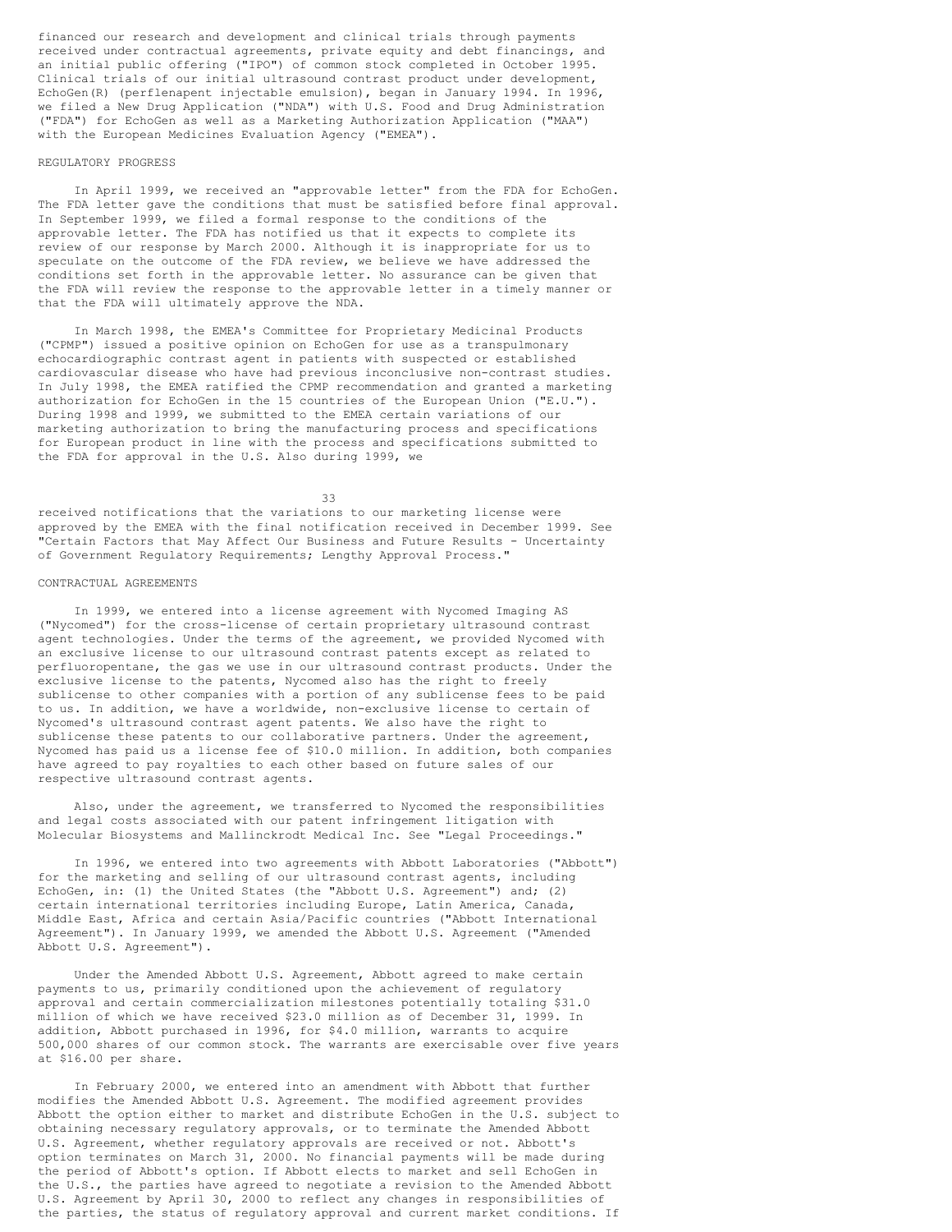financed our research and development and clinical trials through payments received under contractual agreements, private equity and debt financings, and an initial public offering ("IPO") of common stock completed in October 1995. Clinical trials of our initial ultrasound contrast product under development, EchoGen(R) (perflenapent injectable emulsion), began in January 1994. In 1996, we filed a New Drug Application ("NDA") with U.S. Food and Drug Administration ("FDA") for EchoGen as well as a Marketing Authorization Application ("MAA") with the European Medicines Evaluation Agency ("EMEA").

#### REGULATORY PROGRESS

In April 1999, we received an "approvable letter" from the FDA for EchoGen. The FDA letter gave the conditions that must be satisfied before final approval. In September 1999, we filed a formal response to the conditions of the approvable letter. The FDA has notified us that it expects to complete its review of our response by March 2000. Although it is inappropriate for us to speculate on the outcome of the FDA review, we believe we have addressed the conditions set forth in the approvable letter. No assurance can be given that the FDA will review the response to the approvable letter in a timely manner or that the FDA will ultimately approve the NDA.

In March 1998, the EMEA's Committee for Proprietary Medicinal Products ("CPMP") issued a positive opinion on EchoGen for use as a transpulmonary echocardiographic contrast agent in patients with suspected or established cardiovascular disease who have had previous inconclusive non-contrast studies. In July 1998, the EMEA ratified the CPMP recommendation and granted a marketing authorization for EchoGen in the 15 countries of the European Union ("E.U."). During 1998 and 1999, we submitted to the EMEA certain variations of our marketing authorization to bring the manufacturing process and specifications for European product in line with the process and specifications submitted to the FDA for approval in the U.S. Also during 1999, we

33

received notifications that the variations to our marketing license were approved by the EMEA with the final notification received in December 1999. See "Certain Factors that May Affect Our Business and Future Results - Uncertainty of Government Regulatory Requirements; Lengthy Approval Process."

## CONTRACTUAL AGREEMENTS

In 1999, we entered into a license agreement with Nycomed Imaging AS ("Nycomed") for the cross-license of certain proprietary ultrasound contrast agent technologies. Under the terms of the agreement, we provided Nycomed with an exclusive license to our ultrasound contrast patents except as related to perfluoropentane, the gas we use in our ultrasound contrast products. Under the exclusive license to the patents, Nycomed also has the right to freely sublicense to other companies with a portion of any sublicense fees to be paid to us. In addition, we have a worldwide, non-exclusive license to certain of Nycomed's ultrasound contrast agent patents. We also have the right to sublicense these patents to our collaborative partners. Under the agreement, Nycomed has paid us a license fee of \$10.0 million. In addition, both companies have agreed to pay royalties to each other based on future sales of our respective ultrasound contrast agents.

Also, under the agreement, we transferred to Nycomed the responsibilities and legal costs associated with our patent infringement litigation with Molecular Biosystems and Mallinckrodt Medical Inc. See "Legal Proceedings."

In 1996, we entered into two agreements with Abbott Laboratories ("Abbott") for the marketing and selling of our ultrasound contrast agents, including EchoGen, in: (1) the United States (the "Abbott U.S. Agreement") and; (2) certain international territories including Europe, Latin America, Canada, Middle East, Africa and certain Asia/Pacific countries ("Abbott International Agreement"). In January 1999, we amended the Abbott U.S. Agreement ("Amended Abbott U.S. Agreement").

Under the Amended Abbott U.S. Agreement, Abbott agreed to make certain payments to us, primarily conditioned upon the achievement of regulatory approval and certain commercialization milestones potentially totaling \$31.0 million of which we have received \$23.0 million as of December 31, 1999. In addition, Abbott purchased in 1996, for \$4.0 million, warrants to acquire 500,000 shares of our common stock. The warrants are exercisable over five years at \$16.00 per share.

In February 2000, we entered into an amendment with Abbott that further modifies the Amended Abbott U.S. Agreement. The modified agreement provides Abbott the option either to market and distribute EchoGen in the U.S. subject to obtaining necessary regulatory approvals, or to terminate the Amended Abbott U.S. Agreement, whether regulatory approvals are received or not. Abbott's option terminates on March 31, 2000. No financial payments will be made during the period of Abbott's option. If Abbott elects to market and sell EchoGen in the U.S., the parties have agreed to negotiate a revision to the Amended Abbott U.S. Agreement by April 30, 2000 to reflect any changes in responsibilities of the parties, the status of regulatory approval and current market conditions. If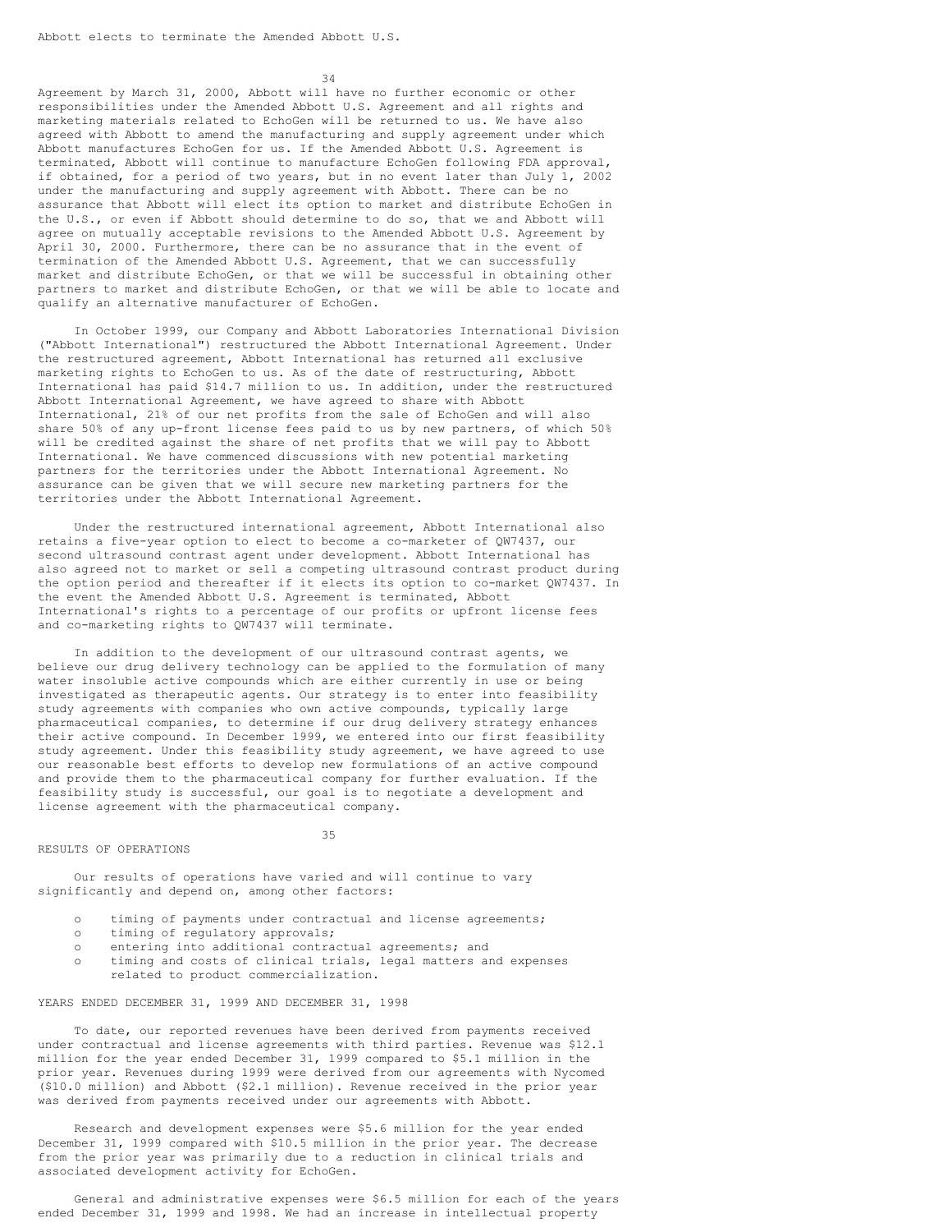34

Agreement by March 31, 2000, Abbott will have no further economic or other responsibilities under the Amended Abbott U.S. Agreement and all rights and marketing materials related to EchoGen will be returned to us. We have also agreed with Abbott to amend the manufacturing and supply agreement under which Abbott manufactures EchoGen for us. If the Amended Abbott U.S. Agreement is terminated, Abbott will continue to manufacture EchoGen following FDA approval, if obtained, for a period of two years, but in no event later than July 1, 2002 under the manufacturing and supply agreement with Abbott. There can be no assurance that Abbott will elect its option to market and distribute EchoGen in the U.S., or even if Abbott should determine to do so, that we and Abbott will agree on mutually acceptable revisions to the Amended Abbott U.S. Agreement by April 30, 2000. Furthermore, there can be no assurance that in the event of termination of the Amended Abbott U.S. Agreement, that we can successfully market and distribute EchoGen, or that we will be successful in obtaining other partners to market and distribute EchoGen, or that we will be able to locate and qualify an alternative manufacturer of EchoGen.

In October 1999, our Company and Abbott Laboratories International Division ("Abbott International") restructured the Abbott International Agreement. Under the restructured agreement, Abbott International has returned all exclusive marketing rights to EchoGen to us. As of the date of restructuring, Abbott International has paid \$14.7 million to us. In addition, under the restructured Abbott International Agreement, we have agreed to share with Abbott International, 21% of our net profits from the sale of EchoGen and will also share 50% of any up-front license fees paid to us by new partners, of which 50% will be credited against the share of net profits that we will pay to Abbott International. We have commenced discussions with new potential marketing partners for the territories under the Abbott International Agreement. No assurance can be given that we will secure new marketing partners for the territories under the Abbott International Agreement.

Under the restructured international agreement, Abbott International also retains a five-year option to elect to become a co-marketer of QW7437, our second ultrasound contrast agent under development. Abbott International has also agreed not to market or sell a competing ultrasound contrast product during the option period and thereafter if it elects its option to co-market QW7437. In the event the Amended Abbott U.S. Agreement is terminated, Abbott International's rights to a percentage of our profits or upfront license fees and co-marketing rights to QW7437 will terminate.

In addition to the development of our ultrasound contrast agents, we believe our drug delivery technology can be applied to the formulation of many water insoluble active compounds which are either currently in use or being investigated as therapeutic agents. Our strategy is to enter into feasibility study agreements with companies who own active compounds, typically large pharmaceutical companies, to determine if our drug delivery strategy enhances their active compound. In December 1999, we entered into our first feasibility study agreement. Under this feasibility study agreement, we have agreed to use our reasonable best efforts to develop new formulations of an active compound and provide them to the pharmaceutical company for further evaluation. If the feasibility study is successful, our goal is to negotiate a development and license agreement with the pharmaceutical company.

#### RESULTS OF OPERATIONS

35

Our results of operations have varied and will continue to vary significantly and depend on, among other factors:

- o timing of payments under contractual and license agreements;
- o timing of regulatory approvals;
- o entering into additional contractual agreements; and
- o timing and costs of clinical trials, legal matters and expenses related to product commercialization.

YEARS ENDED DECEMBER 31, 1999 AND DECEMBER 31, 1998

To date, our reported revenues have been derived from payments received under contractual and license agreements with third parties. Revenue was \$12.1 million for the year ended December 31, 1999 compared to \$5.1 million in the prior year. Revenues during 1999 were derived from our agreements with Nycomed (\$10.0 million) and Abbott (\$2.1 million). Revenue received in the prior year was derived from payments received under our agreements with Abbott.

Research and development expenses were \$5.6 million for the year ended December 31, 1999 compared with \$10.5 million in the prior year. The decrease from the prior year was primarily due to a reduction in clinical trials and associated development activity for EchoGen.

General and administrative expenses were \$6.5 million for each of the years ended December 31, 1999 and 1998. We had an increase in intellectual property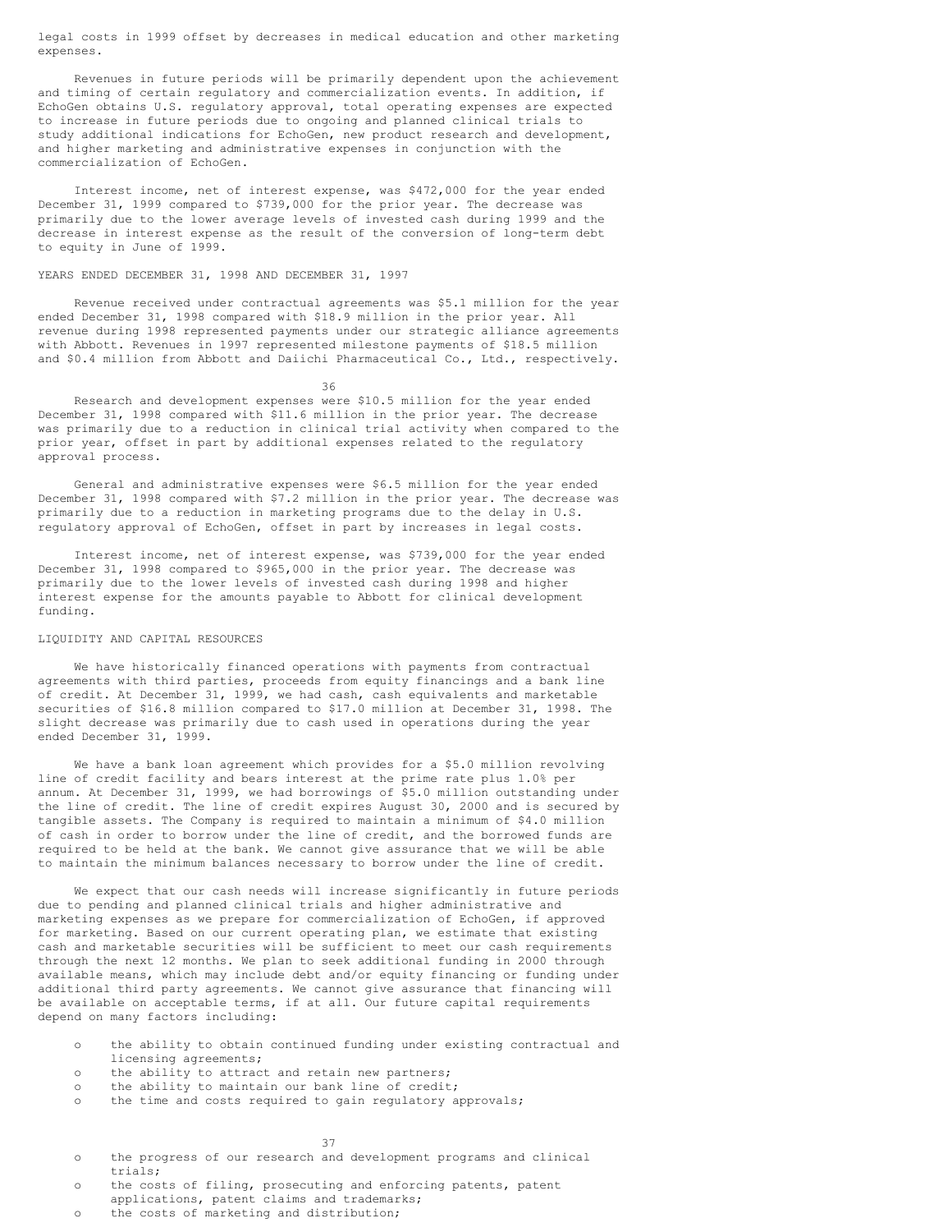legal costs in 1999 offset by decreases in medical education and other marketing expenses.

Revenues in future periods will be primarily dependent upon the achievement and timing of certain regulatory and commercialization events. In addition, if EchoGen obtains U.S. regulatory approval, total operating expenses are expected to increase in future periods due to ongoing and planned clinical trials to study additional indications for EchoGen, new product research and development, and higher marketing and administrative expenses in conjunction with the commercialization of EchoGen.

Interest income, net of interest expense, was \$472,000 for the year ended December 31, 1999 compared to \$739,000 for the prior year. The decrease was primarily due to the lower average levels of invested cash during 1999 and the decrease in interest expense as the result of the conversion of long-term debt to equity in June of 1999.

## YEARS ENDED DECEMBER 31, 1998 AND DECEMBER 31, 1997

Revenue received under contractual agreements was \$5.1 million for the year ended December 31, 1998 compared with \$18.9 million in the prior year. All revenue during 1998 represented payments under our strategic alliance agreements with Abbott. Revenues in 1997 represented milestone payments of \$18.5 million and \$0.4 million from Abbott and Daiichi Pharmaceutical Co., Ltd., respectively.

36

Research and development expenses were \$10.5 million for the year ended December 31, 1998 compared with \$11.6 million in the prior year. The decrease was primarily due to a reduction in clinical trial activity when compared to the prior year, offset in part by additional expenses related to the regulatory approval process.

General and administrative expenses were \$6.5 million for the year ended December 31, 1998 compared with \$7.2 million in the prior year. The decrease was primarily due to a reduction in marketing programs due to the delay in U.S. regulatory approval of EchoGen, offset in part by increases in legal costs.

Interest income, net of interest expense, was \$739,000 for the year ended December 31, 1998 compared to \$965,000 in the prior year. The decrease was primarily due to the lower levels of invested cash during 1998 and higher interest expense for the amounts payable to Abbott for clinical development funding.

### LIQUIDITY AND CAPITAL RESOURCES

We have historically financed operations with payments from contractual agreements with third parties, proceeds from equity financings and a bank line of credit. At December 31, 1999, we had cash, cash equivalents and marketable securities of \$16.8 million compared to \$17.0 million at December 31, 1998. The slight decrease was primarily due to cash used in operations during the year ended December 31, 1999.

We have a bank loan agreement which provides for a \$5.0 million revolving line of credit facility and bears interest at the prime rate plus 1.0% per annum. At December 31, 1999, we had borrowings of \$5.0 million outstanding under the line of credit. The line of credit expires August 30, 2000 and is secured by tangible assets. The Company is required to maintain a minimum of \$4.0 million of cash in order to borrow under the line of credit, and the borrowed funds are required to be held at the bank. We cannot give assurance that we will be able to maintain the minimum balances necessary to borrow under the line of credit.

We expect that our cash needs will increase significantly in future periods due to pending and planned clinical trials and higher administrative and marketing expenses as we prepare for commercialization of EchoGen, if approved for marketing. Based on our current operating plan, we estimate that existing cash and marketable securities will be sufficient to meet our cash requirements through the next 12 months. We plan to seek additional funding in 2000 through available means, which may include debt and/or equity financing or funding under additional third party agreements. We cannot give assurance that financing will be available on acceptable terms, if at all. Our future capital requirements depend on many factors including:

- o the ability to obtain continued funding under existing contractual and licensing agreements;
- o the ability to attract and retain new partners;
- o the ability to maintain our bank line of credit;
- o the time and costs required to gain regulatory approvals;

#### 37

- o the progress of our research and development programs and clinical trials;
- o the costs of filing, prosecuting and enforcing patents, patent applications, patent claims and trademarks;
- o the costs of marketing and distribution;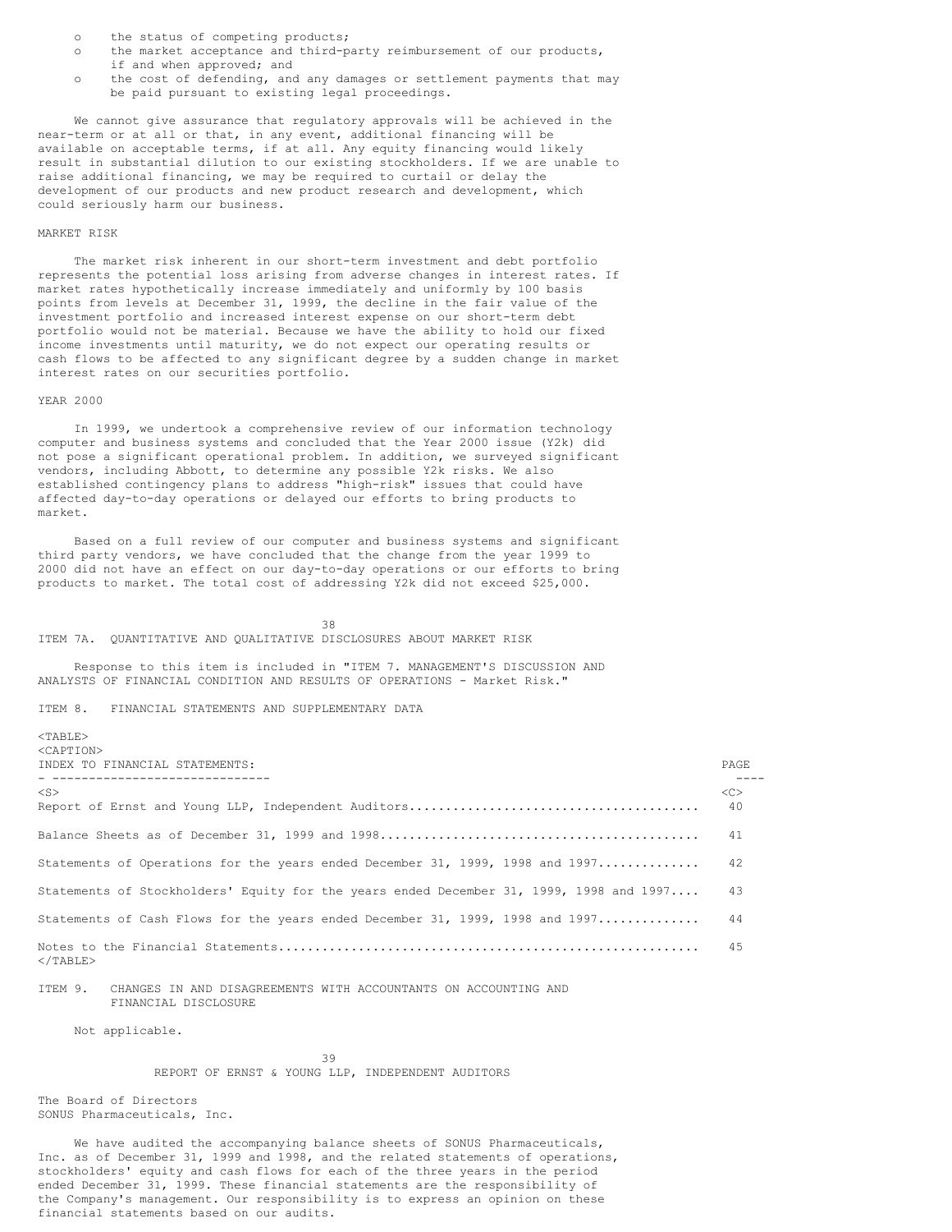- o the status of competing products;
- o the market acceptance and third-party reimbursement of our products, if and when approved; and
- o the cost of defending, and any damages or settlement payments that may be paid pursuant to existing legal proceedings.

We cannot give assurance that regulatory approvals will be achieved in the near-term or at all or that, in any event, additional financing will be available on acceptable terms, if at all. Any equity financing would likely result in substantial dilution to our existing stockholders. If we are unable to raise additional financing, we may be required to curtail or delay the development of our products and new product research and development, which could seriously harm our business.

## MARKET RISK

The market risk inherent in our short-term investment and debt portfolio represents the potential loss arising from adverse changes in interest rates. If market rates hypothetically increase immediately and uniformly by 100 basis points from levels at December 31, 1999, the decline in the fair value of the investment portfolio and increased interest expense on our short-term debt portfolio would not be material. Because we have the ability to hold our fixed income investments until maturity, we do not expect our operating results or cash flows to be affected to any significant degree by a sudden change in market interest rates on our securities portfolio.

### YEAR 2000

In 1999, we undertook a comprehensive review of our information technology computer and business systems and concluded that the Year 2000 issue (Y2k) did not pose a significant operational problem. In addition, we surveyed significant vendors, including Abbott, to determine any possible Y2k risks. We also established contingency plans to address "high-risk" issues that could have affected day-to-day operations or delayed our efforts to bring products to market.

Based on a full review of our computer and business systems and significant third party vendors, we have concluded that the change from the year 1999 to 2000 did not have an effect on our day-to-day operations or our efforts to bring products to market. The total cost of addressing Y2k did not exceed \$25,000.

38 ITEM 7A. QUANTITATIVE AND QUALITATIVE DISCLOSURES ABOUT MARKET RISK

Response to this item is included in "ITEM 7. MANAGEMENT'S DISCUSSION AND ANALYSTS OF FINANCIAL CONDITION AND RESULTS OF OPERATIONS - Market Risk."

## ITEM 8. FINANCIAL STATEMENTS AND SUPPLEMENTARY DATA

 $<$ TABLE> <CAPTION>

| INDEX TO FINANCIAL STATEMENTS:<br>___________________________________                   | <b>PAGE</b> |
|-----------------------------------------------------------------------------------------|-------------|
| $<$ S $>$                                                                               | <<<br>40    |
|                                                                                         | 41          |
| Statements of Operations for the years ended December 31, 1999, 1998 and 1997           | 42          |
| Statements of Stockholders' Equity for the years ended December 31, 1999, 1998 and 1997 | 43          |
| Statements of Cash Flows for the years ended December 31, 1999, 1998 and 1997           | 44          |
| $<$ /TABLE>                                                                             | 45          |

ITEM 9. CHANGES IN AND DISAGREEMENTS WITH ACCOUNTANTS ON ACCOUNTING AND FINANCIAL DISCLOSURE

Not applicable.

39 REPORT OF ERNST & YOUNG LLP, INDEPENDENT AUDITORS

The Board of Directors SONUS Pharmaceuticals, Inc.

We have audited the accompanying balance sheets of SONUS Pharmaceuticals, Inc. as of December 31, 1999 and 1998, and the related statements of operations, stockholders' equity and cash flows for each of the three years in the period ended December 31, 1999. These financial statements are the responsibility of the Company's management. Our responsibility is to express an opinion on these financial statements based on our audits.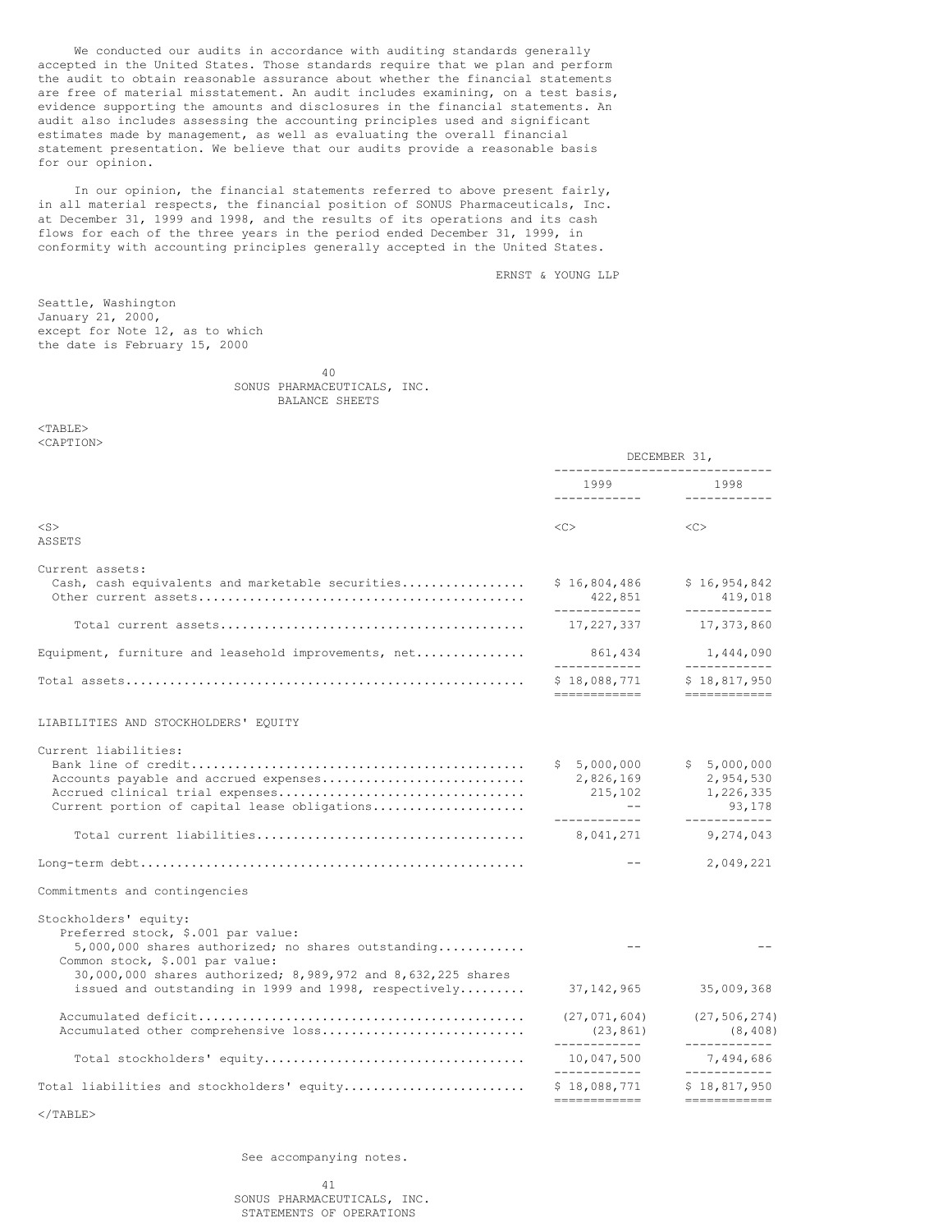We conducted our audits in accordance with auditing standards generally accepted in the United States. Those standards require that we plan and perform the audit to obtain reasonable assurance about whether the financial statements are free of material misstatement. An audit includes examining, on a test basis, evidence supporting the amounts and disclosures in the financial statements. An audit also includes assessing the accounting principles used and significant estimates made by management, as well as evaluating the overall financial statement presentation. We believe that our audits provide a reasonable basis for our opinion.

In our opinion, the financial statements referred to above present fairly, in all material respects, the financial position of SONUS Pharmaceuticals, Inc. at December 31, 1999 and 1998, and the results of its operations and its cash flows for each of the three years in the period ended December 31, 1999, in conformity with accounting principles generally accepted in the United States.

ERNST & YOUNG LLP

Seattle, Washington January 21, 2000, except for Note 12, as to which the date is February 15, 2000

> 40 SONUS PHARMACEUTICALS, INC. BALANCE SHEETS

 $<$ TABLE> <CAPTION>

|                                                                                                                                                        | DECEMBER 31,<br>-------------------------------                                            |                                                 |  |
|--------------------------------------------------------------------------------------------------------------------------------------------------------|--------------------------------------------------------------------------------------------|-------------------------------------------------|--|
|                                                                                                                                                        | 1999                                                                                       | 1998                                            |  |
| $<$ S $>$<br>ASSETS                                                                                                                                    | $<<$ $<$ $>$                                                                               | <<                                              |  |
| Current assets:<br>Cash, cash equivalents and marketable securities                                                                                    | \$16,804,486<br>422,851<br>-------------                                                   | \$16,954,842<br>419,018<br>------------         |  |
|                                                                                                                                                        | 17,227,337                                                                                 | 17,373,860                                      |  |
| Equipment, furniture and leasehold improvements, net                                                                                                   | 861,434                                                                                    | 1,444,090<br>------------                       |  |
|                                                                                                                                                        | \$18,088,771<br>============                                                               | \$18,817,950<br>============                    |  |
| LIABILITIES AND STOCKHOLDERS' EQUITY                                                                                                                   |                                                                                            |                                                 |  |
| Current liabilities:<br>Accounts payable and accrued expenses<br>Current portion of capital lease obligations                                          | \$5,000,000<br>2,826,169<br>215,102<br>$\mathcal{L}(\mathcal{L})=\mathcal{L}(\mathcal{L})$ | \$5,000,000<br>2,954,530<br>1,226,335<br>93,178 |  |
|                                                                                                                                                        | -------------<br>8,041,271                                                                 | ------------<br>9,274,043                       |  |
|                                                                                                                                                        | $- -$                                                                                      | 2,049,221                                       |  |
| Commitments and contingencies                                                                                                                          |                                                                                            |                                                 |  |
| Stockholders' equity:<br>Preferred stock, \$.001 par value:<br>$5,000,000$ shares authorized; no shares outstanding<br>Common stock, \$.001 par value: |                                                                                            |                                                 |  |
| 30,000,000 shares authorized; 8,989,972 and 8,632,225 shares<br>issued and outstanding in 1999 and 1998, respectively                                  | 37, 142, 965                                                                               | 35,009,368                                      |  |
| Accumulated other comprehensive loss                                                                                                                   | (27, 071, 604)<br>(23, 861)<br>-------------                                               | (27, 506, 274)<br>(8, 408)<br>____________      |  |
|                                                                                                                                                        | 10,047,500<br>-------------                                                                | 7,494,686<br>____________                       |  |
| Total liabilities and stockholders' equity                                                                                                             | \$18,088,771<br>============                                                               | \$18,817,950<br>$=$ = = = = = = = = = = = =     |  |
|                                                                                                                                                        |                                                                                            |                                                 |  |

 $\langle$ /TABLE>

See accompanying notes.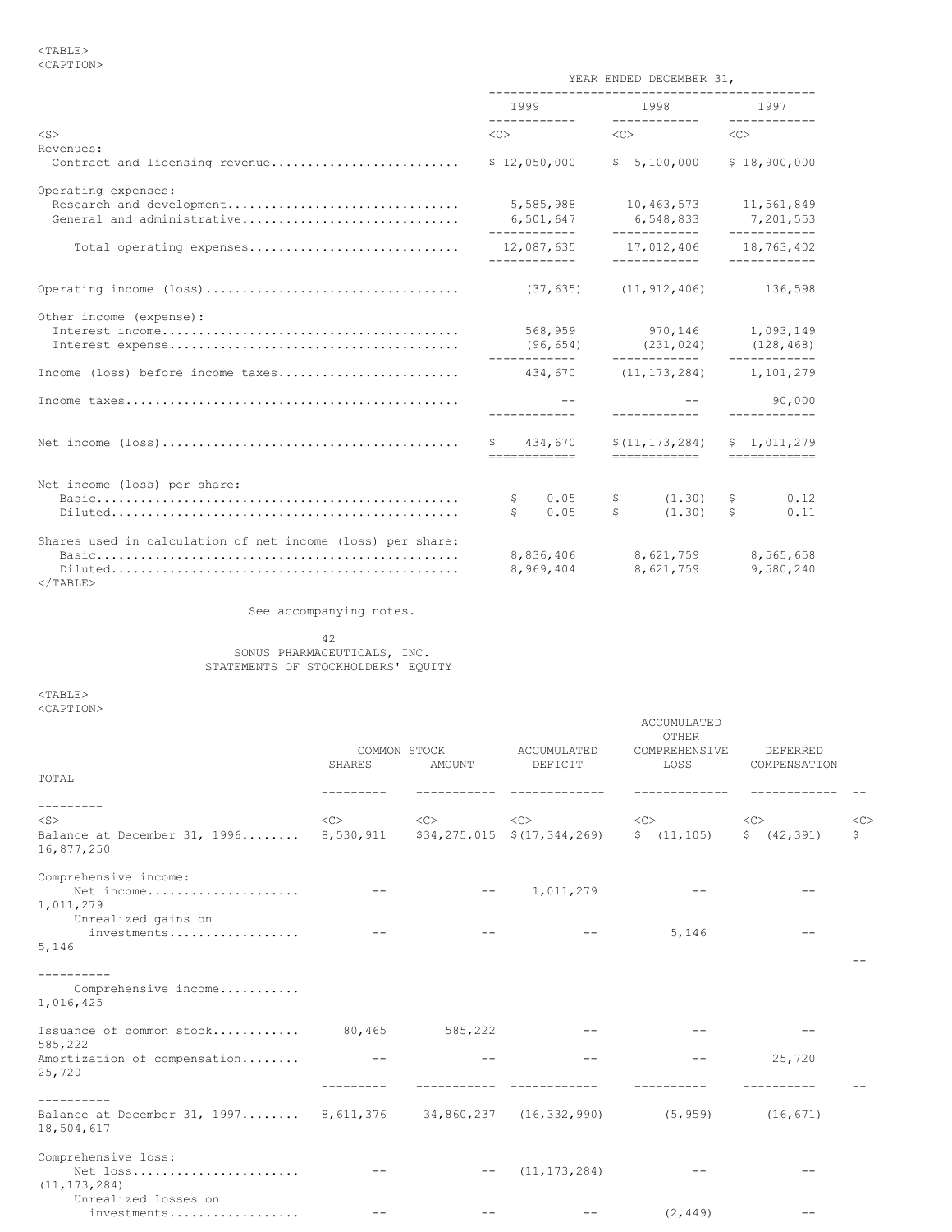|                                                                               |                                        | YEAR ENDED DECEMBER 31,                                  |                                                                                                                                                                                                                                                                                                                                                                                                                                                                                                       |
|-------------------------------------------------------------------------------|----------------------------------------|----------------------------------------------------------|-------------------------------------------------------------------------------------------------------------------------------------------------------------------------------------------------------------------------------------------------------------------------------------------------------------------------------------------------------------------------------------------------------------------------------------------------------------------------------------------------------|
|                                                                               | 1999                                   |                                                          | 1998 1997                                                                                                                                                                                                                                                                                                                                                                                                                                                                                             |
| $<$ S>                                                                        | $\langle C \rangle$                    | $\langle C \rangle$                                      | $\langle C \rangle$                                                                                                                                                                                                                                                                                                                                                                                                                                                                                   |
| Revenues:<br>Contract and licensing revenue                                   | \$12,050,000                           | \$5,100,000                                              | \$18,900,000                                                                                                                                                                                                                                                                                                                                                                                                                                                                                          |
| Operating expenses:<br>Research and development<br>General and administrative | 5,585,988<br>6,501,647<br>------------ | 10,463,573 11,561,849<br>6,548,833<br>-------------      | 7,201,553                                                                                                                                                                                                                                                                                                                                                                                                                                                                                             |
| Total operating expenses                                                      | 12,087,635<br>____________             | 17,012,406<br>____________                               | 18,763,402<br>------------                                                                                                                                                                                                                                                                                                                                                                                                                                                                            |
|                                                                               | $(37, 635)$ $(11, 912, 406)$           |                                                          | 136,598                                                                                                                                                                                                                                                                                                                                                                                                                                                                                               |
| Other income (expense):                                                       |                                        | 568,959 970,146<br>$(96, 654)$ $(231, 024)$ $(128, 468)$ | 1,093,149                                                                                                                                                                                                                                                                                                                                                                                                                                                                                             |
| Income (loss) before income taxes                                             |                                        | 434,670 (11,173,284)                                     | 1,101,279                                                                                                                                                                                                                                                                                                                                                                                                                                                                                             |
|                                                                               |                                        | -------------                                            | 90,000<br>------------                                                                                                                                                                                                                                                                                                                                                                                                                                                                                |
|                                                                               | \$434,670<br>============              | \$(11, 173, 284)<br>============                         | \$1.011.279<br>$\begin{array}{cccccccccc} \multicolumn{2}{c}{} & \multicolumn{2}{c}{} & \multicolumn{2}{c}{} & \multicolumn{2}{c}{} & \multicolumn{2}{c}{} & \multicolumn{2}{c}{} & \multicolumn{2}{c}{} & \multicolumn{2}{c}{} & \multicolumn{2}{c}{} & \multicolumn{2}{c}{} & \multicolumn{2}{c}{} & \multicolumn{2}{c}{} & \multicolumn{2}{c}{} & \multicolumn{2}{c}{} & \multicolumn{2}{c}{} & \multicolumn{2}{c}{} & \multicolumn{2}{c}{} & \multicolumn{2}{c}{} & \multicolumn{2}{c}{} & \mult$ |
| Net income (loss) per share:                                                  | 0.05<br>\$<br>\$<br>0.05               | (1, 30)<br>$\mathsf{S}$<br>S<br>(1, 30)                  | \$<br>0.12<br>\$<br>0.11                                                                                                                                                                                                                                                                                                                                                                                                                                                                              |
| Shares used in calculation of net income (loss) per share:<br>$<$ /TABLE>     | 8,969,404                              | 8,836,406 8,621,759<br>8,621,759                         | 8,565,658<br>9,580,240                                                                                                                                                                                                                                                                                                                                                                                                                                                                                |

See accompanying notes.

42 SONUS PHARMACEUTICALS, INC. STATEMENTS OF STOCKHOLDERS' EQUITY

<TABLE> <CAPTION>

|                                                                                               |        |                        |                                                                                                                                                                                                                                                                                                                                                                                                     | ACCUMULATED<br>OTHER  |                          |              |
|-----------------------------------------------------------------------------------------------|--------|------------------------|-----------------------------------------------------------------------------------------------------------------------------------------------------------------------------------------------------------------------------------------------------------------------------------------------------------------------------------------------------------------------------------------------------|-----------------------|--------------------------|--------------|
| TOTAL                                                                                         | SHARES | COMMON STOCK<br>AMOUNT | ACCUMULATED<br>DEFICIT                                                                                                                                                                                                                                                                                                                                                                              | COMPREHENSIVE<br>LOSS | DEFERRED<br>COMPENSATION |              |
|                                                                                               |        |                        |                                                                                                                                                                                                                                                                                                                                                                                                     |                       |                          |              |
| ---------<br>$<$ S $>$                                                                        |        |                        | $\text{}\qquad \qquad \text{}\qquad \qquad \text{}\qquad \qquad \text{}\qquad \qquad \text{}\qquad \qquad \text{}\qquad \qquad \text{}\qquad \qquad \text{}\qquad \qquad \text{}\qquad \qquad \text{}\qquad \qquad \text{}\qquad \qquad \text{}\qquad \qquad \text{}\qquad \qquad \text{}\qquad \qquad \text{}\qquad \qquad \text{}\qquad \qquad \text{}\qquad \qquad \text{}\qquad \qquad \text{<$ |                       | <<                       | <<           |
| Balance at December 31, 1996 8,530,911 \$34,275,015 \$(17,344,269) \$ (11,105)<br>16,877,250  |        |                        |                                                                                                                                                                                                                                                                                                                                                                                                     |                       | \$ (42, 391)             | $\mathsf{S}$ |
| Comprehensive income:<br>Net income<br>1,011,279                                              |        |                        | 1,011,279                                                                                                                                                                                                                                                                                                                                                                                           |                       |                          |              |
| Unrealized gains on<br>investments<br>5,146                                                   | $ -$   |                        |                                                                                                                                                                                                                                                                                                                                                                                                     | 5,146                 |                          |              |
| Comprehensive income<br>1,016,425                                                             |        |                        |                                                                                                                                                                                                                                                                                                                                                                                                     |                       |                          |              |
| Issuance of common stock 80,465<br>585,222                                                    |        | 585,222                |                                                                                                                                                                                                                                                                                                                                                                                                     |                       |                          |              |
| Amortization of compensation<br>25,720                                                        |        |                        |                                                                                                                                                                                                                                                                                                                                                                                                     |                       | 25,720                   |              |
|                                                                                               |        |                        |                                                                                                                                                                                                                                                                                                                                                                                                     |                       |                          |              |
| Balance at December 31, 1997 8,611,376 34,860,237 (16,332,990) (5,959) (16,671)<br>18,504,617 |        |                        |                                                                                                                                                                                                                                                                                                                                                                                                     |                       |                          |              |
| Comprehensive loss:<br>Net loss<br>(11, 173, 284)                                             | $- -$  | $\qquad \qquad -$      | (11, 173, 284)                                                                                                                                                                                                                                                                                                                                                                                      |                       |                          |              |
| Unrealized losses on<br>investments                                                           |        |                        |                                                                                                                                                                                                                                                                                                                                                                                                     | (2, 449)              |                          |              |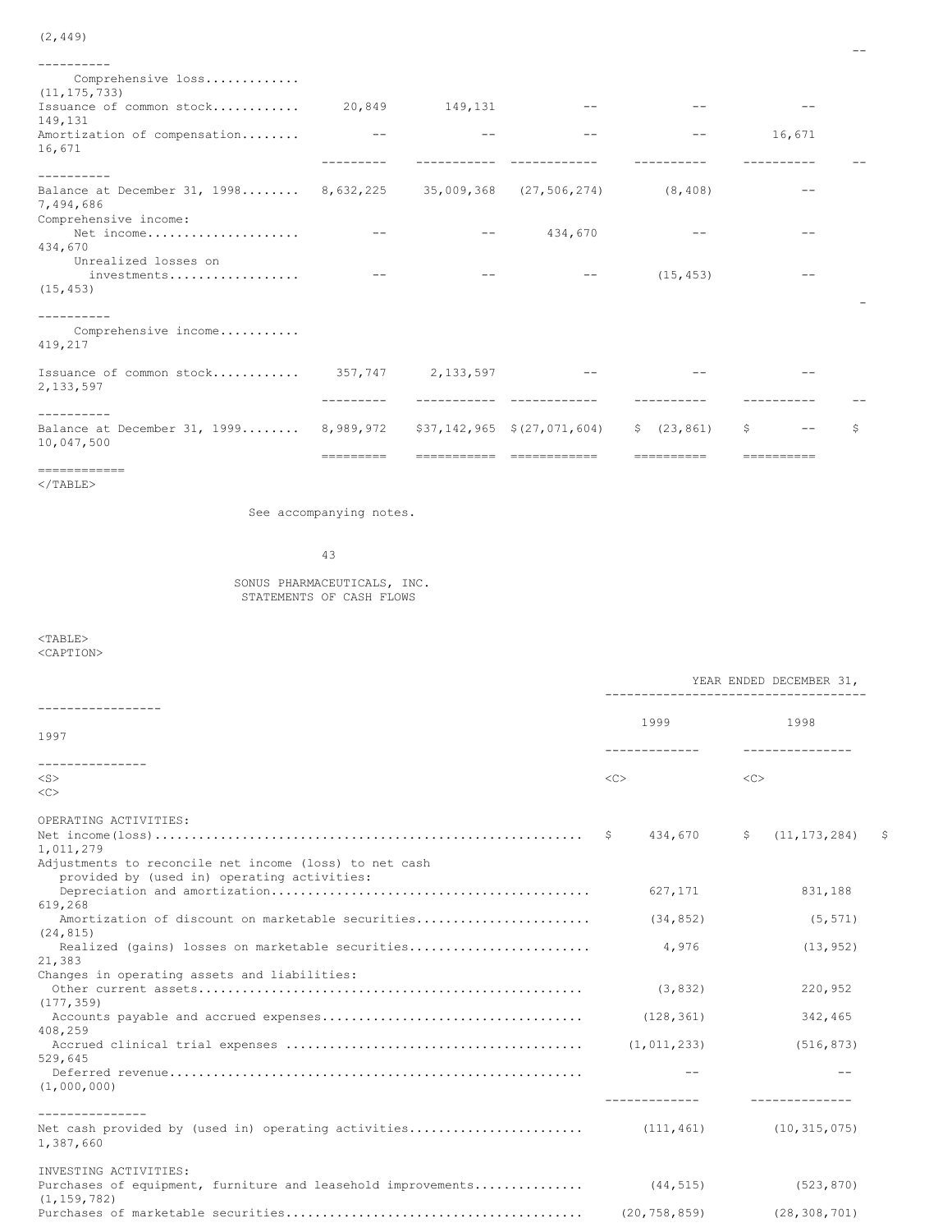| Comprehensive loss<br>(11, 175, 733)                                        |           |         |                                |              |        |    |
|-----------------------------------------------------------------------------|-----------|---------|--------------------------------|--------------|--------|----|
| Issuance of common stock<br>149,131                                         | 20,849    | 149,131 |                                |              |        |    |
| Amortization of compensation<br>16,671                                      |           |         |                                |              | 16,671 |    |
|                                                                             |           |         |                                |              |        |    |
| Balance at December 31, 1998 8,632,225 35,009,368 (27,506,274)<br>7,494,686 |           |         |                                | (8, 408)     |        |    |
| Comprehensive income:<br>Net income                                         |           |         | 434,670                        |              |        |    |
| 434,670                                                                     |           |         |                                |              |        |    |
| Unrealized losses on                                                        |           |         |                                |              |        |    |
| investments<br>(15, 453)                                                    |           |         |                                | (15, 453)    |        |    |
|                                                                             |           |         |                                |              |        |    |
| Comprehensive income<br>419,217                                             |           |         |                                |              |        |    |
| Issuance of common stock 357,747 2,133,597<br>2,133,597                     |           |         |                                |              |        |    |
|                                                                             |           |         |                                |              |        |    |
|                                                                             |           |         |                                |              |        |    |
| Balance at December 31, 1999 8,989,972<br>10,047,500                        |           |         | $$37,142,965 \t$ (27,071,604)$ | \$ (23, 861) | S      | Ŝ. |
|                                                                             | ========= |         |                                |              |        |    |

 $\overline{\phantom{a}}$ 

============  $<$ /TABLE>

See accompanying notes.

43

SONUS PHARMACEUTICALS, INC. STATEMENTS OF CASH FLOWS

 $<sub>TABLE></sub>$ </sub> <CAPTION>

|                                                                                                                              | YEAR ENDED DECEMBER 31, |                       |      |  |  |
|------------------------------------------------------------------------------------------------------------------------------|-------------------------|-----------------------|------|--|--|
| 1997                                                                                                                         | 1999                    | 1998                  |      |  |  |
| ---------------<br>$<$ S $>$<br><<>                                                                                          | $\langle C \rangle$     | <<                    |      |  |  |
| OPERATING ACTIVITIES:<br>1,011,279<br>Adjustments to reconcile net income (loss) to net cash                                 | 434,670                 | (11, 173, 284)<br>\$  | - \$ |  |  |
| provided by (used in) operating activities:<br>619,268                                                                       | 627,171                 | 831,188               |      |  |  |
| Amortization of discount on marketable securities<br>(24, 815)<br>Realized (gains) losses on marketable securities<br>21,383 | (34, 852)<br>4,976      | (5, 571)<br>(13, 952) |      |  |  |
| Changes in operating assets and liabilities:<br>(177, 359)                                                                   | (3, 832)                | 220,952               |      |  |  |
| 408,259                                                                                                                      | (128, 361)              | 342,465<br>(516, 873) |      |  |  |
| 529.645<br>(1,000,000)                                                                                                       |                         |                       |      |  |  |
| ---------------<br>1,387,660                                                                                                 |                         | (10, 315, 075)        |      |  |  |
| INVESTING ACTIVITIES:<br>Purchases of equipment, furniture and leasehold improvements<br>(1, 159, 782)                       | (44, 515)               | (523, 870)            |      |  |  |
|                                                                                                                              | (20, 758, 859)          | (28, 308, 701)        |      |  |  |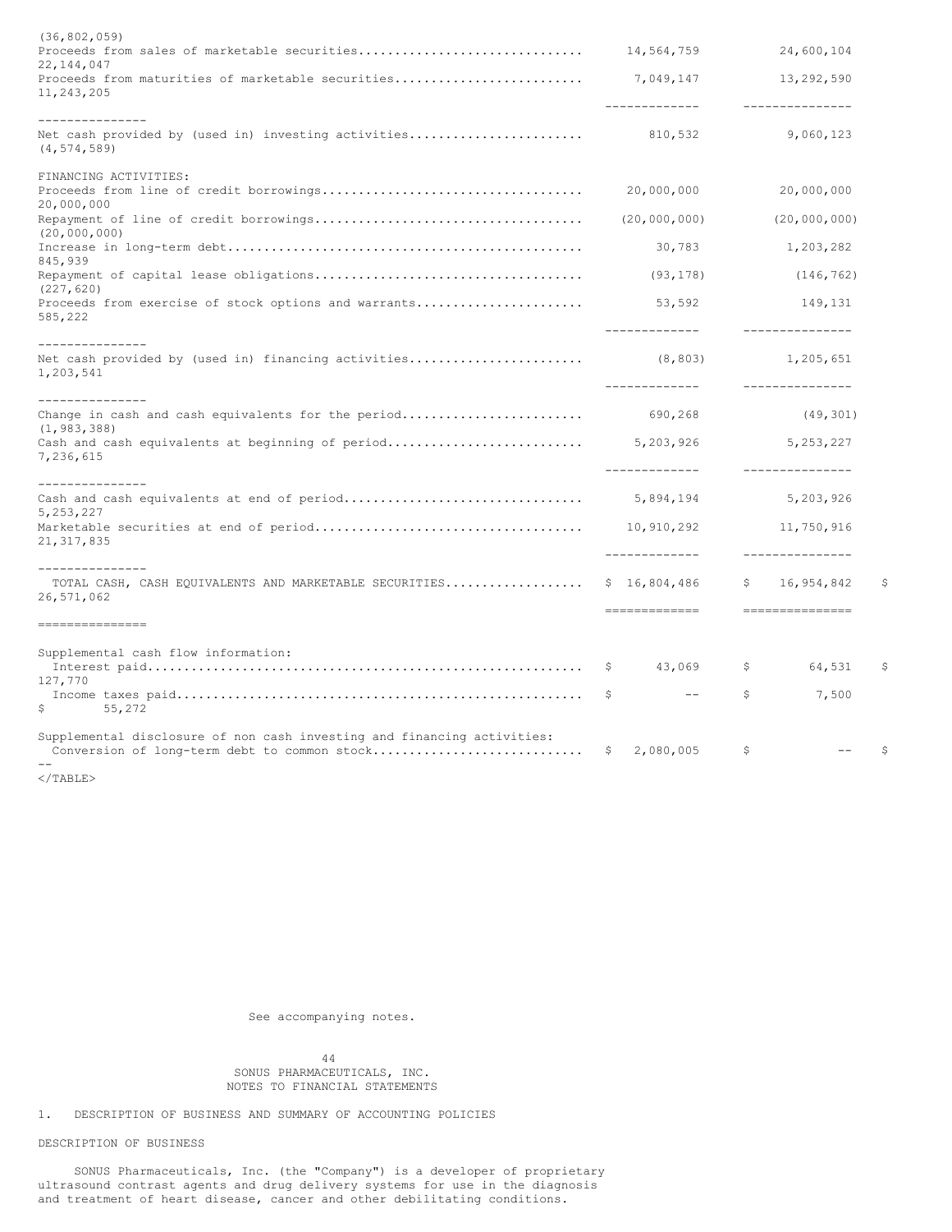| (36, 802, 059)                                                                                                                   |    |                             |                |                                |    |
|----------------------------------------------------------------------------------------------------------------------------------|----|-----------------------------|----------------|--------------------------------|----|
| 22, 144, 047                                                                                                                     |    | 14,564,759                  |                | 24,600,104                     |    |
| Proceeds from maturities of marketable securities<br>11,243,205                                                                  |    | 7,049,147<br>-------------  |                | 13,292,590<br>_______________  |    |
| ---------------                                                                                                                  |    |                             |                |                                |    |
| Net cash provided by (used in) investing activities<br>(4, 574, 589)                                                             |    | 810,532                     |                | 9,060,123                      |    |
| FINANCING ACTIVITIES:                                                                                                            |    |                             |                |                                |    |
| 20,000,000                                                                                                                       |    | 20,000,000                  |                | 20,000,000                     |    |
| (20, 000, 000)                                                                                                                   |    | (20,000,000)                |                | (20,000,000)                   |    |
| 845,939                                                                                                                          |    | 30,783                      |                | 1,203,282                      |    |
| (227, 620)                                                                                                                       |    | (93, 178)                   |                | (146, 762)                     |    |
| Proceeds from exercise of stock options and warrants<br>585,222                                                                  |    | 53,592<br>-------------     |                | 149,131<br>---------------     |    |
| ---------------<br>Net cash provided by (used in) financing activities<br>1,203,541                                              |    | (8, 803)<br>-------------   |                | 1,205,651<br>---------------   |    |
| _______________                                                                                                                  |    |                             |                |                                |    |
| Change in cash and cash equivalents for the period<br>(1, 983, 388)                                                              |    | 690,268                     |                | (49, 301)                      |    |
| 7,236,615                                                                                                                        |    | -------------               |                | 5, 253, 227<br>--------------- |    |
| ______________                                                                                                                   |    |                             |                |                                |    |
| 5, 253, 227                                                                                                                      |    | 5,894,194                   |                | 5,203,926                      |    |
| 21, 317, 835                                                                                                                     |    | 10,910,292<br>_____________ |                | 11,750,916<br>_______________  |    |
| ---------------                                                                                                                  |    |                             |                |                                |    |
| TOTAL CASH, CASH EQUIVALENTS AND MARKETABLE SECURITIES<br>26,571,062                                                             |    | \$16,804,486                | $\mathsf{S}^-$ | 16,954,842                     | Ŝ  |
| ---------------                                                                                                                  |    | -------------               |                | ----------------               |    |
| Supplemental cash flow information:                                                                                              |    |                             |                |                                |    |
| 127,770                                                                                                                          | -S | 43,069                      | Ş.             | 64,531                         | \$ |
| 55,272<br>S.                                                                                                                     | \$ | $--$                        | \$             | 7,500                          |    |
| Supplemental disclosure of non cash investing and financing activities:<br>Conversion of long-term debt to common stock<br>$- -$ | S. | 2,080,005                   | S              | $- -$                          | S  |
|                                                                                                                                  |    |                             |                |                                |    |

</TABLE>

See accompanying notes.

44 SONUS PHARMACEUTICALS, INC. NOTES TO FINANCIAL STATEMENTS

1. DESCRIPTION OF BUSINESS AND SUMMARY OF ACCOUNTING POLICIES

## DESCRIPTION OF BUSINESS

SONUS Pharmaceuticals, Inc. (the "Company") is a developer of proprietary ultrasound contrast agents and drug delivery systems for use in the diagnosis and treatment of heart disease, cancer and other debilitating conditions.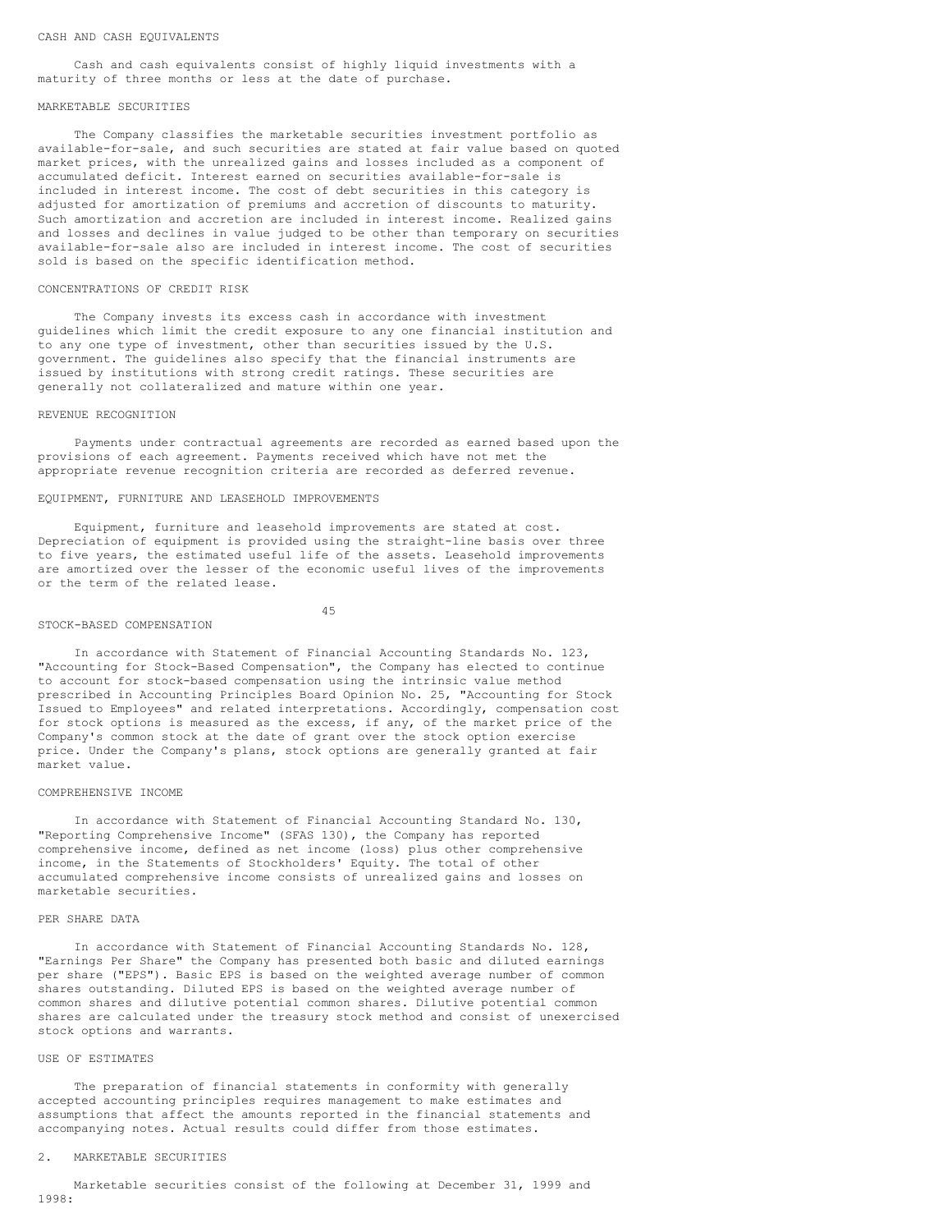#### CASH AND CASH EQUIVALENTS

Cash and cash equivalents consist of highly liquid investments with a maturity of three months or less at the date of purchase.

## MARKETABLE SECURITIES

The Company classifies the marketable securities investment portfolio as available-for-sale, and such securities are stated at fair value based on quoted market prices, with the unrealized gains and losses included as a component of accumulated deficit. Interest earned on securities available-for-sale is included in interest income. The cost of debt securities in this category is adjusted for amortization of premiums and accretion of discounts to maturity. Such amortization and accretion are included in interest income. Realized gains and losses and declines in value judged to be other than temporary on securities available-for-sale also are included in interest income. The cost of securities sold is based on the specific identification method.

## CONCENTRATIONS OF CREDIT RISK

The Company invests its excess cash in accordance with investment guidelines which limit the credit exposure to any one financial institution and to any one type of investment, other than securities issued by the U.S. government. The guidelines also specify that the financial instruments are issued by institutions with strong credit ratings. These securities are generally not collateralized and mature within one year.

## REVENUE RECOGNITION

Payments under contractual agreements are recorded as earned based upon the provisions of each agreement. Payments received which have not met the appropriate revenue recognition criteria are recorded as deferred revenue.

#### EQUIPMENT, FURNITURE AND LEASEHOLD IMPROVEMENTS

Equipment, furniture and leasehold improvements are stated at cost. Depreciation of equipment is provided using the straight-line basis over three to five years, the estimated useful life of the assets. Leasehold improvements are amortized over the lesser of the economic useful lives of the improvements or the term of the related lease.

#### 45

#### STOCK-BASED COMPENSATION

In accordance with Statement of Financial Accounting Standards No. 123, "Accounting for Stock-Based Compensation", the Company has elected to continue to account for stock-based compensation using the intrinsic value method prescribed in Accounting Principles Board Opinion No. 25, "Accounting for Stock Issued to Employees" and related interpretations. Accordingly, compensation cost for stock options is measured as the excess, if any, of the market price of the Company's common stock at the date of grant over the stock option exercise price. Under the Company's plans, stock options are generally granted at fair market value.

### COMPREHENSIVE INCOME

In accordance with Statement of Financial Accounting Standard No. 130, "Reporting Comprehensive Income" (SFAS 130), the Company has reported comprehensive income, defined as net income (loss) plus other comprehensive income, in the Statements of Stockholders' Equity. The total of other accumulated comprehensive income consists of unrealized gains and losses on marketable securities.

#### PER SHARE DATA

In accordance with Statement of Financial Accounting Standards No. 128, "Earnings Per Share" the Company has presented both basic and diluted earnings per share ("EPS"). Basic EPS is based on the weighted average number of common shares outstanding. Diluted EPS is based on the weighted average number of common shares and dilutive potential common shares. Dilutive potential common shares are calculated under the treasury stock method and consist of unexercised stock options and warrants.

## USE OF ESTIMATES

The preparation of financial statements in conformity with generally accepted accounting principles requires management to make estimates and assumptions that affect the amounts reported in the financial statements and accompanying notes. Actual results could differ from those estimates.

### 2. MARKETABLE SECURITIES

Marketable securities consist of the following at December 31, 1999 and 1998: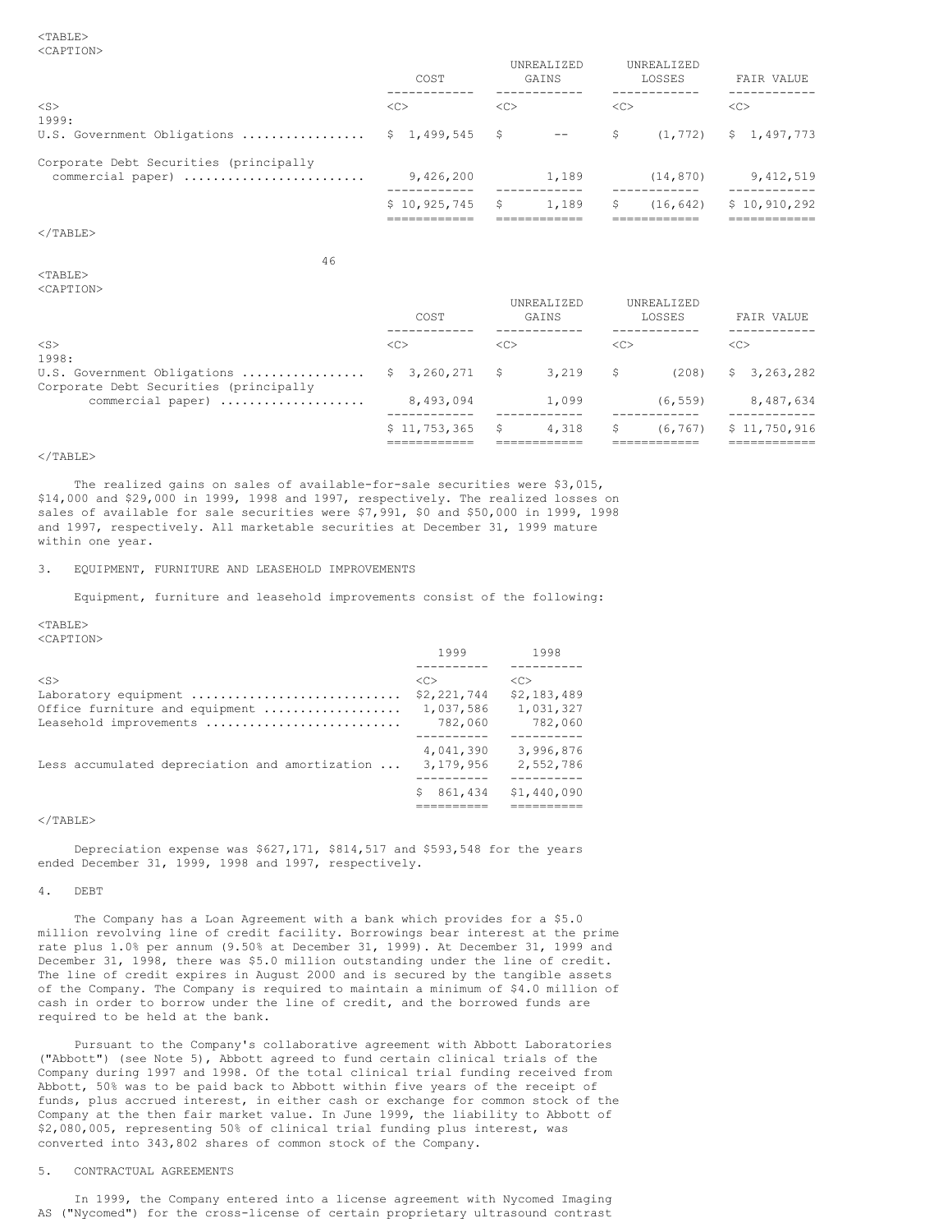|                                                             | COST          |      | <b>UNREALIZED</b><br>GAINS |               | UNREALIZED<br>LOSSES | FAIR VALUE    |
|-------------------------------------------------------------|---------------|------|----------------------------|---------------|----------------------|---------------|
| $<$ S $>$<br>1999:                                          | < <sub></sub> | <<   |                            | < <sub></sub> |                      | < <sub></sub> |
| U.S. Government Obligations $$ 1,499,545$ \$                |               |      | $- -$                      | \$.           | (1, 772)             | \$1,497,773   |
| Corporate Debt Securities (principally<br>commercial paper) | 9,426,200     |      | 1,189                      |               | (14, 870)            | 9,412,519     |
|                                                             | \$10,925,745  | - \$ | 1,189                      | S             | (16, 642)            | \$10,910,292  |

 $\langle$ /TABLE>

<TABLE>

46

| <caption></caption>                                                   |                      |                     |                      |                 |
|-----------------------------------------------------------------------|----------------------|---------------------|----------------------|-----------------|
|                                                                       | COST                 | UNREALIZED<br>GAINS | UNREALIZED<br>LOSSES | FAIR VALUE      |
| $<$ S $>$<br>1998:                                                    | <<                   | <<                  | < <sub></sub>        | < <sub></sub>   |
| U.S. Government Obligations<br>Corporate Debt Securities (principally | $3,260,271$ \$<br>S. | 3,219               | (208)<br>S           | 3,263,282<br>S. |
| commercial paper)                                                     | 8,493,094            | 1,099               | (6, 559)             | 8,487,634       |
|                                                                       | \$11,753,365         | 4,318<br>S          | (6, 767)             | \$11,750,916    |

## $<$ /TABLE>

The realized gains on sales of available-for-sale securities were \$3,015, \$14,000 and \$29,000 in 1999, 1998 and 1997, respectively. The realized losses on sales of available for sale securities were \$7,991, \$0 and \$50,000 in 1999, 1998 and 1997, respectively. All marketable securities at December 31, 1999 mature within one year.

3. EQUIPMENT, FURNITURE AND LEASEHOLD IMPROVEMENTS

Equipment, furniture and leasehold improvements consist of the following:

<TABLE>

<CAPTION>

|                                                | 1999          | 1998        |
|------------------------------------------------|---------------|-------------|
|                                                |               |             |
| $<$ S $>$                                      | < <sub></sub> | <<          |
| Laboratory equipment                           | \$2,221,744   | \$2,183,489 |
| Office furniture and equipment                 | 1,037,586     | 1,031,327   |
| Leasehold improvements                         | 782,060       | 782,060     |
|                                                |               |             |
|                                                | 4.041.390     | 3,996,876   |
| Less accumulated depreciation and amortization | 3,179,956     | 2,552,786   |
|                                                |               |             |
|                                                | 861,434       | \$1,440,090 |
|                                                |               |             |

## $<$ /TABLE>

Depreciation expense was \$627,171, \$814,517 and \$593,548 for the years ended December 31, 1999, 1998 and 1997, respectively.

## 4. DEBT

The Company has a Loan Agreement with a bank which provides for a \$5.0 million revolving line of credit facility. Borrowings bear interest at the prime rate plus 1.0% per annum (9.50% at December 31, 1999). At December 31, 1999 and December 31, 1998, there was \$5.0 million outstanding under the line of credit. The line of credit expires in August 2000 and is secured by the tangible assets of the Company. The Company is required to maintain a minimum of \$4.0 million of cash in order to borrow under the line of credit, and the borrowed funds are required to be held at the bank.

Pursuant to the Company's collaborative agreement with Abbott Laboratories ("Abbott") (see Note 5), Abbott agreed to fund certain clinical trials of the Company during 1997 and 1998. Of the total clinical trial funding received from Abbott, 50% was to be paid back to Abbott within five years of the receipt of funds, plus accrued interest, in either cash or exchange for common stock of the Company at the then fair market value. In June 1999, the liability to Abbott of \$2,080,005, representing 50% of clinical trial funding plus interest, was converted into 343,802 shares of common stock of the Company.

## 5. CONTRACTUAL AGREEMENTS

In 1999, the Company entered into a license agreement with Nycomed Imaging AS ("Nycomed") for the cross-license of certain proprietary ultrasound contrast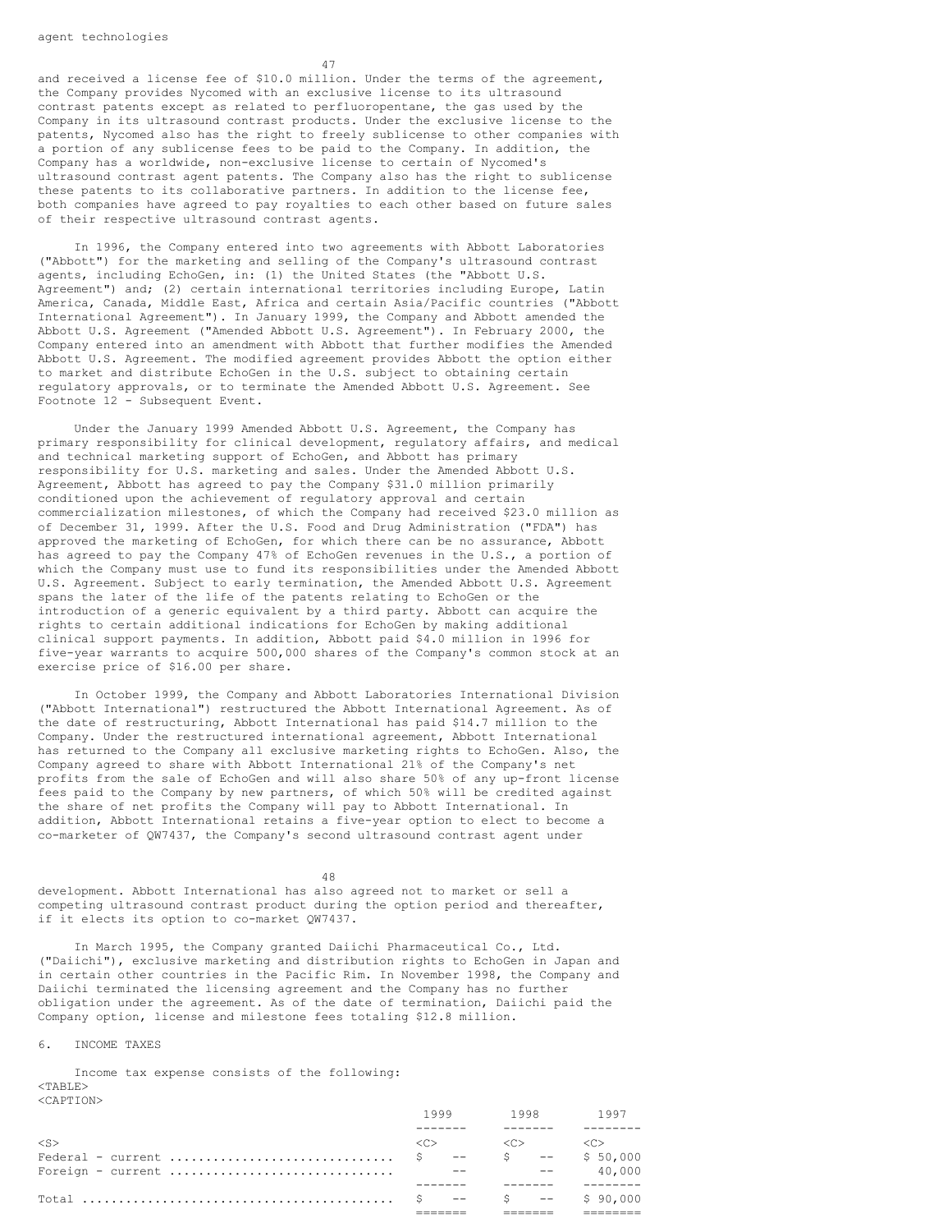and received a license fee of \$10.0 million. Under the terms of the agreement, the Company provides Nycomed with an exclusive license to its ultrasound contrast patents except as related to perfluoropentane, the gas used by the Company in its ultrasound contrast products. Under the exclusive license to the patents, Nycomed also has the right to freely sublicense to other companies with a portion of any sublicense fees to be paid to the Company. In addition, the Company has a worldwide, non-exclusive license to certain of Nycomed's ultrasound contrast agent patents. The Company also has the right to sublicense these patents to its collaborative partners. In addition to the license fee, both companies have agreed to pay royalties to each other based on future sales of their respective ultrasound contrast agents.

47

In 1996, the Company entered into two agreements with Abbott Laboratories ("Abbott") for the marketing and selling of the Company's ultrasound contrast agents, including EchoGen, in: (1) the United States (the "Abbott U.S. Agreement") and; (2) certain international territories including Europe, Latin America, Canada, Middle East, Africa and certain Asia/Pacific countries ("Abbott International Agreement"). In January 1999, the Company and Abbott amended the Abbott U.S. Agreement ("Amended Abbott U.S. Agreement"). In February 2000, the Company entered into an amendment with Abbott that further modifies the Amended Abbott U.S. Agreement. The modified agreement provides Abbott the option either to market and distribute EchoGen in the U.S. subject to obtaining certain regulatory approvals, or to terminate the Amended Abbott U.S. Agreement. See Footnote 12 - Subsequent Event.

Under the January 1999 Amended Abbott U.S. Agreement, the Company has primary responsibility for clinical development, regulatory affairs, and medical and technical marketing support of EchoGen, and Abbott has primary responsibility for U.S. marketing and sales. Under the Amended Abbott U.S. Agreement, Abbott has agreed to pay the Company \$31.0 million primarily conditioned upon the achievement of regulatory approval and certain commercialization milestones, of which the Company had received \$23.0 million as of December 31, 1999. After the U.S. Food and Drug Administration ("FDA") has approved the marketing of EchoGen, for which there can be no assurance, Abbott has agreed to pay the Company 47% of EchoGen revenues in the U.S., a portion of which the Company must use to fund its responsibilities under the Amended Abbott U.S. Agreement. Subject to early termination, the Amended Abbott U.S. Agreement spans the later of the life of the patents relating to EchoGen or the introduction of a generic equivalent by a third party. Abbott can acquire the rights to certain additional indications for EchoGen by making additional clinical support payments. In addition, Abbott paid \$4.0 million in 1996 for five-year warrants to acquire 500,000 shares of the Company's common stock at an exercise price of \$16.00 per share.

In October 1999, the Company and Abbott Laboratories International Division ("Abbott International") restructured the Abbott International Agreement. As of the date of restructuring, Abbott International has paid \$14.7 million to the Company. Under the restructured international agreement, Abbott International has returned to the Company all exclusive marketing rights to EchoGen. Also, the Company agreed to share with Abbott International 21% of the Company's net profits from the sale of EchoGen and will also share 50% of any up-front license fees paid to the Company by new partners, of which 50% will be credited against the share of net profits the Company will pay to Abbott International. In addition, Abbott International retains a five-year option to elect to become a co-marketer of QW7437, the Company's second ultrasound contrast agent under

48

development. Abbott International has also agreed not to market or sell a competing ultrasound contrast product during the option period and thereafter, if it elects its option to co-market QW7437.

In March 1995, the Company granted Daiichi Pharmaceutical Co., Ltd. ("Daiichi"), exclusive marketing and distribution rights to EchoGen in Japan and in certain other countries in the Pacific Rim. In November 1998, the Company and Daiichi terminated the licensing agreement and the Company has no further obligation under the agreement. As of the date of termination, Daiichi paid the Company option, license and milestone fees totaling \$12.8 million.

6. INCOME TAXES

Income tax expense consists of the following: <TABLE> <CAPTION>

|        | 1999 1998 1997                                                                                              |  |
|--------|-------------------------------------------------------------------------------------------------------------|--|
|        |                                                                                                             |  |
| $<$ S> | $\begin{array}{cccc} \langle C \rangle & \quad & \langle C \rangle & \quad & \langle C \rangle \end{array}$ |  |
|        |                                                                                                             |  |
|        |                                                                                                             |  |
|        |                                                                                                             |  |
|        |                                                                                                             |  |
|        |                                                                                                             |  |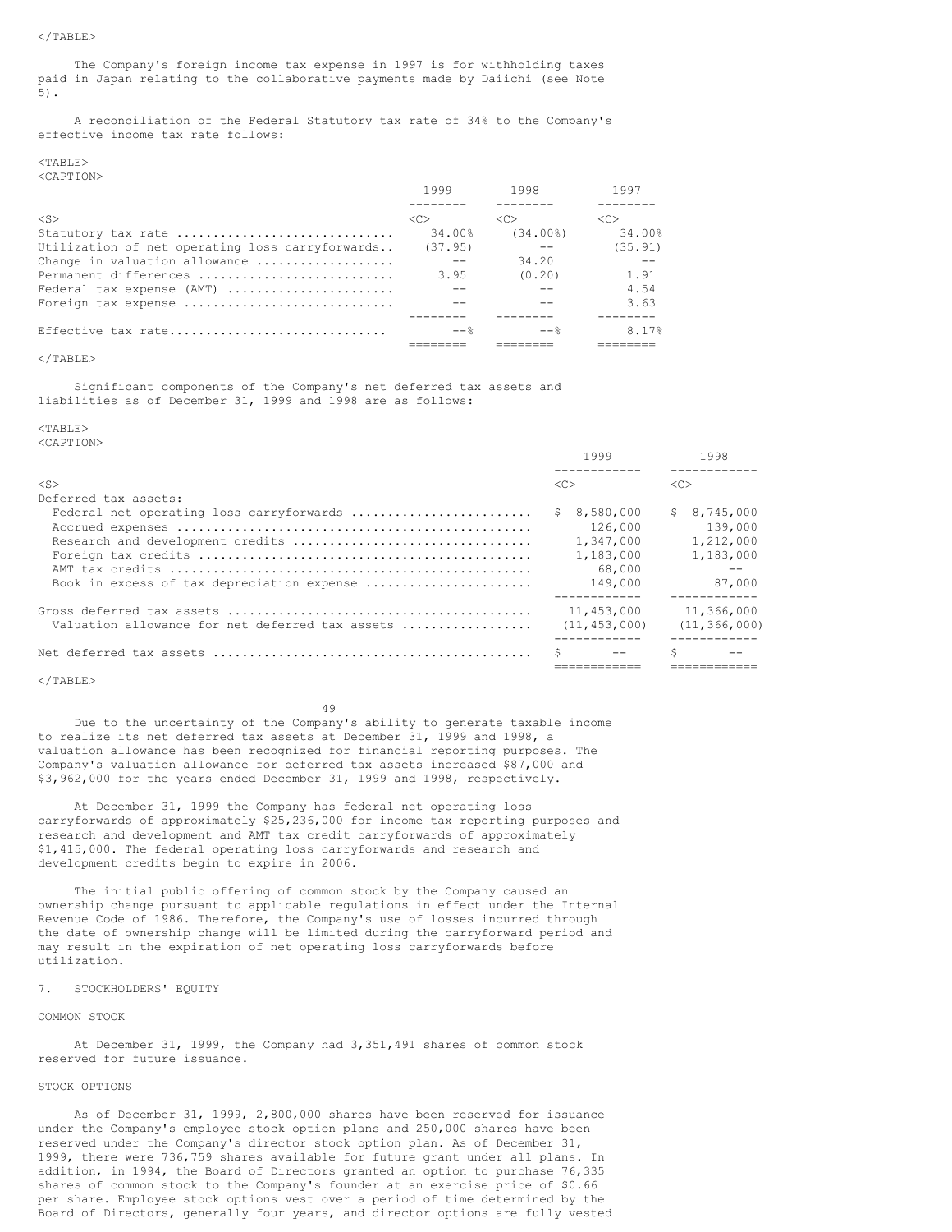The Company's foreign income tax expense in 1997 is for withholding taxes paid in Japan relating to the collaborative payments made by Daiichi (see Note 5).

A reconciliation of the Federal Statutory tax rate of 34% to the Company's effective income tax rate follows:

#### $<$ TABLE> <CAPTION>

|                                                 | 1999                | 1998                | 1997                |
|-------------------------------------------------|---------------------|---------------------|---------------------|
|                                                 |                     |                     |                     |
| $<$ S $>$                                       | $\langle C \rangle$ | $\langle C \rangle$ | $\langle C \rangle$ |
| Statutory tax rate                              | 34.00%              | $(34.00\%)$         | 34.00%              |
| Utilization of net operating loss carryforwards | (37.95)             |                     | (35.91)             |
| Change in valuation allowance                   |                     | 34.20               |                     |
| Permanent differences                           | 3.95                | (0.20)              | 1.91                |
| Federal tax expense (AMT)                       |                     |                     | 4.54                |
| Foreign tax expense                             |                     |                     | 3.63                |
|                                                 |                     |                     |                     |
| Effective tax rate                              | $--$                |                     | 8.17%               |
|                                                 |                     |                     |                     |

## $\langle$ /TABLE>

Significant components of the Company's net deferred tax assets and liabilities as of December 31, 1999 and 1998 are as follows:

#### $<$ TABLE>

<CAPTION>

|                                                 | 1999            | 1998            |
|-------------------------------------------------|-----------------|-----------------|
|                                                 |                 |                 |
| $<$ S $>$                                       | <<              | <<              |
| Deferred tax assets:                            |                 |                 |
| Federal net operating loss carryforwards        | 8,580,000<br>S. | S.<br>8,745,000 |
|                                                 | 126,000         | 139,000         |
|                                                 | 1,347,000       | 1,212,000       |
|                                                 | 1,183,000       | 1,183,000       |
|                                                 | 68,000          |                 |
| Book in excess of tax depreciation expense      | 149,000         | 87,000          |
|                                                 |                 |                 |
|                                                 | 11,453,000      | 11,366,000      |
| Valuation allowance for net deferred tax assets | (11, 453, 000)  | (11, 366, 000)  |
|                                                 |                 |                 |
|                                                 | Ŝ.              |                 |
|                                                 |                 |                 |

#### $\langle$ /TABLE>

49

Due to the uncertainty of the Company's ability to generate taxable income to realize its net deferred tax assets at December 31, 1999 and 1998, a valuation allowance has been recognized for financial reporting purposes. The Company's valuation allowance for deferred tax assets increased \$87,000 and \$3,962,000 for the years ended December 31, 1999 and 1998, respectively.

At December 31, 1999 the Company has federal net operating loss carryforwards of approximately \$25,236,000 for income tax reporting purposes and research and development and AMT tax credit carryforwards of approximately \$1,415,000. The federal operating loss carryforwards and research and development credits begin to expire in 2006.

The initial public offering of common stock by the Company caused an ownership change pursuant to applicable regulations in effect under the Internal Revenue Code of 1986. Therefore, the Company's use of losses incurred through the date of ownership change will be limited during the carryforward period and may result in the expiration of net operating loss carryforwards before utilization.

## 7. STOCKHOLDERS' EQUITY

## COMMON STOCK

At December 31, 1999, the Company had 3,351,491 shares of common stock reserved for future issuance.

## STOCK OPTIONS

As of December 31, 1999, 2,800,000 shares have been reserved for issuance under the Company's employee stock option plans and 250,000 shares have been reserved under the Company's director stock option plan. As of December 31, 1999, there were 736,759 shares available for future grant under all plans. In addition, in 1994, the Board of Directors granted an option to purchase 76,335 shares of common stock to the Company's founder at an exercise price of \$0.66 per share. Employee stock options vest over a period of time determined by the Board of Directors, generally four years, and director options are fully vested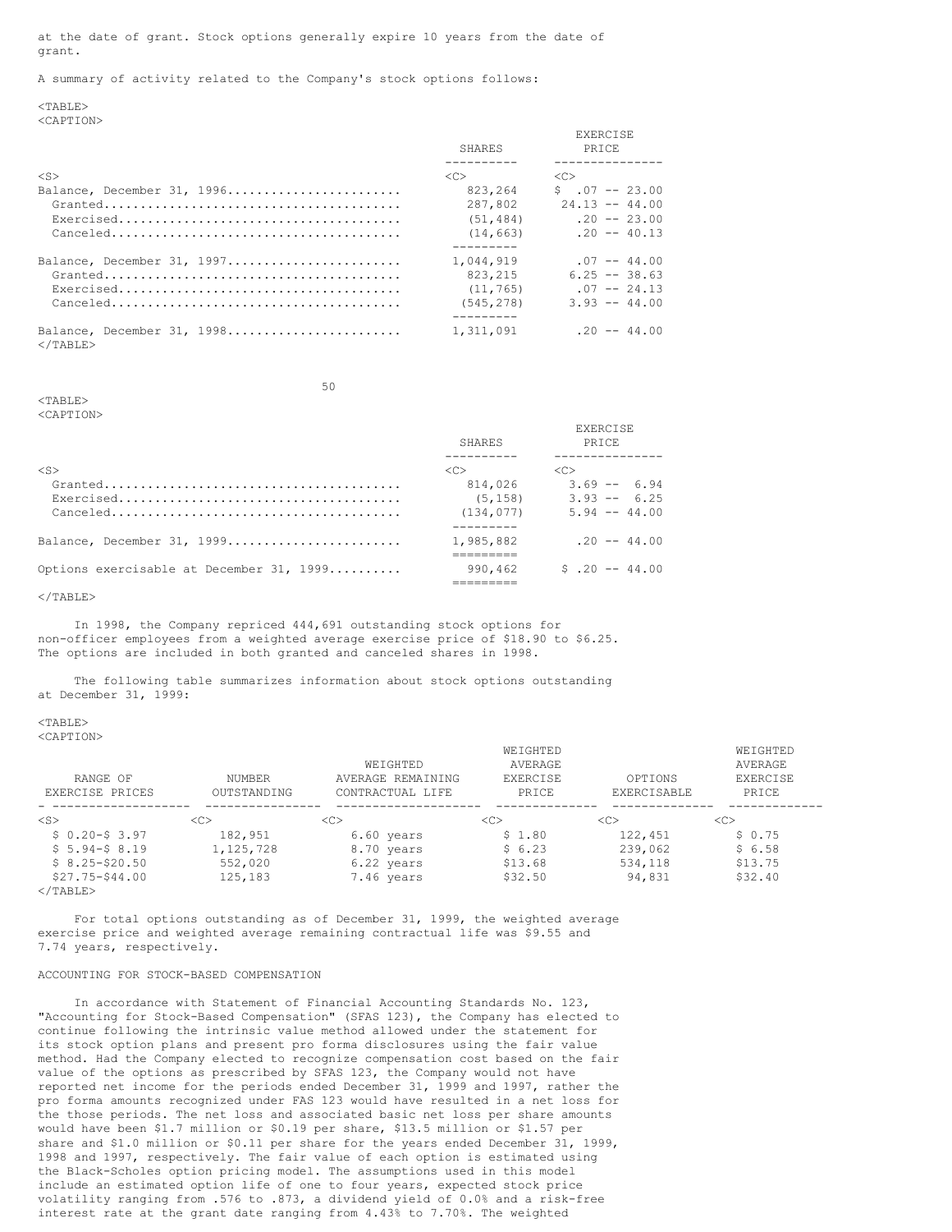at the date of grant. Stock options generally expire 10 years from the date of grant.

A summary of activity related to the Company's stock options follows:

<TABLE> <CAPTION>

|                                                                           | SHARES     | <b>EXERCISE</b><br><b>PRTCE</b> |
|---------------------------------------------------------------------------|------------|---------------------------------|
|                                                                           |            |                                 |
| $<$ S $>$                                                                 | $<<$ $>$   | < <sub></sub>                   |
| Balance, December 31, 1996                                                | 823,264    | $$.07 -- 23.00$                 |
|                                                                           | 287,802    | $24.13 - - 44.00$               |
|                                                                           | (51, 484)  | $.20 - - 23.00$                 |
| $Canceled \ldots \ldots \ldots \ldots \ldots \ldots \ldots \ldots \ldots$ | (14, 663)  | $.20 - - 40.13$                 |
|                                                                           |            |                                 |
| Balance, December 31, 1997                                                | 1,044,919  | $.07 - - 44.00$                 |
|                                                                           | 823, 215   | $6.25 - 38.63$                  |
|                                                                           | (11, 765)  | $.07 - - 24.13$                 |
|                                                                           | (545, 278) | $3.93 - 44.00$                  |
|                                                                           |            |                                 |
| Balance, December 31, 1998<br>$<$ /TABLE>                                 | 1,311,091  | $.20 - - 44.00$                 |

50

 $<sub>TAPIT.F></sub>$ </sub>

<CAPTION>

|                                                                                 | <b>SHARES</b> | <b>PRTCE</b>        |
|---------------------------------------------------------------------------------|---------------|---------------------|
|                                                                                 |               |                     |
| $\langle$ S>                                                                    | < <sub></sub> | $\langle C \rangle$ |
| $Granded \ldots \ldots \ldots \ldots \ldots \ldots \ldots \ldots \ldots \ldots$ | 814,026       | $3.69 - 6.94$       |
|                                                                                 | (5, 158)      | $3.93 - 6.25$       |
| $Canceled \ldots \ldots \ldots \ldots \ldots \ldots \ldots \ldots \ldots$       | (134, 077)    | $5.94 - 44.00$      |
|                                                                                 |               |                     |
| Balance, December 31, 1999                                                      | 1,985,882     | $.20 - - 44.00$     |
|                                                                                 |               |                     |
| Options exercisable at December 31, 1999                                        | 990.462       | $$.20 - -44.00$     |
|                                                                                 |               |                     |

 $\langle$ /TABLE>

In 1998, the Company repriced 444,691 outstanding stock options for non-officer employees from a weighted average exercise price of \$18.90 to \$6.25. The options are included in both granted and canceled shares in 1998.

The following table summarizes information about stock options outstanding at December 31, 1999:

## <TABLE>

<CAPTION>

|                   |               |                   | WEIGHTED      |               | WEIGHTED      |
|-------------------|---------------|-------------------|---------------|---------------|---------------|
|                   |               | WEIGHTED          | AVERAGE       |               | AVERAGE       |
| RANGE OF          | NUMBER        | AVERAGE REMAINING | EXERCISE      | OPTIONS       | EXERCISE      |
| EXERCISE PRICES   | OUTSTANDING   | CONTRACTUAL LIFE  | PRICE         | EXERCISABLE   | PRICE         |
| $<$ S $>$         | < <sub></sub> | < <sub></sub>     | < <sub></sub> | < <sub></sub> | < <sub></sub> |
| $$0.20-S3.97$     | 182,951       | 6.60 years        | \$1.80        | 122,451       | \$0.75        |
| $$5.94-S.8.19$    | 1, 125, 728   | 8.70 years        | \$6.23        | 239,062       | \$6.58        |
| $$8.25 - $20.50$  | 552,020       | 6.22 years        | \$13.68       | 534,118       | \$13.75       |
| $$27.75 - $44.00$ | 125,183       | 7.46 years        | \$32.50       | 94,831        | \$32.40       |
| $2$ /mantry       |               |                   |               |               |               |

EXERCISE

 $<$ /TABLE>

For total options outstanding as of December 31, 1999, the weighted average exercise price and weighted average remaining contractual life was \$9.55 and 7.74 years, respectively.

## ACCOUNTING FOR STOCK-BASED COMPENSATION

In accordance with Statement of Financial Accounting Standards No. 123, "Accounting for Stock-Based Compensation" (SFAS 123), the Company has elected to continue following the intrinsic value method allowed under the statement for its stock option plans and present pro forma disclosures using the fair value method. Had the Company elected to recognize compensation cost based on the fair value of the options as prescribed by SFAS 123, the Company would not have reported net income for the periods ended December 31, 1999 and 1997, rather the pro forma amounts recognized under FAS 123 would have resulted in a net loss for the those periods. The net loss and associated basic net loss per share amounts would have been \$1.7 million or \$0.19 per share, \$13.5 million or \$1.57 per share and \$1.0 million or \$0.11 per share for the years ended December 31, 1999, 1998 and 1997, respectively. The fair value of each option is estimated using the Black-Scholes option pricing model. The assumptions used in this model include an estimated option life of one to four years, expected stock price volatility ranging from .576 to .873, a dividend yield of 0.0% and a risk-free interest rate at the grant date ranging from 4.43% to 7.70%. The weighted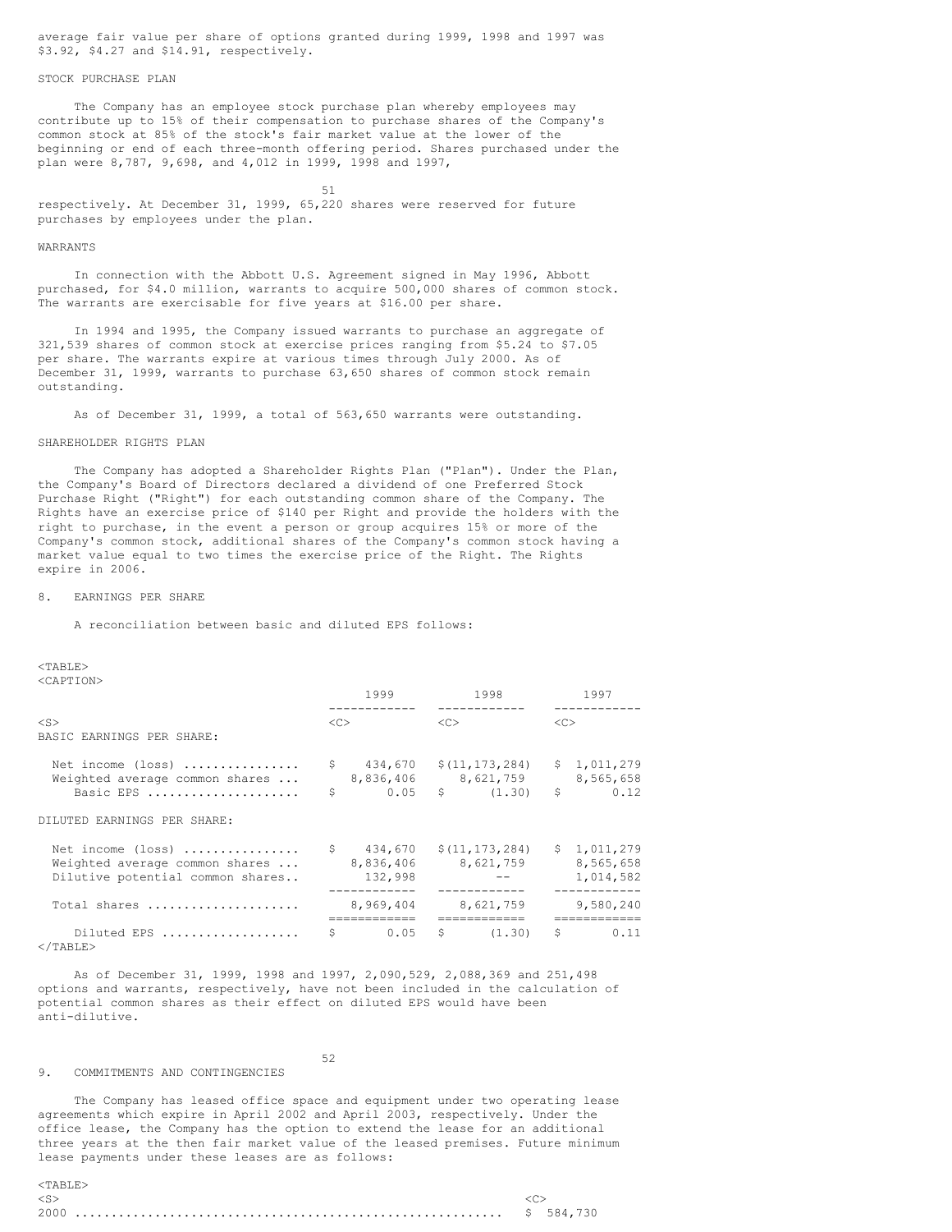average fair value per share of options granted during 1999, 1998 and 1997 was \$3.92, \$4.27 and \$14.91, respectively.

## STOCK PURCHASE PLAN

The Company has an employee stock purchase plan whereby employees may contribute up to 15% of their compensation to purchase shares of the Company's common stock at 85% of the stock's fair market value at the lower of the beginning or end of each three-month offering period. Shares purchased under the plan were 8,787, 9,698, and 4,012 in 1999, 1998 and 1997,

51 respectively. At December 31, 1999, 65,220 shares were reserved for future purchases by employees under the plan.

#### WARRANTS

In connection with the Abbott U.S. Agreement signed in May 1996, Abbott purchased, for \$4.0 million, warrants to acquire 500,000 shares of common stock. The warrants are exercisable for five years at \$16.00 per share.

In 1994 and 1995, the Company issued warrants to purchase an aggregate of 321,539 shares of common stock at exercise prices ranging from \$5.24 to \$7.05 per share. The warrants expire at various times through July 2000. As of December 31, 1999, warrants to purchase 63,650 shares of common stock remain outstanding.

As of December 31, 1999, a total of 563,650 warrants were outstanding.

## SHAREHOLDER RIGHTS PLAN

The Company has adopted a Shareholder Rights Plan ("Plan"). Under the Plan, the Company's Board of Directors declared a dividend of one Preferred Stock Purchase Right ("Right") for each outstanding common share of the Company. The Rights have an exercise price of \$140 per Right and provide the holders with the right to purchase, in the event a person or group acquires 15% or more of the Company's common stock, additional shares of the Company's common stock having a market value equal to two times the exercise price of the Right. The Rights expire in 2006.

## 8. EARNINGS PER SHARE

A reconciliation between basic and diluted EPS follows:

 $<$ TABLE> <CAPTION>

|                                                                                         |          | 1999<br>1998                                                                                         |    |           | 1997 |                                  |
|-----------------------------------------------------------------------------------------|----------|------------------------------------------------------------------------------------------------------|----|-----------|------|----------------------------------|
| $<$ S><br>BASIC EARNINGS PER SHARE:                                                     |          | $<<$ $>$                                                                                             | << |           | <<   |                                  |
| Net income (loss)<br>Weighted average common shares<br>Basic EPS                        | \$.<br>Ś | 434,670 \$(11,173,284)<br>8,836,406 8,621,759<br>$0.05 \quad \text{S} \quad (1.30)$                  |    |           | Ŝ.   | \$1,011,279<br>8,565,658<br>0.12 |
| DILUTED EARNINGS PER SHARE:                                                             |          |                                                                                                      |    |           |      |                                  |
| Net income (loss)<br>Weighted average common shares<br>Dilutive potential common shares |          | $\frac{1}{2}$ 434,670 $\frac{11,173,284}{6}$ $\frac{1,011,279}{6}$<br>8,836,406 8,621,759<br>132,998 |    | $ -$      |      | 8,565,658<br>1,014,582           |
| Total shares                                                                            |          | 8,969,404                                                                                            |    | 8,621,759 |      | 9,580,240                        |
| Diluted EPS                                                                             | S        | 0.05                                                                                                 |    | (1, 30)   |      | .<br>$\sin 0.11$                 |

 $\langle$ /TABLE>

As of December 31, 1999, 1998 and 1997, 2,090,529, 2,088,369 and 251,498 options and warrants, respectively, have not been included in the calculation of potential common shares as their effect on diluted EPS would have been anti-dilutive.

52

#### 9. COMMITMENTS AND CONTINGENCIES

The Company has leased office space and equipment under two operating lease agreements which expire in April 2002 and April 2003, respectively. Under the office lease, the Company has the option to extend the lease for an additional three years at the then fair market value of the leased premises. Future minimum lease payments under these leases are as follows:

| $<$ TARLE $>$ |  |
|---------------|--|
| $<$ S $>$     |  |
|               |  |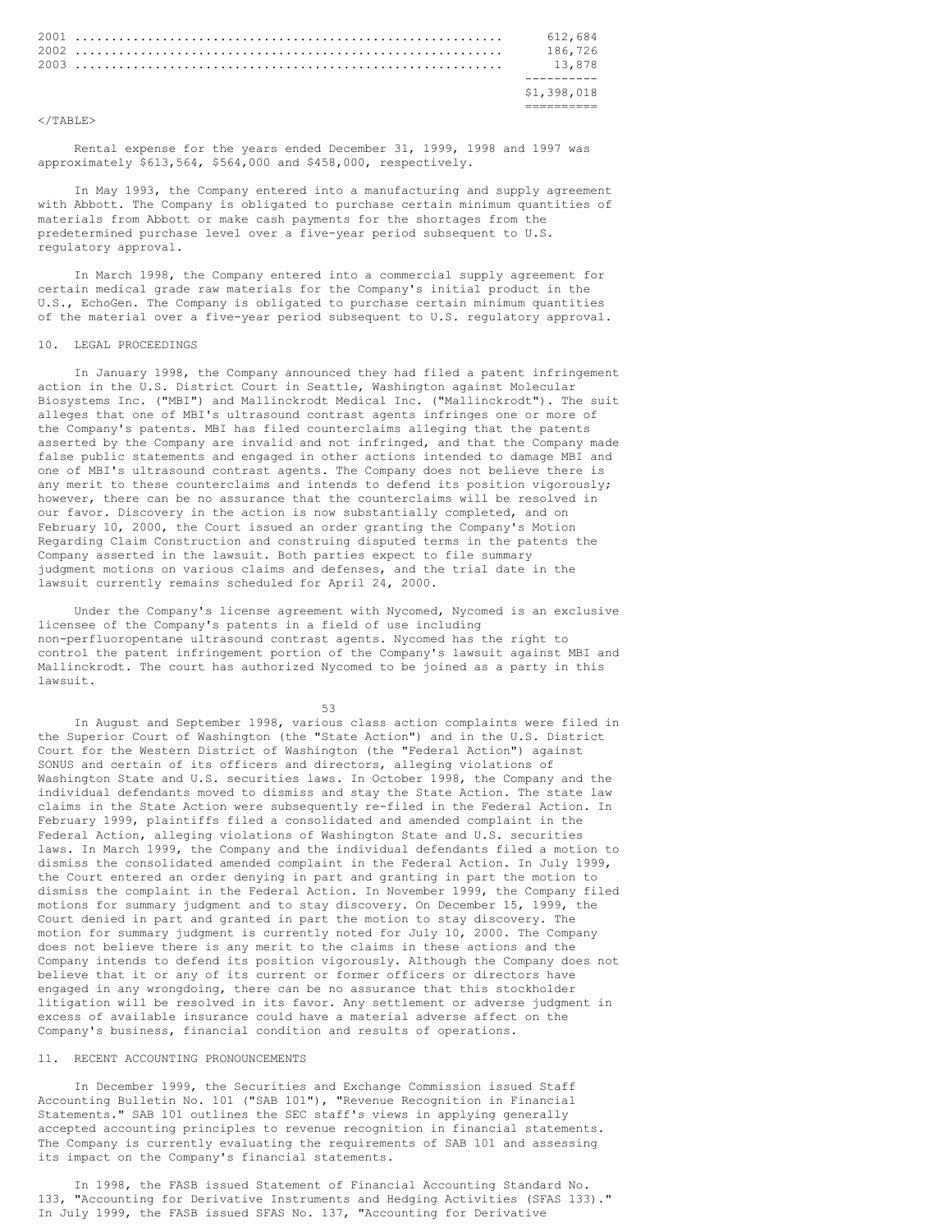|  |  |  |  |  |  |  |  |  |  |  |  |  | 612.684     |  |
|--|--|--|--|--|--|--|--|--|--|--|--|--|-------------|--|
|  |  |  |  |  |  |  |  |  |  |  |  |  | 186.726     |  |
|  |  |  |  |  |  |  |  |  |  |  |  |  | 13.878      |  |
|  |  |  |  |  |  |  |  |  |  |  |  |  |             |  |
|  |  |  |  |  |  |  |  |  |  |  |  |  | \$1,398,018 |  |
|  |  |  |  |  |  |  |  |  |  |  |  |  |             |  |

 $\langle$ /TABLE>

Rental expense for the years ended December 31, 1999, 1998 and 1997 was approximately \$613,564, \$564,000 and \$458,000, respectively.

In May 1993, the Company entered into a manufacturing and supply agreement with Abbott. The Company is obligated to purchase certain minimum quantities of materials from Abbott or make cash payments for the shortages from the predetermined purchase level over a five-year period subsequent to U.S. regulatory approval.

In March 1998, the Company entered into a commercial supply agreement for certain medical grade raw materials for the Company's initial product in the U.S., EchoGen. The Company is obligated to purchase certain minimum quantities of the material over a five-year period subsequent to U.S. regulatory approval.

#### 10. LEGAL PROCEEDINGS

In January 1998, the Company announced they had filed a patent infringement action in the U.S. District Court in Seattle, Washington against Molecular Biosystems Inc. ("MBI") and Mallinckrodt Medical Inc. ("Mallinckrodt"). The suit alleges that one of MBI's ultrasound contrast agents infringes one or more of the Company's patents. MBI has filed counterclaims alleging that the patents asserted by the Company are invalid and not infringed, and that the Company made false public statements and engaged in other actions intended to damage MBI and one of MBI's ultrasound contrast agents. The Company does not believe there is any merit to these counterclaims and intends to defend its position vigorously; however, there can be no assurance that the counterclaims will be resolved in our favor. Discovery in the action is now substantially completed, and on February 10, 2000, the Court issued an order granting the Company's Motion Regarding Claim Construction and construing disputed terms in the patents the Company asserted in the lawsuit. Both parties expect to file summary judgment motions on various claims and defenses, and the trial date in the lawsuit currently remains scheduled for April 24, 2000.

Under the Company's license agreement with Nycomed, Nycomed is an exclusive licensee of the Company's patents in a field of use including non-perfluoropentane ultrasound contrast agents. Nycomed has the right to control the patent infringement portion of the Company's lawsuit against MBI and Mallinckrodt. The court has authorized Nycomed to be joined as a party in this lawsuit.

53

In August and September 1998, various class action complaints were filed in the Superior Court of Washington (the "State Action") and in the U.S. District Court for the Western District of Washington (the "Federal Action") against SONUS and certain of its officers and directors, alleging violations of Washington State and U.S. securities laws. In October 1998, the Company and the individual defendants moved to dismiss and stay the State Action. The state law claims in the State Action were subsequently re-filed in the Federal Action. In February 1999, plaintiffs filed a consolidated and amended complaint in the Federal Action, alleging violations of Washington State and U.S. securities laws. In March 1999, the Company and the individual defendants filed a motion to dismiss the consolidated amended complaint in the Federal Action. In July 1999, the Court entered an order denying in part and granting in part the motion to dismiss the complaint in the Federal Action. In November 1999, the Company filed motions for summary judgment and to stay discovery. On December 15, 1999, the Court denied in part and granted in part the motion to stay discovery. The motion for summary judgment is currently noted for July 10, 2000. The Company does not believe there is any merit to the claims in these actions and the Company intends to defend its position vigorously. Although the Company does not believe that it or any of its current or former officers or directors have engaged in any wrongdoing, there can be no assurance that this stockholder litigation will be resolved in its favor. Any settlement or adverse judgment in excess of available insurance could have a material adverse affect on the Company's business, financial condition and results of operations.

## 11. RECENT ACCOUNTING PRONOUNCEMENTS

In December 1999, the Securities and Exchange Commission issued Staff Accounting Bulletin No. 101 ("SAB 101"), "Revenue Recognition in Financial Statements." SAB 101 outlines the SEC staff's views in applying generally accepted accounting principles to revenue recognition in financial statements. The Company is currently evaluating the requirements of SAB 101 and assessing its impact on the Company's financial statements.

In 1998, the FASB issued Statement of Financial Accounting Standard No. 133, "Accounting for Derivative Instruments and Hedging Activities (SFAS 133)." In July 1999, the FASB issued SFAS No. 137, "Accounting for Derivative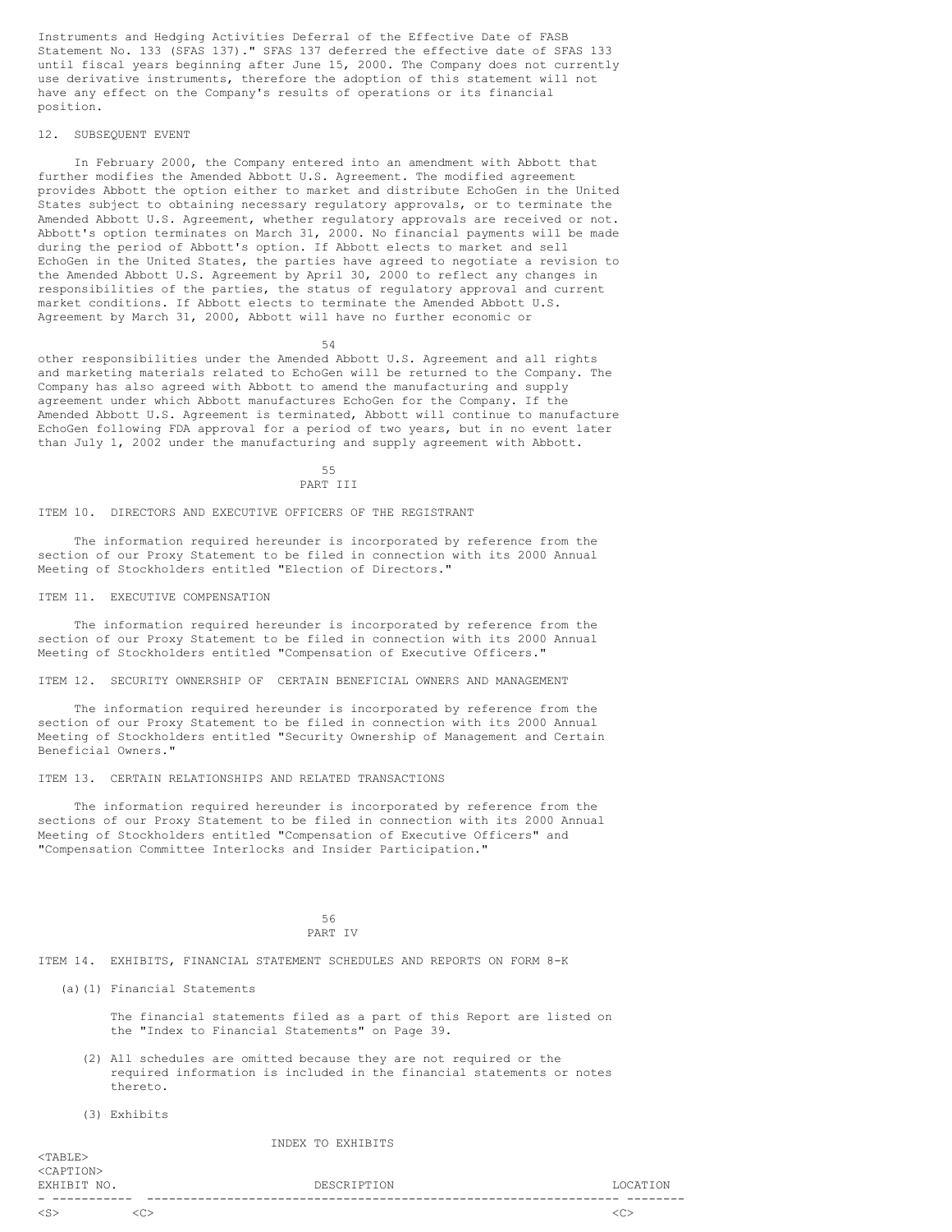Instruments and Hedging Activities Deferral of the Effective Date of FASB Statement No. 133 (SFAS 137)." SFAS 137 deferred the effective date of SFAS 133 until fiscal years beginning after June 15, 2000. The Company does not currently use derivative instruments, therefore the adoption of this statement will not have any effect on the Company's results of operations or its financial position.

## 12. SUBSEQUENT EVENT

In February 2000, the Company entered into an amendment with Abbott that further modifies the Amended Abbott U.S. Agreement. The modified agreement provides Abbott the option either to market and distribute EchoGen in the United States subject to obtaining necessary regulatory approvals, or to terminate the Amended Abbott U.S. Agreement, whether regulatory approvals are received or not. Abbott's option terminates on March 31, 2000. No financial payments will be made during the period of Abbott's option. If Abbott elects to market and sell EchoGen in the United States, the parties have agreed to negotiate a revision to the Amended Abbott U.S. Agreement by April 30, 2000 to reflect any changes in responsibilities of the parties, the status of regulatory approval and current market conditions. If Abbott elects to terminate the Amended Abbott U.S. Agreement by March 31, 2000, Abbott will have no further economic or

54

other responsibilities under the Amended Abbott U.S. Agreement and all rights and marketing materials related to EchoGen will be returned to the Company. The Company has also agreed with Abbott to amend the manufacturing and supply agreement under which Abbott manufactures EchoGen for the Company. If the Amended Abbott U.S. Agreement is terminated, Abbott will continue to manufacture EchoGen following FDA approval for a period of two years, but in no event later than July 1, 2002 under the manufacturing and supply agreement with Abbott.

## 55

## PART TIT

ITEM 10. DIRECTORS AND EXECUTIVE OFFICERS OF THE REGISTRANT

The information required hereunder is incorporated by reference from the section of our Proxy Statement to be filed in connection with its 2000 Annual Meeting of Stockholders entitled "Election of Directors."

## ITEM 11. EXECUTIVE COMPENSATION

The information required hereunder is incorporated by reference from the section of our Proxy Statement to be filed in connection with its 2000 Annual Meeting of Stockholders entitled "Compensation of Executive Officers."

ITEM 12. SECURITY OWNERSHIP OF CERTAIN BENEFICIAL OWNERS AND MANAGEMENT

The information required hereunder is incorporated by reference from the section of our Proxy Statement to be filed in connection with its 2000 Annual Meeting of Stockholders entitled "Security Ownership of Management and Certain Beneficial Owners."

ITEM 13. CERTAIN RELATIONSHIPS AND RELATED TRANSACTIONS

The information required hereunder is incorporated by reference from the sections of our Proxy Statement to be filed in connection with its 2000 Annual Meeting of Stockholders entitled "Compensation of Executive Officers" and "Compensation Committee Interlocks and Insider Participation."

> 56 PART IV

ITEM 14. EXHIBITS, FINANCIAL STATEMENT SCHEDULES AND REPORTS ON FORM 8-K

(a)(1) Financial Statements

The financial statements filed as a part of this Report are listed on the "Index to Financial Statements" on Page 39.

- (2) All schedules are omitted because they are not required or the required information is included in the financial statements or notes thereto.
- (3) Exhibits

#### INDEX TO EXHIBITS

<TABLE> <CAPTION> EXHIBIT NO. DESCRIPTION LOCATION - ----------- ----------------------------------------------------------------- -------- <S> <C> <C>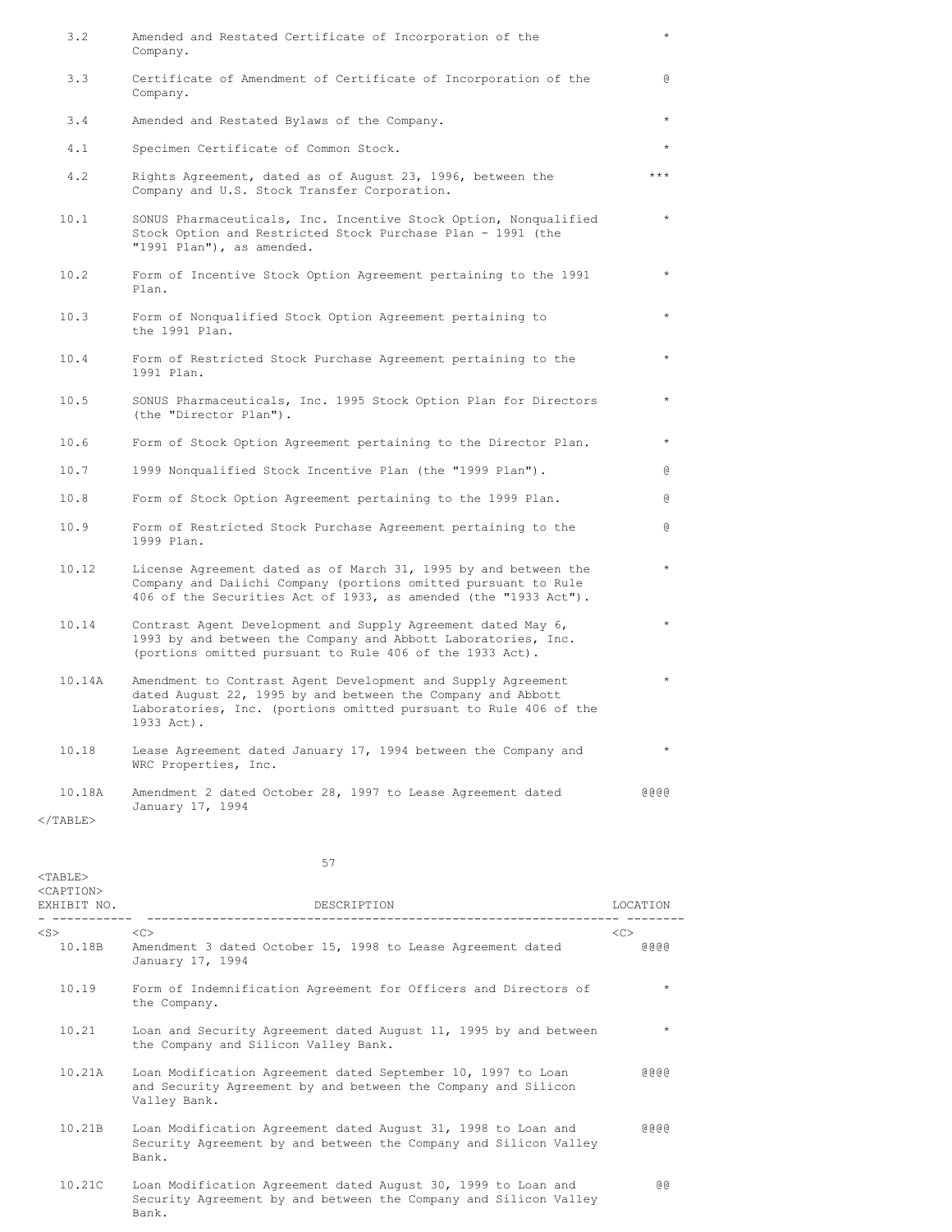| 3.2         | Amended and Restated Certificate of Incorporation of the<br>Company.                                                                                                                                          | $\star$ |
|-------------|---------------------------------------------------------------------------------------------------------------------------------------------------------------------------------------------------------------|---------|
| 3.3         | Certificate of Amendment of Certificate of Incorporation of the<br>Company.                                                                                                                                   | G       |
| 3.4         | Amended and Restated Bylaws of the Company.                                                                                                                                                                   | $\star$ |
| 4.1         | Specimen Certificate of Common Stock.                                                                                                                                                                         | $\star$ |
| 4.2         | Rights Agreement, dated as of August 23, 1996, between the<br>Company and U.S. Stock Transfer Corporation.                                                                                                    | $***$   |
| 10.1        | SONUS Pharmaceuticals, Inc. Incentive Stock Option, Nonqualified<br>Stock Option and Restricted Stock Purchase Plan - 1991 (the<br>"1991 Plan"), as amended.                                                  | $\star$ |
| 10.2        | Form of Incentive Stock Option Agreement pertaining to the 1991<br>Plan.                                                                                                                                      | $\star$ |
| 10.3        | Form of Nonqualified Stock Option Agreement pertaining to<br>the 1991 Plan.                                                                                                                                   | $\star$ |
| 10.4        | Form of Restricted Stock Purchase Agreement pertaining to the<br>1991 Plan.                                                                                                                                   |         |
| 10.5        | SONUS Pharmaceuticals, Inc. 1995 Stock Option Plan for Directors<br>(the "Director Plan").                                                                                                                    | $\star$ |
| 10.6        | Form of Stock Option Agreement pertaining to the Director Plan.                                                                                                                                               | $\star$ |
| 10.7        | 1999 Nonqualified Stock Incentive Plan (the "1999 Plan").                                                                                                                                                     | G.      |
| 10.8        | Form of Stock Option Agreement pertaining to the 1999 Plan.                                                                                                                                                   | G.      |
| 10.9        | Form of Restricted Stock Purchase Agreement pertaining to the<br>1999 Plan.                                                                                                                                   | G)      |
| 10.12       | License Agreement dated as of March 31, 1995 by and between the<br>Company and Daiichi Company (portions omitted pursuant to Rule<br>406 of the Securities Act of 1933, as amended (the "1933 Act").          | $\star$ |
| 10.14       | Contrast Agent Development and Supply Agreement dated May 6,<br>1993 by and between the Company and Abbott Laboratories, Inc.<br>(portions omitted pursuant to Rule 406 of the 1933 Act).                     | $\star$ |
| 10.14A      | Amendment to Contrast Agent Development and Supply Agreement<br>dated August 22, 1995 by and between the Company and Abbott<br>Laboratories, Inc. (portions omitted pursuant to Rule 406 of the<br>1933 Act). | $\star$ |
| 10.18       | Lease Agreement dated January 17, 1994 between the Company and<br>WRC Properties, Inc.                                                                                                                        | $\star$ |
| 10.18A      | Amendment 2 dated October 28, 1997 to Lease Agreement dated<br>January 17, 1994                                                                                                                               | 0000    |
| $<$ /TABLE> |                                                                                                                                                                                                               |         |

| $<$ TABLE $>$<br>$<$ CAPTION $>$ |                                                                                                                                               |                             |
|----------------------------------|-----------------------------------------------------------------------------------------------------------------------------------------------|-----------------------------|
| EXHIBIT NO.                      | DESCRIPTION                                                                                                                                   | LOCATION                    |
| $<$ S $>$<br>10.18B              | < <c><br/>Amendment 3 dated October 15, 1998 to Lease Agreement dated<br/>January 17, 1994</c>                                                | < <sub><br/>(9, 6, 6)</sub> |
| 10.19                            | Form of Indemnification Agreement for Officers and Directors of<br>the Company.                                                               | $\star$                     |
| 10.21                            | Loan and Security Agreement dated August 11, 1995 by and between<br>the Company and Silicon Valley Bank.                                      | $\star$                     |
| 10.21A                           | Loan Modification Agreement dated September 10, 1997 to Loan<br>and Security Agreement by and between the Company and Silicon<br>Valley Bank. | (9, 6, 6)                   |
| 10.21B                           | Loan Modification Agreement dated August 31, 1998 to Loan and<br>Security Agreement by and between the Company and Silicon Valley<br>Bank.    | 6666                        |
| 10.21C                           | Loan Modification Agreement dated August 30, 1999 to Loan and<br>Security Agreement by and between the Company and Silicon Valley<br>Bank.    | <b>@</b>                    |

57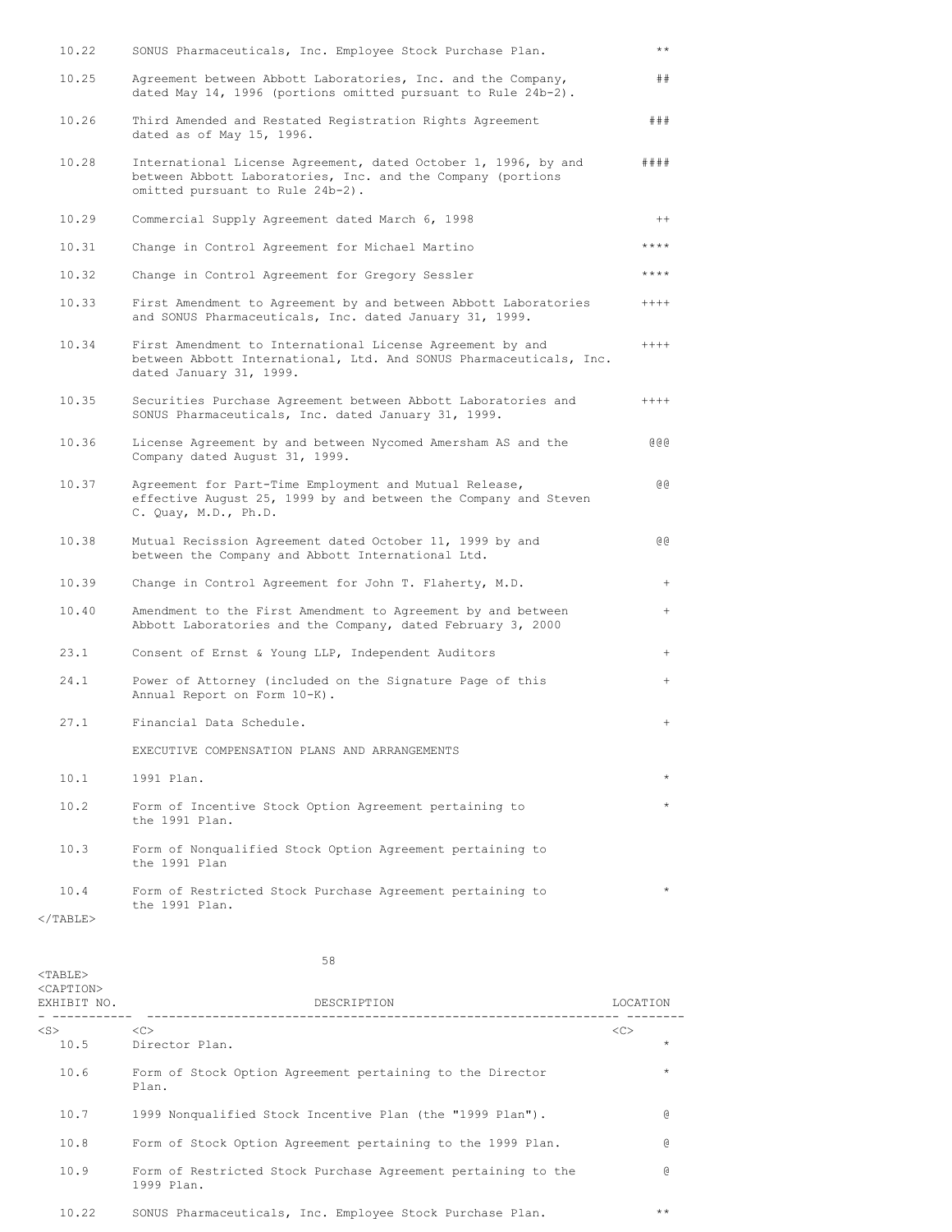| 10.22            | SONUS Pharmaceuticals, Inc. Employee Stock Purchase Plan.                                                                                                         | $\star\star$ |
|------------------|-------------------------------------------------------------------------------------------------------------------------------------------------------------------|--------------|
| 10.25            | Agreement between Abbott Laboratories, Inc. and the Company,<br>dated May 14, 1996 (portions omitted pursuant to Rule 24b-2).                                     | ##           |
| 10.26            | Third Amended and Restated Registration Rights Agreement<br>dated as of May 15, 1996.                                                                             | # ##         |
| 10.28            | International License Agreement, dated October 1, 1996, by and<br>between Abbott Laboratories, Inc. and the Company (portions<br>omitted pursuant to Rule 24b-2). | # # ##       |
| 10.29            | Commercial Supply Agreement dated March 6, 1998                                                                                                                   | $^{++}$      |
| 10.31            | Change in Control Agreement for Michael Martino                                                                                                                   | $***$ * * *  |
| 10.32            | Change in Control Agreement for Gregory Sessler                                                                                                                   | ****         |
| 10.33            | First Amendment to Agreement by and between Abbott Laboratories<br>and SONUS Pharmaceuticals, Inc. dated January 31, 1999.                                        | $++++$       |
| 10.34            | First Amendment to International License Agreement by and<br>between Abbott International, Ltd. And SONUS Pharmaceuticals, Inc.<br>dated January 31, 1999.        | $+++++$      |
| 10.35            | Securities Purchase Agreement between Abbott Laboratories and<br>SONUS Pharmaceuticals, Inc. dated January 31, 1999.                                              | $+++++$      |
| 10.36            | License Agreement by and between Nycomed Amersham AS and the<br>Company dated August 31, 1999.                                                                    | 000          |
| 10.37            | Agreement for Part-Time Employment and Mutual Release,<br>effective August 25, 1999 by and between the Company and Steven<br>C. Quay, M.D., Ph.D.                 | ଡ ଡ          |
| 10.38            | Mutual Recission Agreement dated October 11, 1999 by and<br>between the Company and Abbott International Ltd.                                                     | ଡ ଡ          |
| 10.39            | Change in Control Agreement for John T. Flaherty, M.D.                                                                                                            | $^{+}$       |
| 10.40            | Amendment to the First Amendment to Agreement by and between<br>Abbott Laboratories and the Company, dated February 3, 2000                                       | $^{+}$       |
| 23.1             | Consent of Ernst & Young LLP, Independent Auditors                                                                                                                | $^{+}$       |
| 24.1             | Power of Attorney (included on the Signature Page of this<br>Annual Report on Form 10-K).                                                                         | $^{+}$       |
| 27.1             | Financial Data Schedule.                                                                                                                                          | $^{+}$       |
|                  | EXECUTIVE COMPENSATION PLANS AND ARRANGEMENTS                                                                                                                     |              |
| 10.1             | 1991 Plan.                                                                                                                                                        |              |
| 10.2             | Form of Incentive Stock Option Agreement pertaining to<br>the 1991 Plan.                                                                                          |              |
| 10.3             | Form of Nonqualified Stock Option Agreement pertaining to<br>the 1991 Plan                                                                                        |              |
| 10.4<br>ת דם גרו | Form of Restricted Stock Purchase Agreement pertaining to<br>the 1991 Plan.                                                                                       |              |
|                  |                                                                                                                                                                   |              |

 $\rm <$  /TABLE>

 $<$ TABLE>

58

| <caption><br/>EXHIBIT NO.</caption> | DESCRIPTION                                                                 | LOCATION |         |
|-------------------------------------|-----------------------------------------------------------------------------|----------|---------|
| $<$ S $>$                           | < <sub></sub>                                                               | <<       |         |
| 10.5                                | Director Plan.                                                              |          | $\star$ |
| 10.6                                | Form of Stock Option Agreement pertaining to the Director<br>Plan.          |          | $\star$ |
| 10.7                                | 1999 Nonqualified Stock Incentive Plan (the "1999 Plan").                   |          | G       |
| 10.8                                | Form of Stock Option Agreement pertaining to the 1999 Plan.                 |          | G       |
| 10.9                                | Form of Restricted Stock Purchase Agreement pertaining to the<br>1999 Plan. |          | G)      |
| 10.22                               | SONUS Pharmaceuticals, Inc. Employee Stock Purchase Plan.                   |          | $***$   |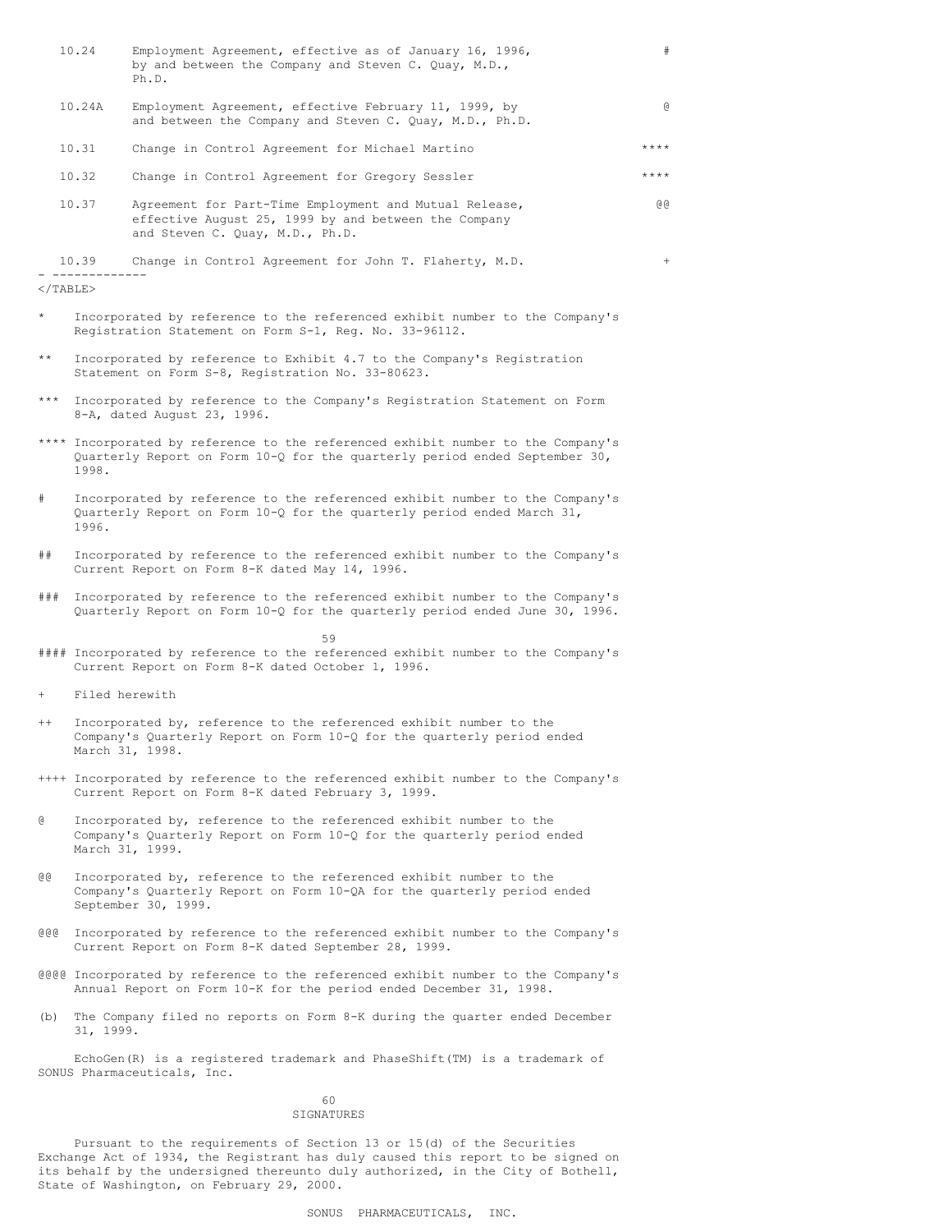|              | 10.24                                                                                                                                                                   | Employment Agreement, effective as of January 16, 1996,<br>by and between the Company and Steven C. Quay, M.D.,<br>Ph.D.                                   | #            |  |  |  |  |  |  |
|--------------|-------------------------------------------------------------------------------------------------------------------------------------------------------------------------|------------------------------------------------------------------------------------------------------------------------------------------------------------|--------------|--|--|--|--|--|--|
|              | 10.24A                                                                                                                                                                  | Employment Agreement, effective February 11, 1999, by<br>and between the Company and Steven C. Quay, M.D., Ph.D.                                           | $\mathbf{a}$ |  |  |  |  |  |  |
|              | 10.31                                                                                                                                                                   | Change in Control Agreement for Michael Martino                                                                                                            | ****         |  |  |  |  |  |  |
|              | 10.32                                                                                                                                                                   | Change in Control Agreement for Gregory Sessler                                                                                                            | ****         |  |  |  |  |  |  |
|              | 10.37                                                                                                                                                                   | Agreement for Part-Time Employment and Mutual Release,<br>effective August 25, 1999 by and between the Company<br>and Steven C. Quay, M.D., Ph.D.          | ଡ ଡ          |  |  |  |  |  |  |
|              | 10.39                                                                                                                                                                   | Change in Control Agreement for John T. Flaherty, M.D.                                                                                                     | $+$          |  |  |  |  |  |  |
|              | $\braket{\texttt{TABLE}}$                                                                                                                                               |                                                                                                                                                            |              |  |  |  |  |  |  |
| $\star$      | Incorporated by reference to the referenced exhibit number to the Company's<br>Registration Statement on Form S-1, Reg. No. 33-96112.                                   |                                                                                                                                                            |              |  |  |  |  |  |  |
| $\star\star$ | Incorporated by reference to Exhibit 4.7 to the Company's Registration<br>Statement on Form S-8, Registration No. 33-80623.                                             |                                                                                                                                                            |              |  |  |  |  |  |  |
| $***$        | Incorporated by reference to the Company's Registration Statement on Form<br>8-A, dated August 23, 1996.                                                                |                                                                                                                                                            |              |  |  |  |  |  |  |
|              | **** Incorporated by reference to the referenced exhibit number to the Company's<br>Quarterly Report on Form 10-Q for the quarterly period ended September 30,<br>1998. |                                                                                                                                                            |              |  |  |  |  |  |  |
| #            | Incorporated by reference to the referenced exhibit number to the Company's<br>Quarterly Report on Form 10-Q for the quarterly period ended March 31,<br>1996.          |                                                                                                                                                            |              |  |  |  |  |  |  |
| ##           | Incorporated by reference to the referenced exhibit number to the Company's<br>Current Report on Form 8-K dated May 14, 1996.                                           |                                                                                                                                                            |              |  |  |  |  |  |  |
| # # #        |                                                                                                                                                                         | Incorporated by reference to the referenced exhibit number to the Company's<br>Quarterly Report on Form 10-Q for the quarterly period ended June 30, 1996. |              |  |  |  |  |  |  |
|              |                                                                                                                                                                         | 59                                                                                                                                                         |              |  |  |  |  |  |  |
|              |                                                                                                                                                                         | #### Incorporated by reference to the referenced exhibit number to the Company's<br>Current Report on Form 8-K dated October 1, 1996.                      |              |  |  |  |  |  |  |

+ Filed herewith

- ++ Incorporated by, reference to the referenced exhibit number to the Company's Quarterly Report on Form 10-Q for the quarterly period ended March 31, 1998.
- ++++ Incorporated by reference to the referenced exhibit number to the Company's Current Report on Form 8-K dated February 3, 1999.
- @ Incorporated by, reference to the referenced exhibit number to the Company's Quarterly Report on Form 10-Q for the quarterly period ended March 31, 1999.
- @@ Incorporated by, reference to the referenced exhibit number to the Company's Quarterly Report on Form 10-QA for the quarterly period ended September 30, 1999.
- @@@ Incorporated by reference to the referenced exhibit number to the Company's Current Report on Form 8-K dated September 28, 1999.
- @@@@ Incorporated by reference to the referenced exhibit number to the Company's Annual Report on Form 10-K for the period ended December 31, 1998.
- (b) The Company filed no reports on Form 8-K during the quarter ended December 31, 1999.

EchoGen(R) is a registered trademark and PhaseShift(TM) is a trademark of SONUS Pharmaceuticals, Inc.

# 60

SIGNATURES

Pursuant to the requirements of Section 13 or 15(d) of the Securities Exchange Act of 1934, the Registrant has duly caused this report to be signed on its behalf by the undersigned thereunto duly authorized, in the City of Bothell, State of Washington, on February 29, 2000.

SONUS PHARMACEUTICALS, INC.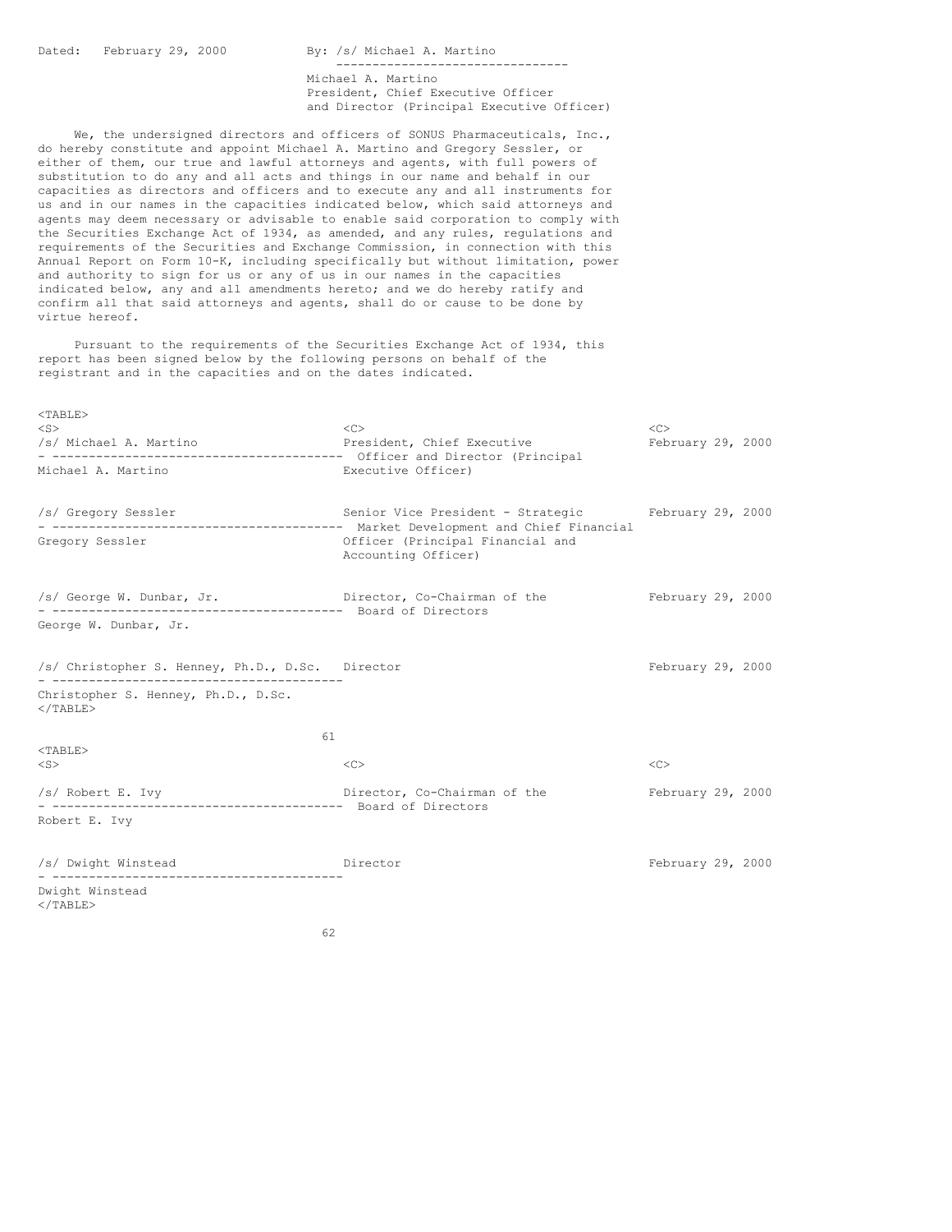Dated: February 29, 2000 By: /s/ Michael A. Martino -------------------------------- Michael A. Martino President, Chief Executive Officer and Director (Principal Executive Officer) We, the undersigned directors and officers of SONUS Pharmaceuticals, Inc., do hereby constitute and appoint Michael A. Martino and Gregory Sessler, or either of them, our true and lawful attorneys and agents, with full powers of substitution to do any and all acts and things in our name and behalf in our capacities as directors and officers and to execute any and all instruments for us and in our names in the capacities indicated below, which said attorneys and agents may deem necessary or advisable to enable said corporation to comply with the Securities Exchange Act of 1934, as amended, and any rules, regulations and requirements of the Securities and Exchange Commission, in connection with this Annual Report on Form 10-K, including specifically but without limitation, power and authority to sign for us or any of us in our names in the capacities indicated below, any and all amendments hereto; and we do hereby ratify and confirm all that said attorneys and agents, shall do or cause to be done by virtue hereof. Pursuant to the requirements of the Securities Exchange Act of 1934, this report has been signed below by the following persons on behalf of the registrant and in the capacities and on the dates indicated. <TABLE> <S> <C> <C> /s/ Michael A. Martino President, Chief Executive February 29, 2000 - ---------------------------------------- Officer and Director (Principal Michael A. Martino **Executive Officer**) /s/ Gregory Sessler Senior Vice President - Strategic February 29, 2000 - ---------------------------------------- Market Development and Chief Financial Officer (Principal Financial and Accounting Officer) /s/ George W. Dunbar, Jr. Director, Co-Chairman of the February 29, 2000 - ---------------------------------------- Board of Directors George W. Dunbar, Jr. /s/ Christopher S. Henney, Ph.D., D.Sc. Director February 29, 2000 - ---------------------------------------- Christopher S. Henney, Ph.D., D.Sc.  $\langle$ /TABLE> 61 <TABLE> <S> <C> <C> /s/ Robert E. Ivy Director, Co-Chairman of the February 29, 2000 - ---------------------------------------- Board of Directors Robert E. Ivy /s/ Dwight Winstead Director February 29, 2000 - ---------------------------------------- Dwight Winstead  $\langle$ /TABLE $>$ 

62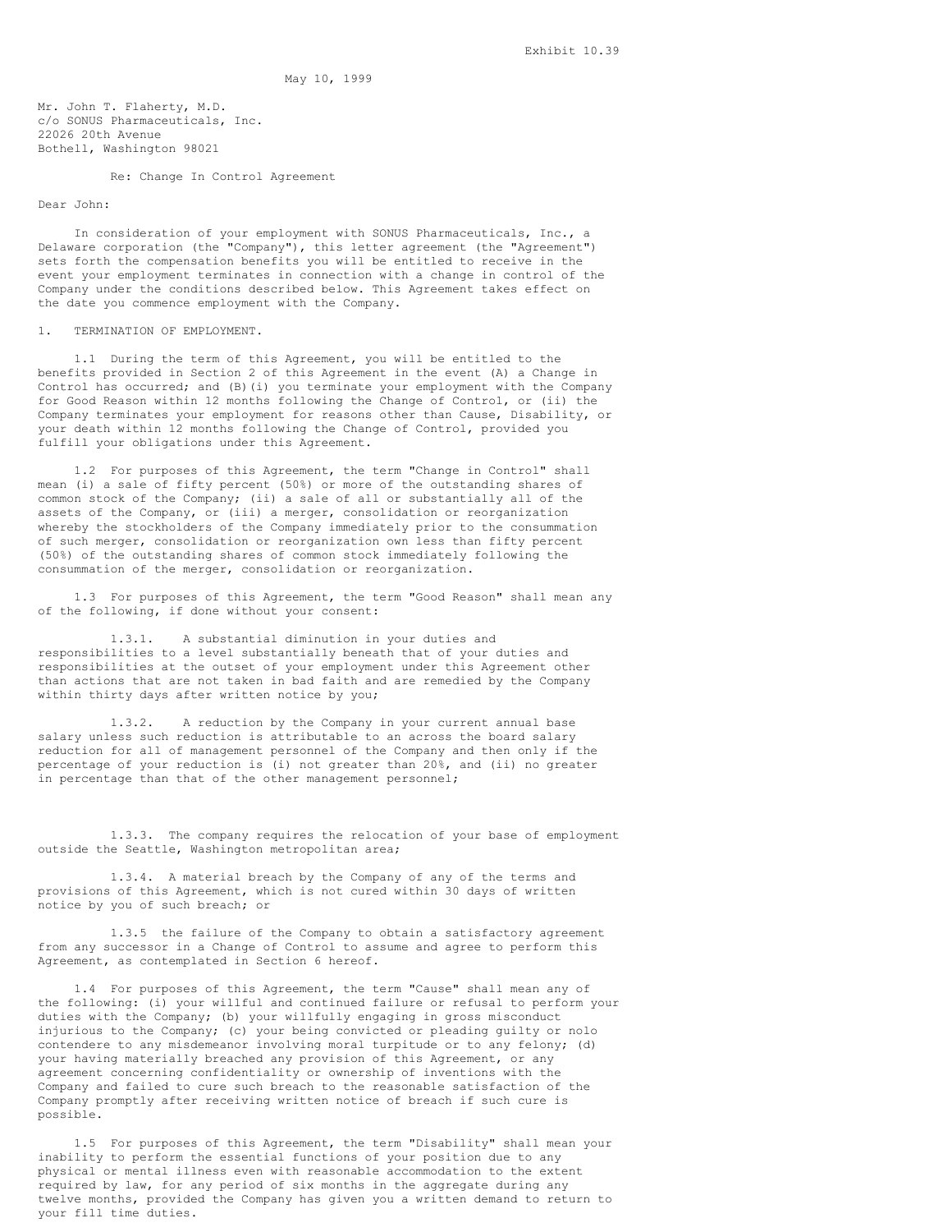May 10, 1999

Mr. John T. Flaherty, M.D. c/o SONUS Pharmaceuticals, Inc. 22026 20th Avenue Bothell, Washington 98021

Re: Change In Control Agreement

## Dear John:

In consideration of your employment with SONUS Pharmaceuticals, Inc., a Delaware corporation (the "Company"), this letter agreement (the "Agreement") sets forth the compensation benefits you will be entitled to receive in the event your employment terminates in connection with a change in control of the Company under the conditions described below. This Agreement takes effect on the date you commence employment with the Company.

### 1. TERMINATION OF EMPLOYMENT.

1.1 During the term of this Agreement, you will be entitled to the benefits provided in Section 2 of this Agreement in the event (A) a Change in Control has occurred; and (B)(i) you terminate your employment with the Company for Good Reason within 12 months following the Change of Control, or (ii) the Company terminates your employment for reasons other than Cause, Disability, or your death within 12 months following the Change of Control, provided you fulfill your obligations under this Agreement.

1.2 For purposes of this Agreement, the term "Change in Control" shall mean (i) a sale of fifty percent (50%) or more of the outstanding shares of common stock of the Company; (ii) a sale of all or substantially all of the assets of the Company, or (iii) a merger, consolidation or reorganization whereby the stockholders of the Company immediately prior to the consummation of such merger, consolidation or reorganization own less than fifty percent (50%) of the outstanding shares of common stock immediately following the consummation of the merger, consolidation or reorganization.

1.3 For purposes of this Agreement, the term "Good Reason" shall mean any of the following, if done without your consent:

1.3.1. A substantial diminution in your duties and responsibilities to a level substantially beneath that of your duties and responsibilities at the outset of your employment under this Agreement other than actions that are not taken in bad faith and are remedied by the Company within thirty days after written notice by you;

1.3.2. A reduction by the Company in your current annual base salary unless such reduction is attributable to an across the board salary reduction for all of management personnel of the Company and then only if the percentage of your reduction is (i) not greater than 20%, and (ii) no greater in percentage than that of the other management personnel;

1.3.3. The company requires the relocation of your base of employment outside the Seattle, Washington metropolitan area;

1.3.4. A material breach by the Company of any of the terms and provisions of this Agreement, which is not cured within 30 days of written notice by you of such breach; or

1.3.5 the failure of the Company to obtain a satisfactory agreement from any successor in a Change of Control to assume and agree to perform this Agreement, as contemplated in Section 6 hereof.

1.4 For purposes of this Agreement, the term "Cause" shall mean any of the following: (i) your willful and continued failure or refusal to perform your duties with the Company; (b) your willfully engaging in gross misconduct injurious to the Company; (c) your being convicted or pleading guilty or nolo contendere to any misdemeanor involving moral turpitude or to any felony; (d) your having materially breached any provision of this Agreement, or any agreement concerning confidentiality or ownership of inventions with the Company and failed to cure such breach to the reasonable satisfaction of the Company promptly after receiving written notice of breach if such cure is possible.

1.5 For purposes of this Agreement, the term "Disability" shall mean your inability to perform the essential functions of your position due to any physical or mental illness even with reasonable accommodation to the extent required by law, for any period of six months in the aggregate during any twelve months, provided the Company has given you a written demand to return to your fill time duties.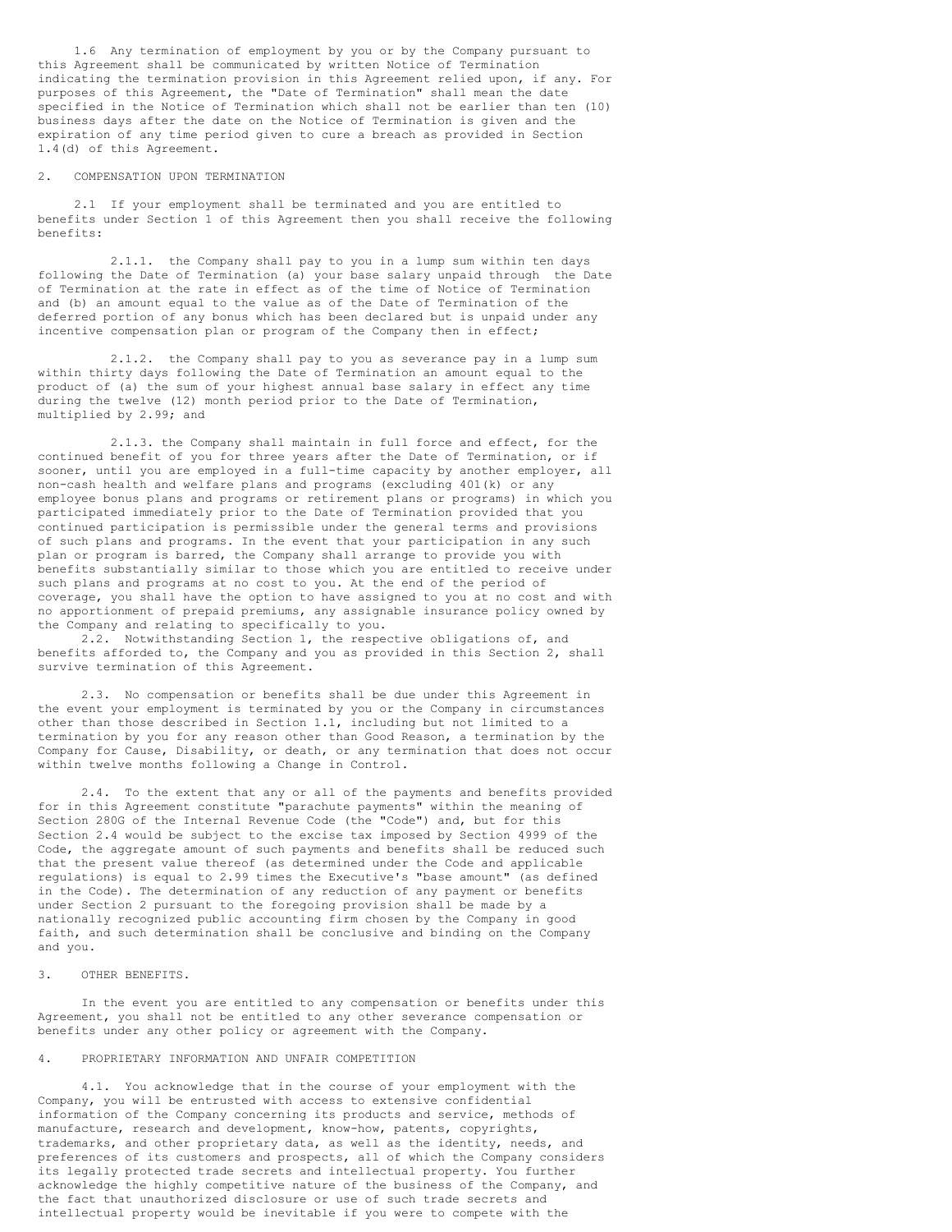1.6 Any termination of employment by you or by the Company pursuant to this Agreement shall be communicated by written Notice of Termination indicating the termination provision in this Agreement relied upon, if any. For purposes of this Agreement, the "Date of Termination" shall mean the date specified in the Notice of Termination which shall not be earlier than ten (10) business days after the date on the Notice of Termination is given and the expiration of any time period given to cure a breach as provided in Section 1.4(d) of this Agreement.

## 2. COMPENSATION UPON TERMINATION

2.1 If your employment shall be terminated and you are entitled to benefits under Section 1 of this Agreement then you shall receive the following benefits:

2.1.1. the Company shall pay to you in a lump sum within ten days following the Date of Termination (a) your base salary unpaid through the Date of Termination at the rate in effect as of the time of Notice of Termination and (b) an amount equal to the value as of the Date of Termination of the deferred portion of any bonus which has been declared but is unpaid under any incentive compensation plan or program of the Company then in effect;

2.1.2. the Company shall pay to you as severance pay in a lump sum within thirty days following the Date of Termination an amount equal to the product of (a) the sum of your highest annual base salary in effect any time during the twelve (12) month period prior to the Date of Termination, multiplied by 2.99; and

2.1.3. the Company shall maintain in full force and effect, for the continued benefit of you for three years after the Date of Termination, or if sooner, until you are employed in a full-time capacity by another employer, all non-cash health and welfare plans and programs (excluding 401(k) or any employee bonus plans and programs or retirement plans or programs) in which you participated immediately prior to the Date of Termination provided that you continued participation is permissible under the general terms and provisions of such plans and programs. In the event that your participation in any such plan or program is barred, the Company shall arrange to provide you with benefits substantially similar to those which you are entitled to receive under such plans and programs at no cost to you. At the end of the period of coverage, you shall have the option to have assigned to you at no cost and with no apportionment of prepaid premiums, any assignable insurance policy owned by the Company and relating to specifically to you.

2.2. Notwithstanding Section 1, the respective obligations of, and benefits afforded to, the Company and you as provided in this Section 2, shall survive termination of this Agreement.

2.3. No compensation or benefits shall be due under this Agreement in the event your employment is terminated by you or the Company in circumstances other than those described in Section 1.1, including but not limited to a termination by you for any reason other than Good Reason, a termination by the Company for Cause, Disability, or death, or any termination that does not occur within twelve months following a Change in Control.

2.4. To the extent that any or all of the payments and benefits provided for in this Agreement constitute "parachute payments" within the meaning of Section 280G of the Internal Revenue Code (the "Code") and, but for this Section 2.4 would be subject to the excise tax imposed by Section 4999 of the Code, the aggregate amount of such payments and benefits shall be reduced such that the present value thereof (as determined under the Code and applicable regulations) is equal to 2.99 times the Executive's "base amount" (as defined in the Code). The determination of any reduction of any payment or benefits under Section 2 pursuant to the foregoing provision shall be made by a nationally recognized public accounting firm chosen by the Company in good faith, and such determination shall be conclusive and binding on the Company and you.

## 3. OTHER BENEFITS.

In the event you are entitled to any compensation or benefits under this Agreement, you shall not be entitled to any other severance compensation or benefits under any other policy or agreement with the Company.

## 4. PROPRIETARY INFORMATION AND UNFAIR COMPETITION

4.1. You acknowledge that in the course of your employment with the Company, you will be entrusted with access to extensive confidential information of the Company concerning its products and service, methods of manufacture, research and development, know-how, patents, copyrights, trademarks, and other proprietary data, as well as the identity, needs, and preferences of its customers and prospects, all of which the Company considers its legally protected trade secrets and intellectual property. You further acknowledge the highly competitive nature of the business of the Company, and the fact that unauthorized disclosure or use of such trade secrets and intellectual property would be inevitable if you were to compete with the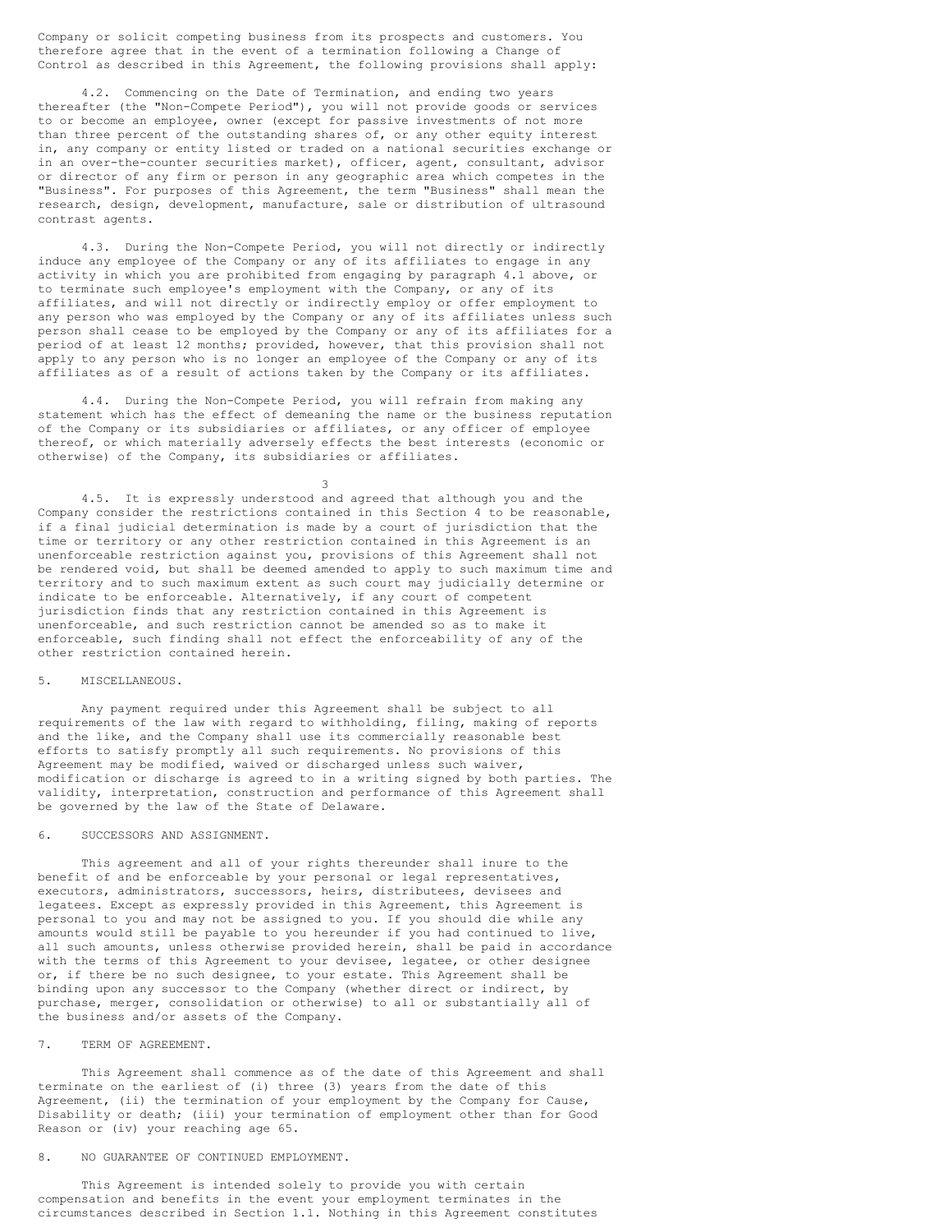Company or solicit competing business from its prospects and customers. You therefore agree that in the event of a termination following a Change of Control as described in this Agreement, the following provisions shall apply:

4.2. Commencing on the Date of Termination, and ending two years thereafter (the "Non-Compete Period"), you will not provide goods or services to or become an employee, owner (except for passive investments of not more than three percent of the outstanding shares of, or any other equity interest in, any company or entity listed or traded on a national securities exchange or in an over-the-counter securities market), officer, agent, consultant, advisor or director of any firm or person in any geographic area which competes in the "Business". For purposes of this Agreement, the term "Business" shall mean the research, design, development, manufacture, sale or distribution of ultrasound contrast agents.

4.3. During the Non-Compete Period, you will not directly or indirectly induce any employee of the Company or any of its affiliates to engage in any activity in which you are prohibited from engaging by paragraph 4.1 above, or to terminate such employee's employment with the Company, or any of its affiliates, and will not directly or indirectly employ or offer employment to any person who was employed by the Company or any of its affiliates unless such person shall cease to be employed by the Company or any of its affiliates for a period of at least 12 months; provided, however, that this provision shall not apply to any person who is no longer an employee of the Company or any of its affiliates as of a result of actions taken by the Company or its affiliates.

4.4. During the Non-Compete Period, you will refrain from making any statement which has the effect of demeaning the name or the business reputation of the Company or its subsidiaries or affiliates, or any officer of employee thereof, or which materially adversely effects the best interests (economic or otherwise) of the Company, its subsidiaries or affiliates.

3 4.5. It is expressly understood and agreed that although you and the Company consider the restrictions contained in this Section 4 to be reasonable, if a final judicial determination is made by a court of jurisdiction that the time or territory or any other restriction contained in this Agreement is an unenforceable restriction against you, provisions of this Agreement shall not be rendered void, but shall be deemed amended to apply to such maximum time and territory and to such maximum extent as such court may judicially determine or indicate to be enforceable. Alternatively, if any court of competent jurisdiction finds that any restriction contained in this Agreement is unenforceable, and such restriction cannot be amended so as to make it enforceable, such finding shall not effect the enforceability of any of the other restriction contained herein.

#### 5. MISCELLANEOUS.

Any payment required under this Agreement shall be subject to all requirements of the law with regard to withholding, filing, making of reports and the like, and the Company shall use its commercially reasonable best efforts to satisfy promptly all such requirements. No provisions of this Agreement may be modified, waived or discharged unless such waiver, modification or discharge is agreed to in a writing signed by both parties. The validity, interpretation, construction and performance of this Agreement shall be governed by the law of the State of Delaware.

## 6. SUCCESSORS AND ASSIGNMENT.

This agreement and all of your rights thereunder shall inure to the benefit of and be enforceable by your personal or legal representatives, executors, administrators, successors, heirs, distributees, devisees and legatees. Except as expressly provided in this Agreement, this Agreement is personal to you and may not be assigned to you. If you should die while any amounts would still be payable to you hereunder if you had continued to live, all such amounts, unless otherwise provided herein, shall be paid in accordance with the terms of this Agreement to your devisee, legatee, or other designee or, if there be no such designee, to your estate. This Agreement shall be binding upon any successor to the Company (whether direct or indirect, by purchase, merger, consolidation or otherwise) to all or substantially all of the business and/or assets of the Company.

## 7. TERM OF AGREEMENT.

This Agreement shall commence as of the date of this Agreement and shall terminate on the earliest of (i) three (3) years from the date of this Agreement, (ii) the termination of your employment by the Company for Cause, Disability or death; (iii) your termination of employment other than for Good Reason or (iv) your reaching age 65.

## 8. NO GUARANTEE OF CONTINUED EMPLOYMENT.

This Agreement is intended solely to provide you with certain compensation and benefits in the event your employment terminates in the circumstances described in Section 1.1. Nothing in this Agreement constitutes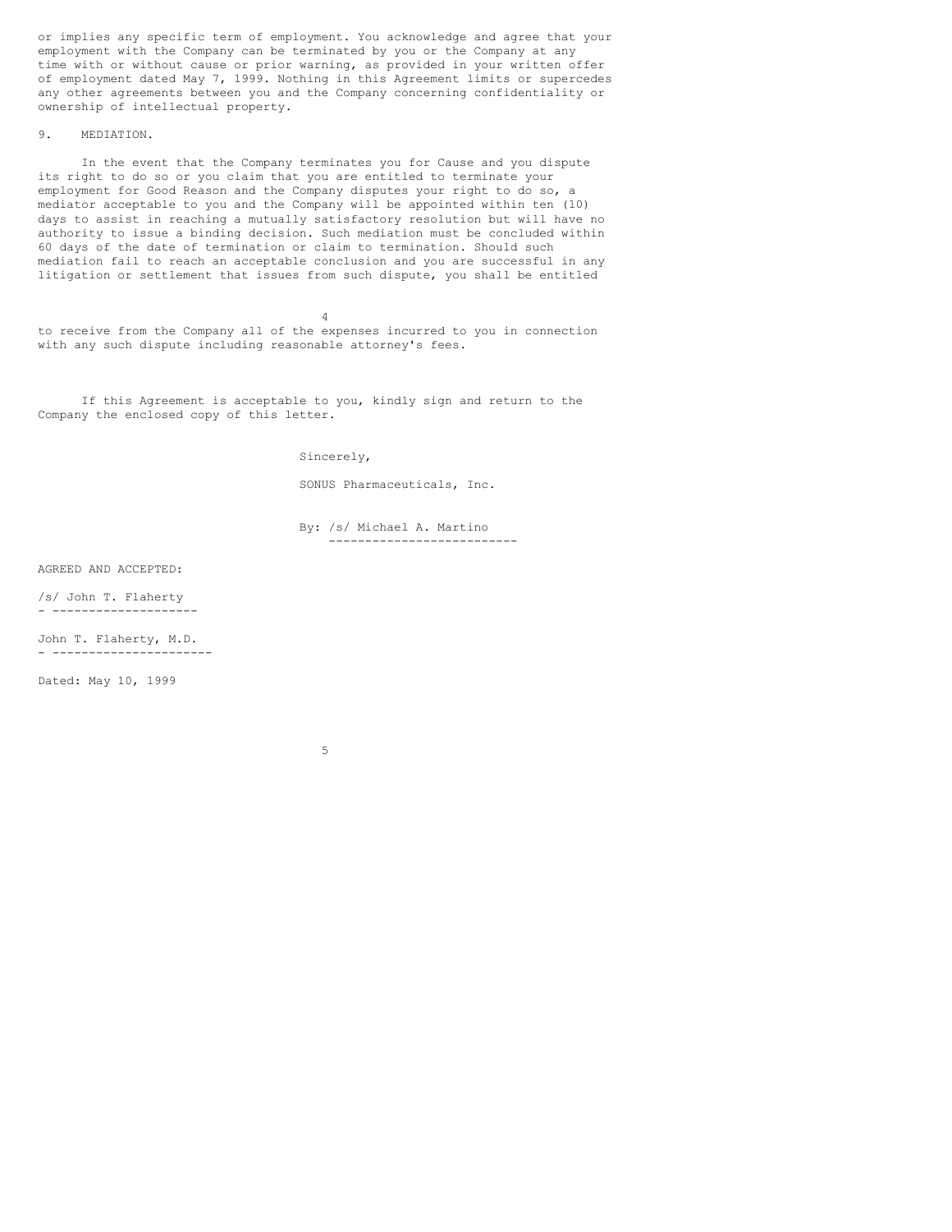or implies any specific term of employment. You acknowledge and agree that your employment with the Company can be terminated by you or the Company at any time with or without cause or prior warning, as provided in your written offer of employment dated May 7, 1999. Nothing in this Agreement limits or supercedes any other agreements between you and the Company concerning confidentiality or ownership of intellectual property.

## 9. MEDIATION.

In the event that the Company terminates you for Cause and you dispute its right to do so or you claim that you are entitled to terminate your employment for Good Reason and the Company disputes your right to do so, a mediator acceptable to you and the Company will be appointed within ten (10) days to assist in reaching a mutually satisfactory resolution but will have no authority to issue a binding decision. Such mediation must be concluded within 60 days of the date of termination or claim to termination. Should such mediation fail to reach an acceptable conclusion and you are successful in any litigation or settlement that issues from such dispute, you shall be entitled

4 to receive from the Company all of the expenses incurred to you in connection with any such dispute including reasonable attorney's fees.

If this Agreement is acceptable to you, kindly sign and return to the Company the enclosed copy of this letter.

Sincerely,

SONUS Pharmaceuticals, Inc.

By: /s/ Michael A. Martino --------------------------

AGREED AND ACCEPTED:

/s/ John T. Flaherty - --------------------

John T. Flaherty, M.D. - ----------------------

Dated: May 10, 1999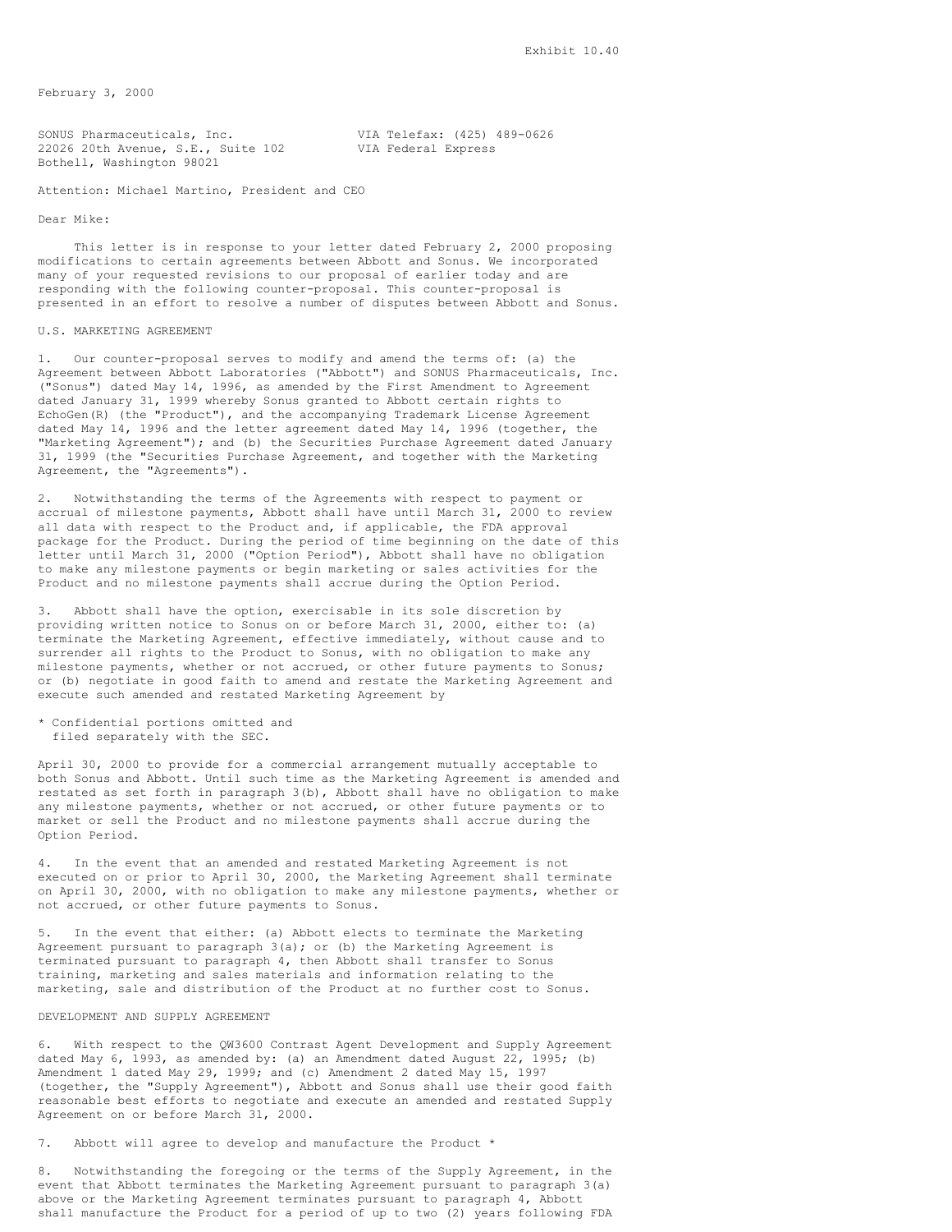February 3, 2000

SONUS Pharmaceuticals, Inc.<br>22026 20th Avenue, S.E., Suite 102 VIA Federal Express 22026 20th Avenue, S.E., Suite 102 Bothell, Washington 98021

Attention: Michael Martino, President and CEO

Dear Mike:

This letter is in response to your letter dated February 2, 2000 proposing modifications to certain agreements between Abbott and Sonus. We incorporated many of your requested revisions to our proposal of earlier today and are responding with the following counter-proposal. This counter-proposal is presented in an effort to resolve a number of disputes between Abbott and Sonus.

## U.S. MARKETING AGREEMENT

1. Our counter-proposal serves to modify and amend the terms of: (a) the Agreement between Abbott Laboratories ("Abbott") and SONUS Pharmaceuticals, Inc. ("Sonus") dated May 14, 1996, as amended by the First Amendment to Agreement dated January 31, 1999 whereby Sonus granted to Abbott certain rights to EchoGen(R) (the "Product"), and the accompanying Trademark License Agreement dated May 14, 1996 and the letter agreement dated May 14, 1996 (together, the "Marketing Agreement"); and (b) the Securities Purchase Agreement dated January 31, 1999 (the "Securities Purchase Agreement, and together with the Marketing Agreement, the "Agreements").

2. Notwithstanding the terms of the Agreements with respect to payment or accrual of milestone payments, Abbott shall have until March 31, 2000 to review all data with respect to the Product and, if applicable, the FDA approval package for the Product. During the period of time beginning on the date of this letter until March 31, 2000 ("Option Period"), Abbott shall have no obligation to make any milestone payments or begin marketing or sales activities for the Product and no milestone payments shall accrue during the Option Period.

3. Abbott shall have the option, exercisable in its sole discretion by providing written notice to Sonus on or before March 31, 2000, either to: (a) terminate the Marketing Agreement, effective immediately, without cause and to surrender all rights to the Product to Sonus, with no obligation to make any milestone payments, whether or not accrued, or other future payments to Sonus; or (b) negotiate in good faith to amend and restate the Marketing Agreement and execute such amended and restated Marketing Agreement by

\* Confidential portions omitted and filed separately with the SEC.

April 30, 2000 to provide for a commercial arrangement mutually acceptable to both Sonus and Abbott. Until such time as the Marketing Agreement is amended and restated as set forth in paragraph 3(b), Abbott shall have no obligation to make any milestone payments, whether or not accrued, or other future payments or to market or sell the Product and no milestone payments shall accrue during the Option Period.

4. In the event that an amended and restated Marketing Agreement is not executed on or prior to April 30, 2000, the Marketing Agreement shall terminate on April 30, 2000, with no obligation to make any milestone payments, whether or not accrued, or other future payments to Sonus.

5. In the event that either: (a) Abbott elects to terminate the Marketing Agreement pursuant to paragraph  $3(a)$ ; or (b) the Marketing Agreement is terminated pursuant to paragraph 4, then Abbott shall transfer to Sonus training, marketing and sales materials and information relating to the marketing, sale and distribution of the Product at no further cost to Sonus.

#### DEVELOPMENT AND SUPPLY AGREEMENT

6. With respect to the QW3600 Contrast Agent Development and Supply Agreement dated May 6, 1993, as amended by: (a) an Amendment dated August 22, 1995; (b) Amendment 1 dated May 29, 1999; and (c) Amendment 2 dated May 15, 1997 (together, the "Supply Agreement"), Abbott and Sonus shall use their good faith reasonable best efforts to negotiate and execute an amended and restated Supply Agreement on or before March 31, 2000.

7. Abbott will agree to develop and manufacture the Product \*

8. Notwithstanding the foregoing or the terms of the Supply Agreement, in the event that Abbott terminates the Marketing Agreement pursuant to paragraph 3(a) above or the Marketing Agreement terminates pursuant to paragraph 4, Abbott shall manufacture the Product for a period of up to two (2) years following FDA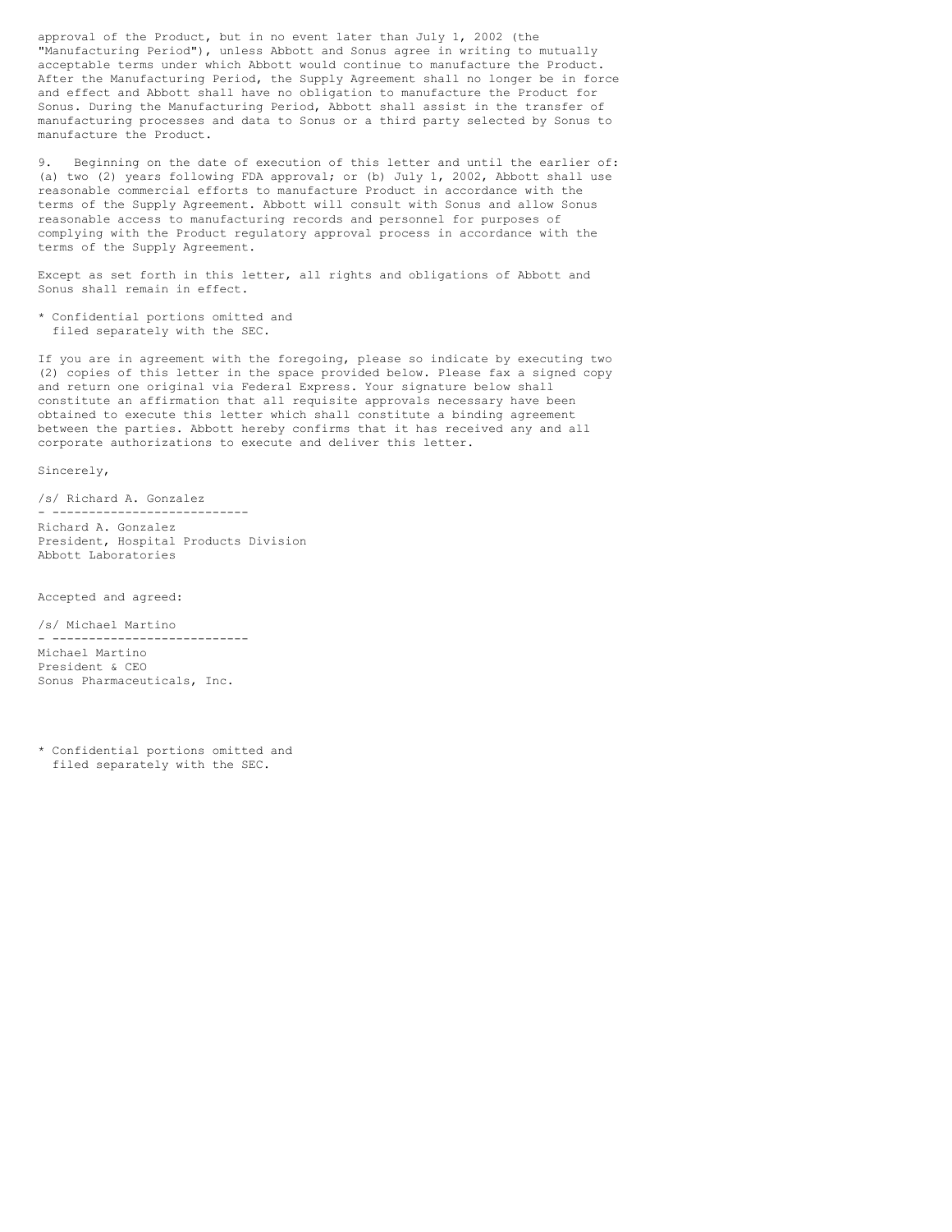approval of the Product, but in no event later than July 1, 2002 (the "Manufacturing Period"), unless Abbott and Sonus agree in writing to mutually acceptable terms under which Abbott would continue to manufacture the Product. After the Manufacturing Period, the Supply Agreement shall no longer be in force and effect and Abbott shall have no obligation to manufacture the Product for Sonus. During the Manufacturing Period, Abbott shall assist in the transfer of manufacturing processes and data to Sonus or a third party selected by Sonus to manufacture the Product.

9. Beginning on the date of execution of this letter and until the earlier of: (a) two (2) years following FDA approval; or (b) July 1, 2002, Abbott shall use reasonable commercial efforts to manufacture Product in accordance with the terms of the Supply Agreement. Abbott will consult with Sonus and allow Sonus reasonable access to manufacturing records and personnel for purposes of complying with the Product regulatory approval process in accordance with the terms of the Supply Agreement.

Except as set forth in this letter, all rights and obligations of Abbott and Sonus shall remain in effect.

\* Confidential portions omitted and filed separately with the SEC.

If you are in agreement with the foregoing, please so indicate by executing two (2) copies of this letter in the space provided below. Please fax a signed copy and return one original via Federal Express. Your signature below shall constitute an affirmation that all requisite approvals necessary have been obtained to execute this letter which shall constitute a binding agreement between the parties. Abbott hereby confirms that it has received any and all corporate authorizations to execute and deliver this letter.

Sincerely,

/s/ Richard A. Gonzalez - --------------------------- Richard A. Gonzalez President, Hospital Products Division Abbott Laboratories

Accepted and agreed:

/s/ Michael Martino

- --------------------------- Michael Martino President & CEO Sonus Pharmaceuticals, Inc.

<sup>\*</sup> Confidential portions omitted and filed separately with the SEC.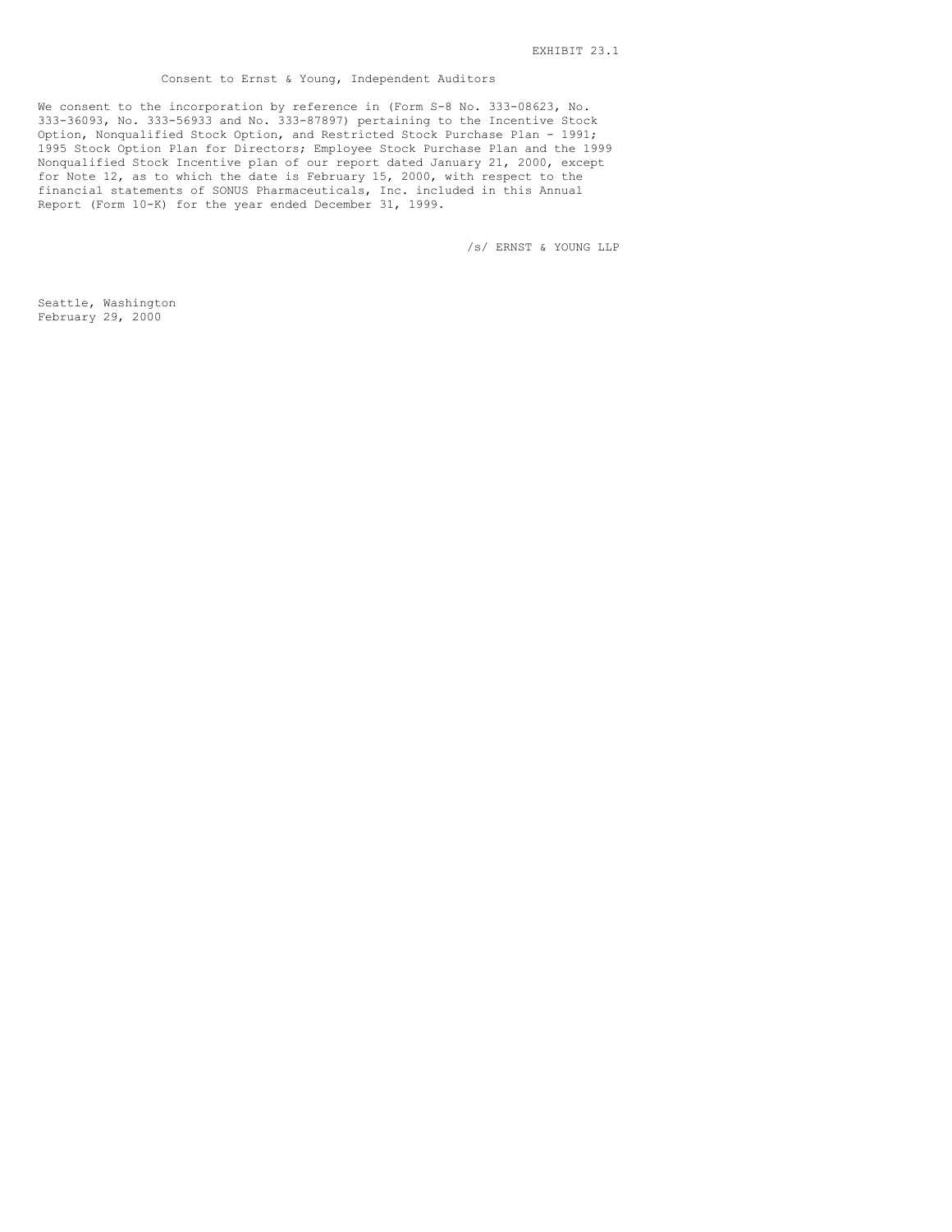## Consent to Ernst & Young, Independent Auditors

We consent to the incorporation by reference in (Form S-8 No. 333-08623, No. 333-36093, No. 333-56933 and No. 333-87897) pertaining to the Incentive Stock Option, Nonqualified Stock Option, and Restricted Stock Purchase Plan - 1991; 1995 Stock Option Plan for Directors; Employee Stock Purchase Plan and the 1999 Nonqualified Stock Incentive plan of our report dated January 21, 2000, except for Note 12, as to which the date is February 15, 2000, with respect to the financial statements of SONUS Pharmaceuticals, Inc. included in this Annual Report (Form 10-K) for the year ended December 31, 1999.

/s/ ERNST & YOUNG LLP

Seattle, Washington February 29, 2000